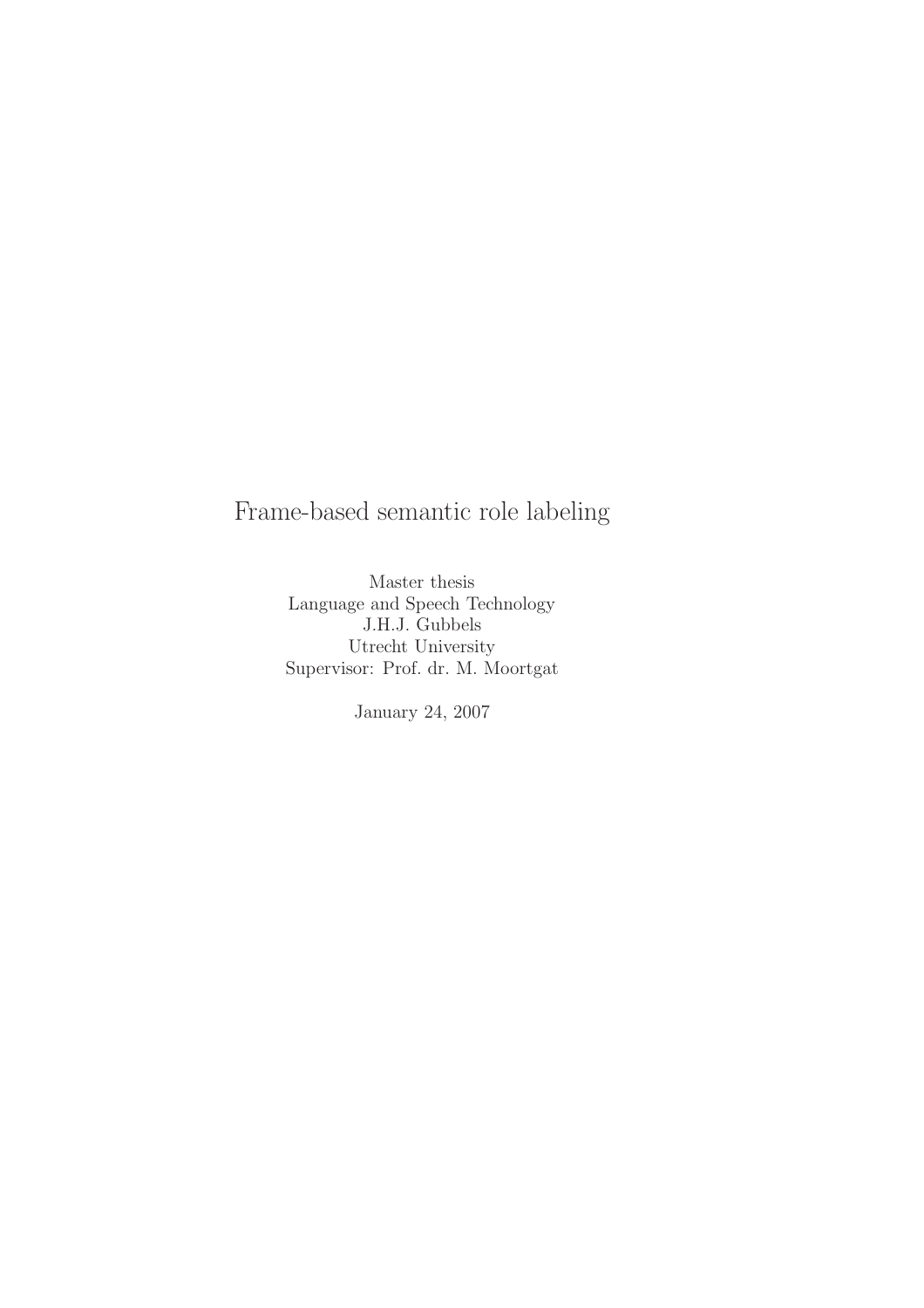## Frame-based semantic role labeling

Master thesis Language and Speech Technology J.H.J. Gubbels Utrecht University Supervisor: Prof. dr. M. Moortgat

January 24, 2007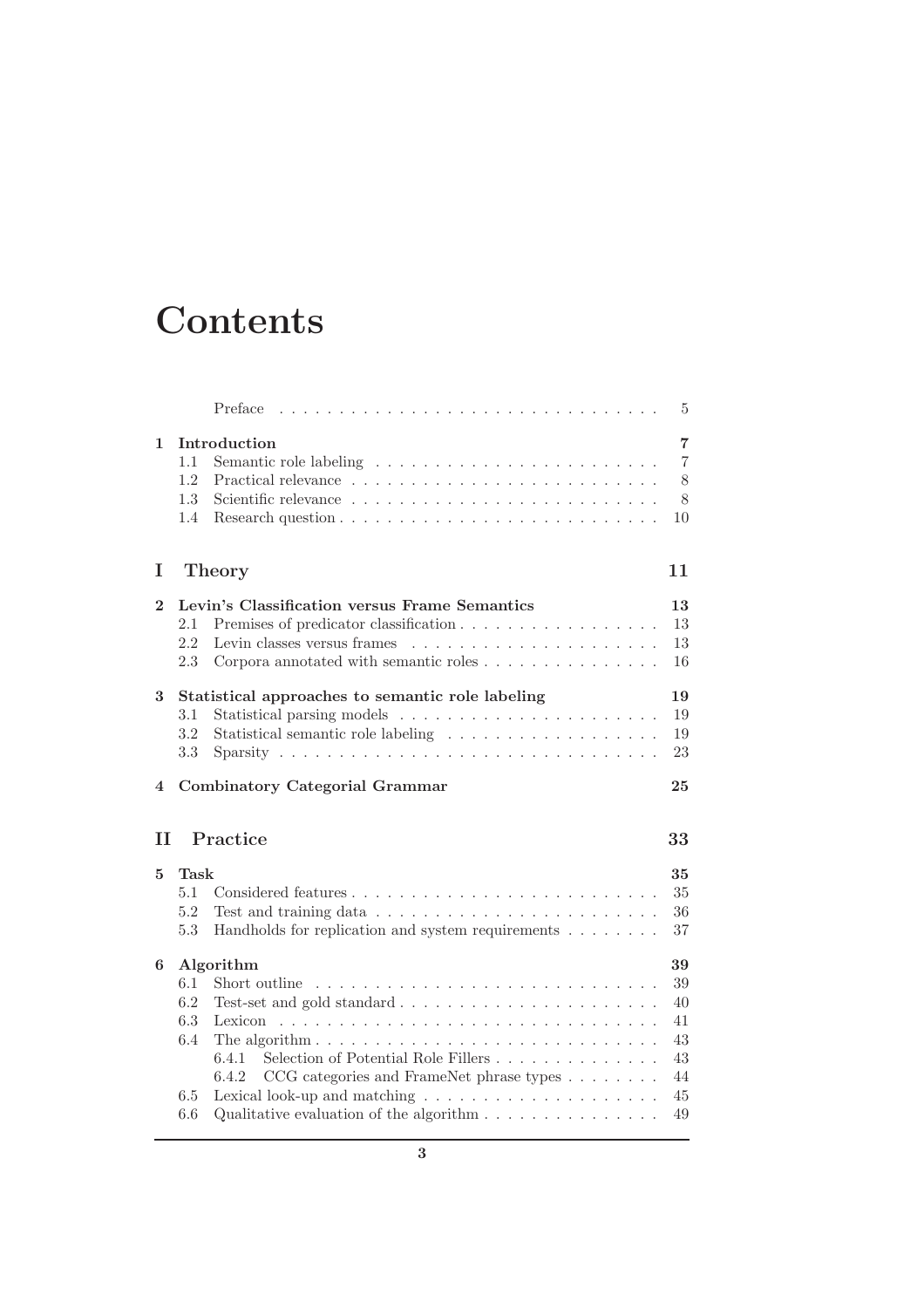# **Contents**

|          |                                 | Preface                                                                                                                                                                                                                     |  |  |  | 5                                            |
|----------|---------------------------------|-----------------------------------------------------------------------------------------------------------------------------------------------------------------------------------------------------------------------------|--|--|--|----------------------------------------------|
| 1        | 1.1<br>1.2<br>1.3<br>1.4        | Introduction                                                                                                                                                                                                                |  |  |  | 7<br>$\overline{7}$<br>8<br>8<br>10          |
| I        |                                 | Theory                                                                                                                                                                                                                      |  |  |  | 11                                           |
| $\bf{2}$ | 2.1<br>2.2<br>2.3               | Levin's Classification versus Frame Semantics<br>Premises of predicator classification<br>Corpora annotated with semantic roles $\ldots \ldots \ldots \ldots \ldots$                                                        |  |  |  | 13<br>13<br>13<br>16                         |
| 3        | 3.1<br>3.2<br>3.3               | Statistical approaches to semantic role labeling                                                                                                                                                                            |  |  |  | 19<br>19<br>19<br>23                         |
|          |                                 |                                                                                                                                                                                                                             |  |  |  |                                              |
| 4        |                                 | <b>Combinatory Categorial Grammar</b>                                                                                                                                                                                       |  |  |  | 25                                           |
| Н        |                                 | Practice                                                                                                                                                                                                                    |  |  |  | 33                                           |
| 5        | Task<br>5.1<br>5.2<br>5.3       | Test and training data $\ldots \ldots \ldots \ldots \ldots \ldots \ldots \ldots$<br>Handholds for replication and system requirements                                                                                       |  |  |  | 35<br>35<br>36<br>37                         |
| 6        | 6.1<br>6.2<br>6.3<br>6.4<br>6.5 | Algorithm<br>Short outline<br>Test-set and gold standard $\ldots \ldots \ldots \ldots \ldots \ldots \ldots$<br>Lexicon<br>Selection of Potential Role Fillers<br>6.4.1<br>CCG categories and FrameNet phrase types<br>6.4.2 |  |  |  | 39<br>39<br>40<br>41<br>43<br>43<br>44<br>45 |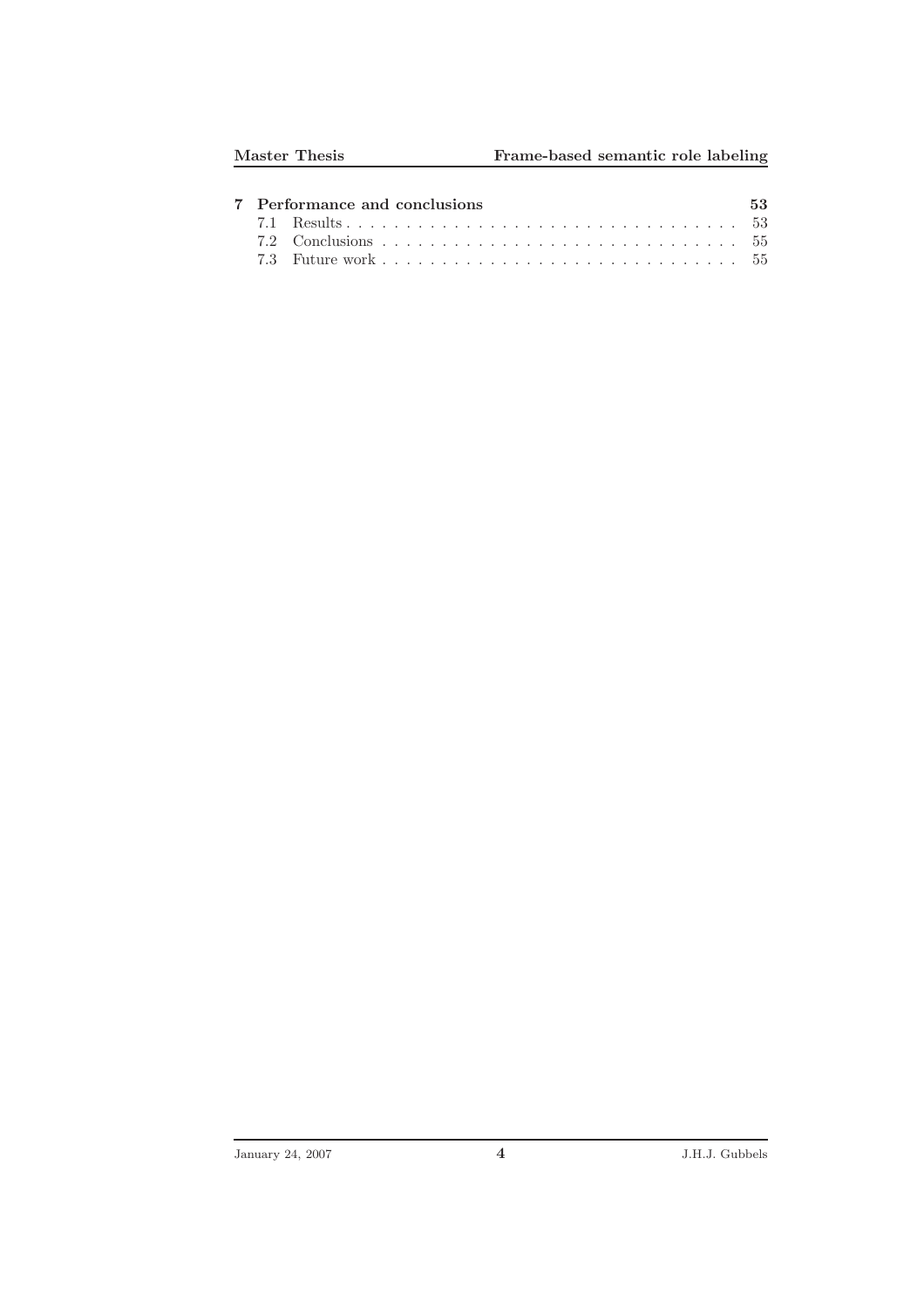|  | 7 Performance and conclusions | 53. |
|--|-------------------------------|-----|
|  |                               |     |
|  |                               |     |
|  |                               |     |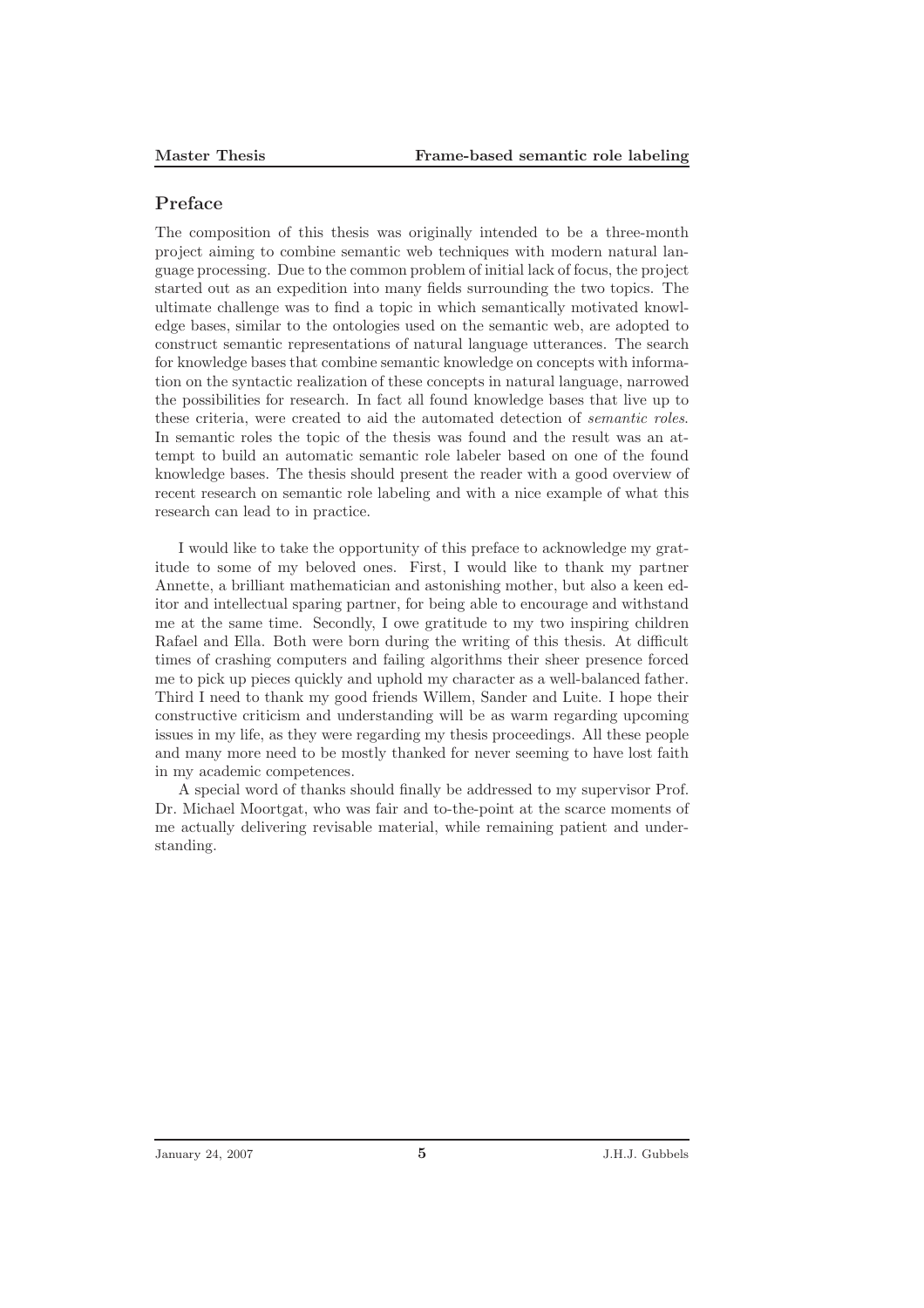#### Preface

The composition of this thesis was originally intended to be a three-month project aiming to combine semantic web techniques with modern natural language processing. Due to the common problem of initial lack of focus, the project started out as an expedition into many fields surrounding the two topics. The ultimate challenge was to find a topic in which semantically motivated knowledge bases, similar to the ontologies used on the semantic web, are adopted to construct semantic representations of natural language utterances. The search for knowledge bases that combine semantic knowledge on concepts with information on the syntactic realization of these concepts in natural language, narrowed the possibilities for research. In fact all found knowledge bases that live up to these criteria, were created to aid the automated detection of semantic roles. In semantic roles the topic of the thesis was found and the result was an attempt to build an automatic semantic role labeler based on one of the found knowledge bases. The thesis should present the reader with a good overview of recent research on semantic role labeling and with a nice example of what this research can lead to in practice.

I would like to take the opportunity of this preface to acknowledge my gratitude to some of my beloved ones. First, I would like to thank my partner Annette, a brilliant mathematician and astonishing mother, but also a keen editor and intellectual sparing partner, for being able to encourage and withstand me at the same time. Secondly, I owe gratitude to my two inspiring children Rafael and Ella. Both were born during the writing of this thesis. At difficult times of crashing computers and failing algorithms their sheer presence forced me to pick up pieces quickly and uphold my character as a well-balanced father. Third I need to thank my good friends Willem, Sander and Luite. I hope their constructive criticism and understanding will be as warm regarding upcoming issues in my life, as they were regarding my thesis proceedings. All these people and many more need to be mostly thanked for never seeming to have lost faith in my academic competences.

A special word of thanks should finally be addressed to my supervisor Prof. Dr. Michael Moortgat, who was fair and to-the-point at the scarce moments of me actually delivering revisable material, while remaining patient and understanding.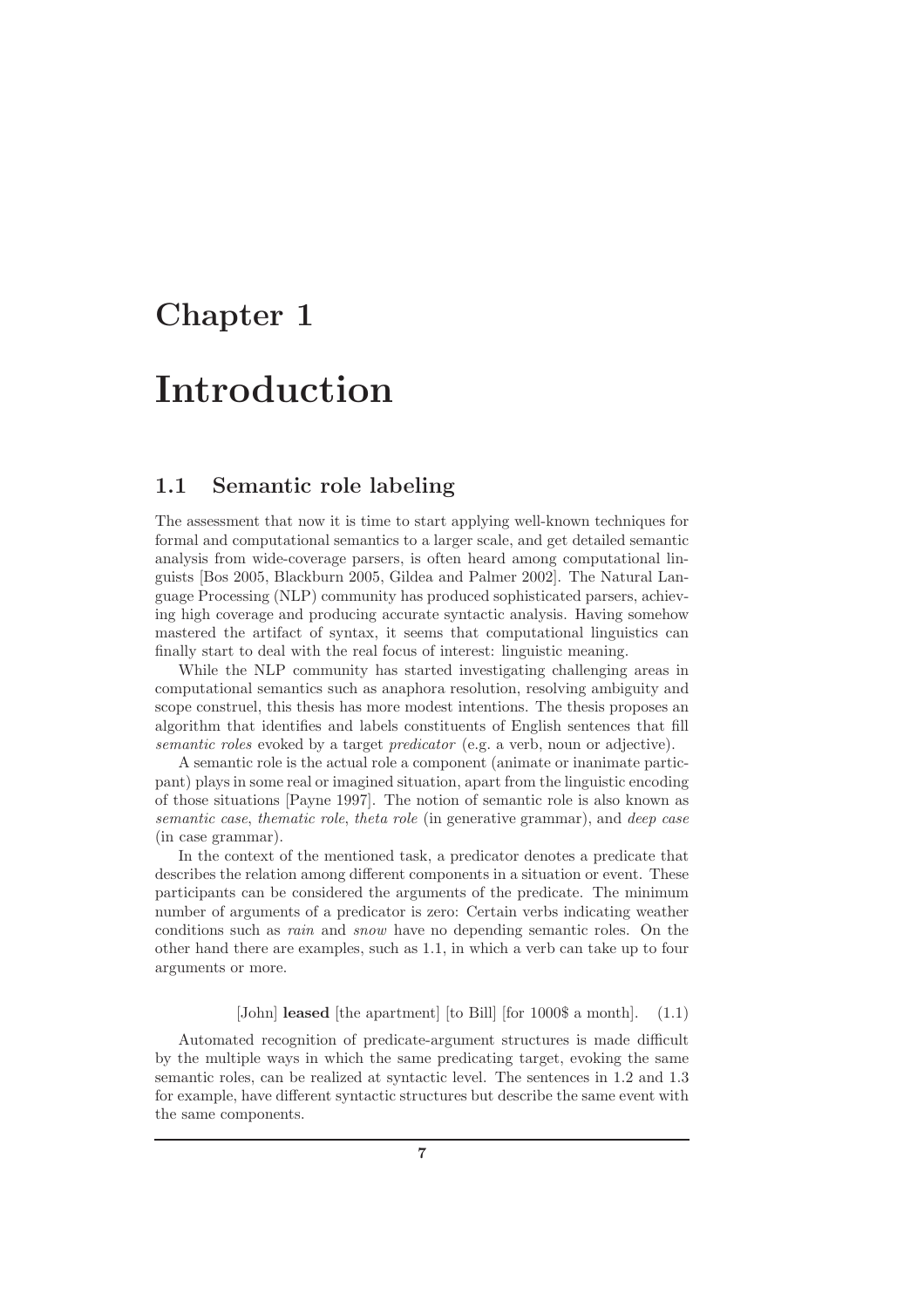## Chapter 1

## Introduction

### 1.1 Semantic role labeling

The assessment that now it is time to start applying well-known techniques for formal and computational semantics to a larger scale, and get detailed semantic analysis from wide-coverage parsers, is often heard among computational linguists [Bos 2005, Blackburn 2005, Gildea and Palmer 2002]. The Natural Language Processing (NLP) community has produced sophisticated parsers, achieving high coverage and producing accurate syntactic analysis. Having somehow mastered the artifact of syntax, it seems that computational linguistics can finally start to deal with the real focus of interest: linguistic meaning.

While the NLP community has started investigating challenging areas in computational semantics such as anaphora resolution, resolving ambiguity and scope construel, this thesis has more modest intentions. The thesis proposes an algorithm that identifies and labels constituents of English sentences that fill semantic roles evoked by a target *predicator* (e.g. a verb, noun or adjective).

A semantic role is the actual role a component (animate or inanimate particpant) plays in some real or imagined situation, apart from the linguistic encoding of those situations [Payne 1997]. The notion of semantic role is also known as semantic case, thematic role, theta role (in generative grammar), and deep case (in case grammar).

In the context of the mentioned task, a predicator denotes a predicate that describes the relation among different components in a situation or event. These participants can be considered the arguments of the predicate. The minimum number of arguments of a predicator is zero: Certain verbs indicating weather conditions such as rain and snow have no depending semantic roles. On the other hand there are examples, such as 1.1, in which a verb can take up to four arguments or more.

#### [John] **leased** [the apartment] [to Bill] [for 1000\$ a month]. (1.1)

Automated recognition of predicate-argument structures is made difficult by the multiple ways in which the same predicating target, evoking the same semantic roles, can be realized at syntactic level. The sentences in 1.2 and 1.3 for example, have different syntactic structures but describe the same event with the same components.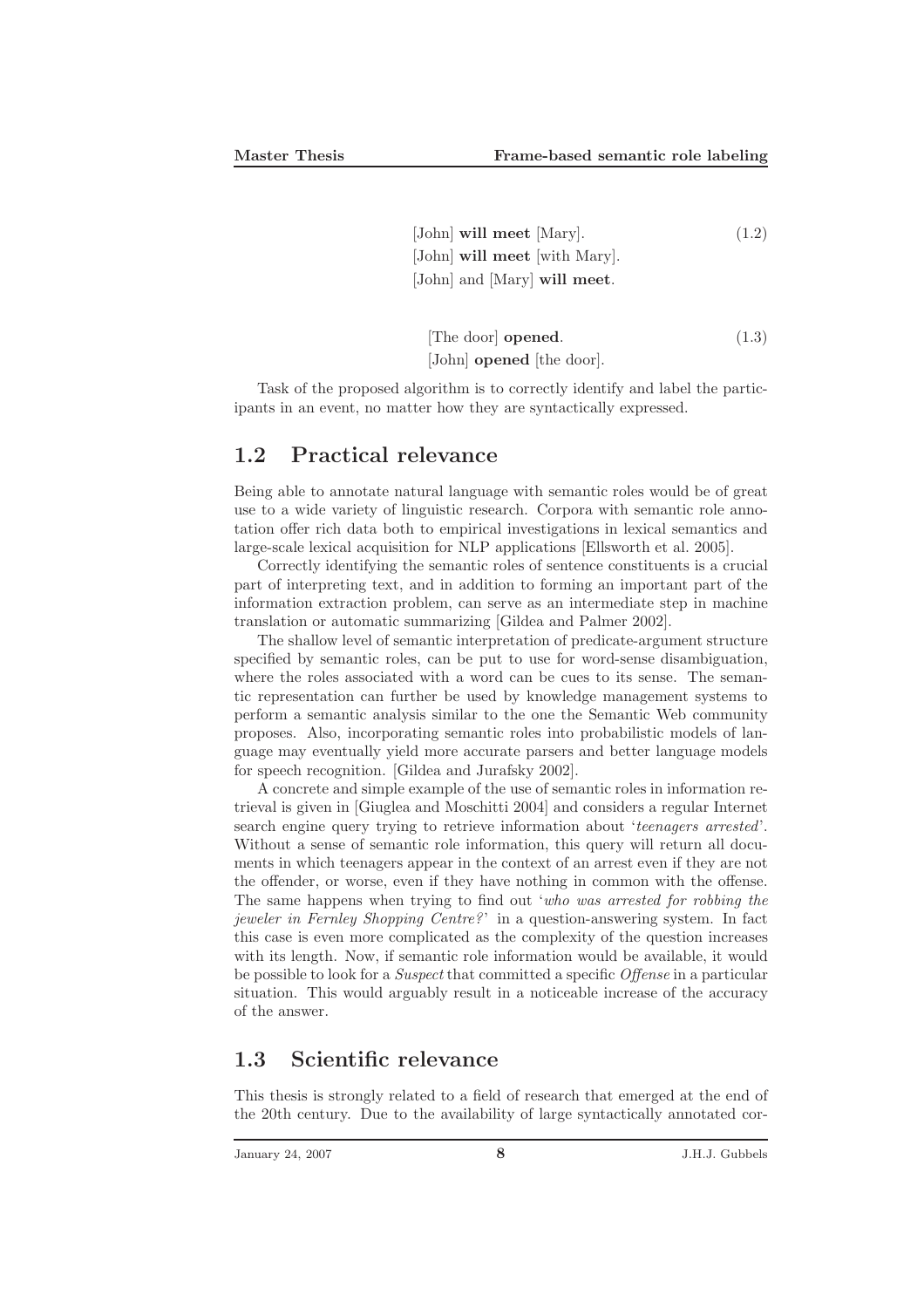$[John]$  will meet  $[Mary]$ .  $(1.2)$ [John] will meet [with Mary]. [John] and [Mary] will meet.

[The door] opened. (1.3) [John] opened [the door].

Task of the proposed algorithm is to correctly identify and label the participants in an event, no matter how they are syntactically expressed.

### 1.2 Practical relevance

Being able to annotate natural language with semantic roles would be of great use to a wide variety of linguistic research. Corpora with semantic role annotation offer rich data both to empirical investigations in lexical semantics and large-scale lexical acquisition for NLP applications [Ellsworth et al. 2005].

Correctly identifying the semantic roles of sentence constituents is a crucial part of interpreting text, and in addition to forming an important part of the information extraction problem, can serve as an intermediate step in machine translation or automatic summarizing [Gildea and Palmer 2002].

The shallow level of semantic interpretation of predicate-argument structure specified by semantic roles, can be put to use for word-sense disambiguation, where the roles associated with a word can be cues to its sense. The semantic representation can further be used by knowledge management systems to perform a semantic analysis similar to the one the Semantic Web community proposes. Also, incorporating semantic roles into probabilistic models of language may eventually yield more accurate parsers and better language models for speech recognition. [Gildea and Jurafsky 2002].

A concrete and simple example of the use of semantic roles in information retrieval is given in [Giuglea and Moschitti 2004] and considers a regular Internet search engine query trying to retrieve information about 'teenagers arrested'. Without a sense of semantic role information, this query will return all documents in which teenagers appear in the context of an arrest even if they are not the offender, or worse, even if they have nothing in common with the offense. The same happens when trying to find out 'who was arrested for robbing the jeweler in Fernley Shopping Centre?' in a question-answering system. In fact this case is even more complicated as the complexity of the question increases with its length. Now, if semantic role information would be available, it would be possible to look for a Suspect that committed a specific Offense in a particular situation. This would arguably result in a noticeable increase of the accuracy of the answer.

### 1.3 Scientific relevance

This thesis is strongly related to a field of research that emerged at the end of the 20th century. Due to the availability of large syntactically annotated cor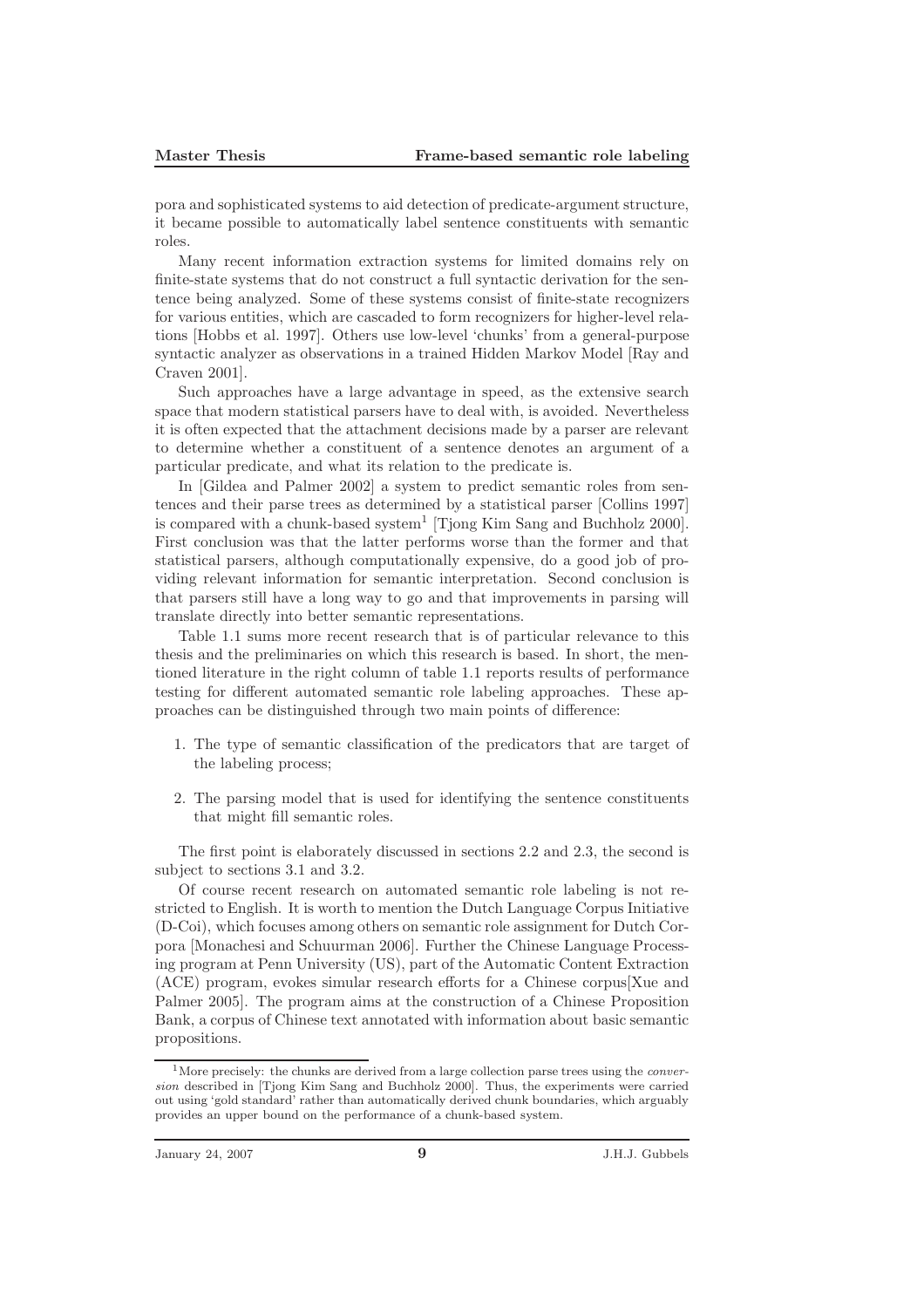pora and sophisticated systems to aid detection of predicate-argument structure, it became possible to automatically label sentence constituents with semantic roles.

Many recent information extraction systems for limited domains rely on finite-state systems that do not construct a full syntactic derivation for the sentence being analyzed. Some of these systems consist of finite-state recognizers for various entities, which are cascaded to form recognizers for higher-level relations [Hobbs et al. 1997]. Others use low-level 'chunks' from a general-purpose syntactic analyzer as observations in a trained Hidden Markov Model [Ray and Craven 2001].

Such approaches have a large advantage in speed, as the extensive search space that modern statistical parsers have to deal with, is avoided. Nevertheless it is often expected that the attachment decisions made by a parser are relevant to determine whether a constituent of a sentence denotes an argument of a particular predicate, and what its relation to the predicate is.

In [Gildea and Palmer 2002] a system to predict semantic roles from sentences and their parse trees as determined by a statistical parser [Collins 1997] is compared with a chunk-based system<sup>1</sup> [Tjong Kim Sang and Buchholz 2000]. First conclusion was that the latter performs worse than the former and that statistical parsers, although computationally expensive, do a good job of providing relevant information for semantic interpretation. Second conclusion is that parsers still have a long way to go and that improvements in parsing will translate directly into better semantic representations.

Table 1.1 sums more recent research that is of particular relevance to this thesis and the preliminaries on which this research is based. In short, the mentioned literature in the right column of table 1.1 reports results of performance testing for different automated semantic role labeling approaches. These approaches can be distinguished through two main points of difference:

- 1. The type of semantic classification of the predicators that are target of the labeling process;
- 2. The parsing model that is used for identifying the sentence constituents that might fill semantic roles.

The first point is elaborately discussed in sections 2.2 and 2.3, the second is subject to sections 3.1 and 3.2.

Of course recent research on automated semantic role labeling is not restricted to English. It is worth to mention the Dutch Language Corpus Initiative (D-Coi), which focuses among others on semantic role assignment for Dutch Corpora [Monachesi and Schuurman 2006]. Further the Chinese Language Processing program at Penn University (US), part of the Automatic Content Extraction (ACE) program, evokes simular research efforts for a Chinese corpus[Xue and Palmer 2005]. The program aims at the construction of a Chinese Proposition Bank, a corpus of Chinese text annotated with information about basic semantic propositions.

<sup>&</sup>lt;sup>1</sup>More precisely: the chunks are derived from a large collection parse trees using the *conver*sion described in [Tjong Kim Sang and Buchholz 2000]. Thus, the experiments were carried out using 'gold standard' rather than automatically derived chunk boundaries, which arguably provides an upper bound on the performance of a chunk-based system.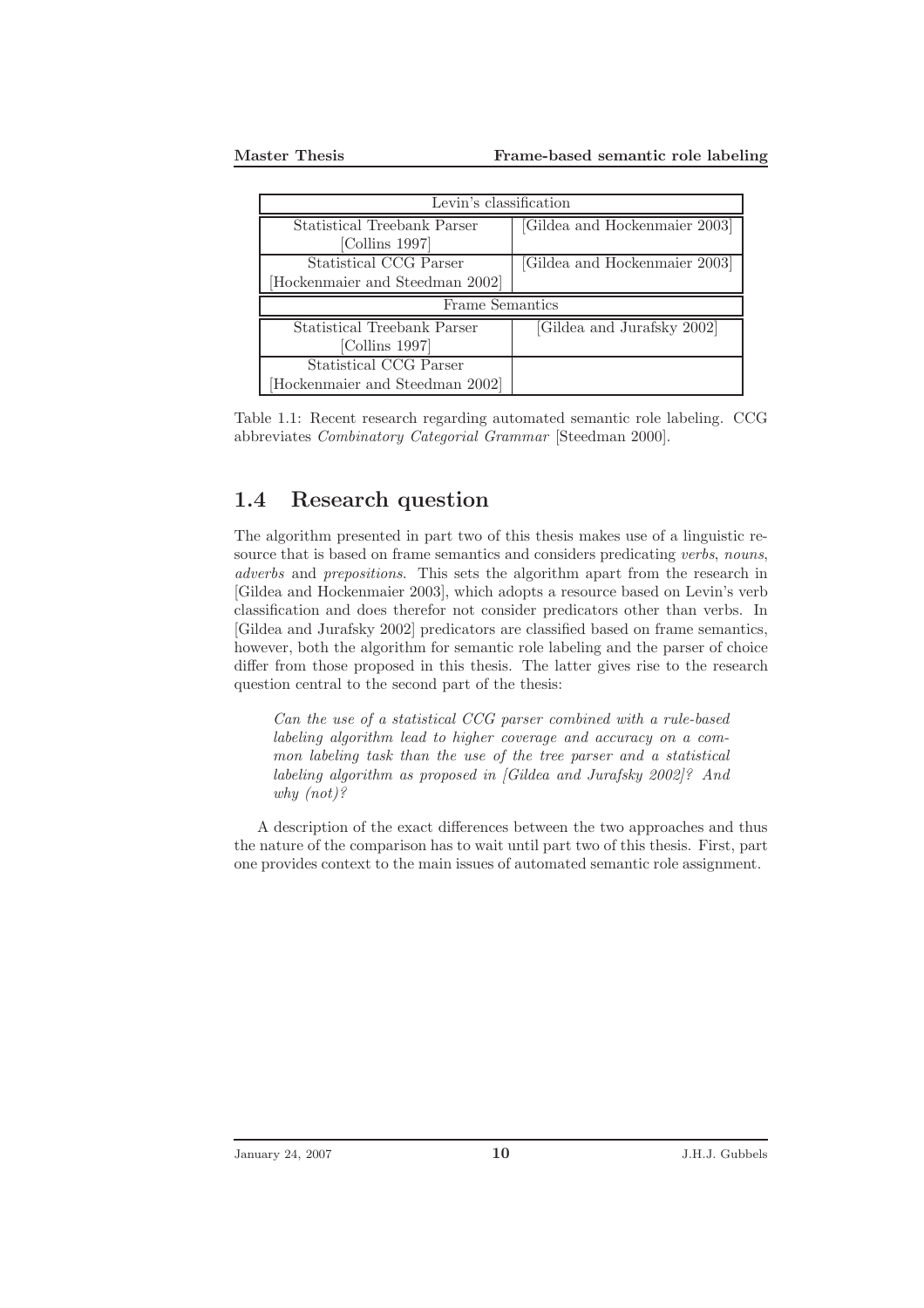| Levin's classification         |                               |  |  |  |
|--------------------------------|-------------------------------|--|--|--|
| Statistical Treebank Parser    | [Gildea and Hockenmaier 2003] |  |  |  |
| [Collins 1997]                 |                               |  |  |  |
| Statistical CCG Parser         | [Gildea and Hockenmaier 2003] |  |  |  |
| Hockenmaier and Steedman 2002  |                               |  |  |  |
| Frame Semantics                |                               |  |  |  |
| Statistical Treebank Parser    | [Gildea and Jurafsky 2002]    |  |  |  |
| [Collins 1997]                 |                               |  |  |  |
| Statistical CCG Parser         |                               |  |  |  |
| Hockenmaier and Steedman 2002] |                               |  |  |  |

Table 1.1: Recent research regarding automated semantic role labeling. CCG abbreviates Combinatory Categorial Grammar [Steedman 2000].

### 1.4 Research question

The algorithm presented in part two of this thesis makes use of a linguistic resource that is based on frame semantics and considers predicating verbs, nouns, adverbs and prepositions. This sets the algorithm apart from the research in [Gildea and Hockenmaier 2003], which adopts a resource based on Levin's verb classification and does therefor not consider predicators other than verbs. In [Gildea and Jurafsky 2002] predicators are classified based on frame semantics, however, both the algorithm for semantic role labeling and the parser of choice differ from those proposed in this thesis. The latter gives rise to the research question central to the second part of the thesis:

Can the use of a statistical CCG parser combined with a rule-based labeling algorithm lead to higher coverage and accuracy on a common labeling task than the use of the tree parser and a statistical labeling algorithm as proposed in [Gildea and Jurafsky 2002]? And why  $(not)?$ 

A description of the exact differences between the two approaches and thus the nature of the comparison has to wait until part two of this thesis. First, part one provides context to the main issues of automated semantic role assignment.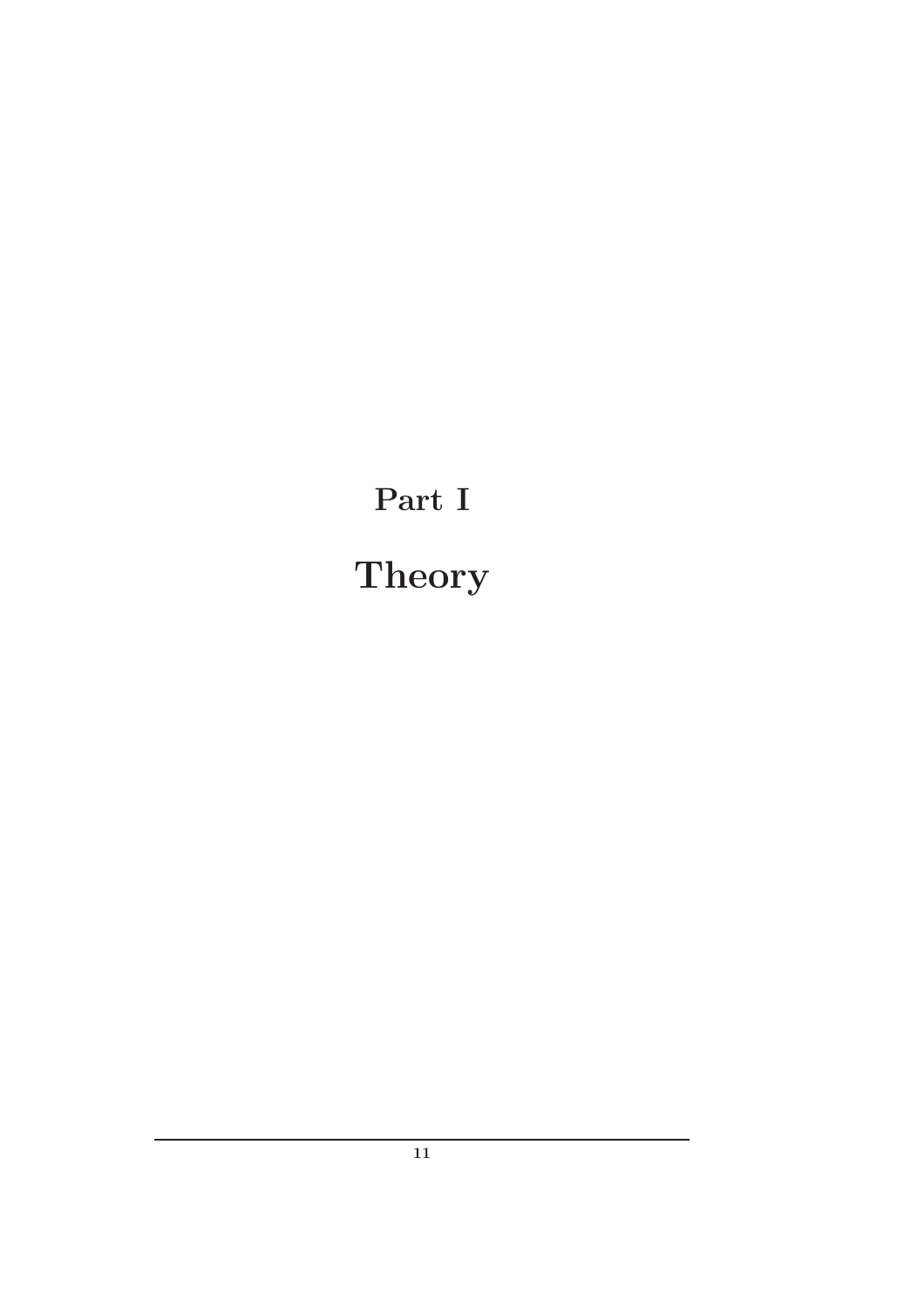Part I **Theory**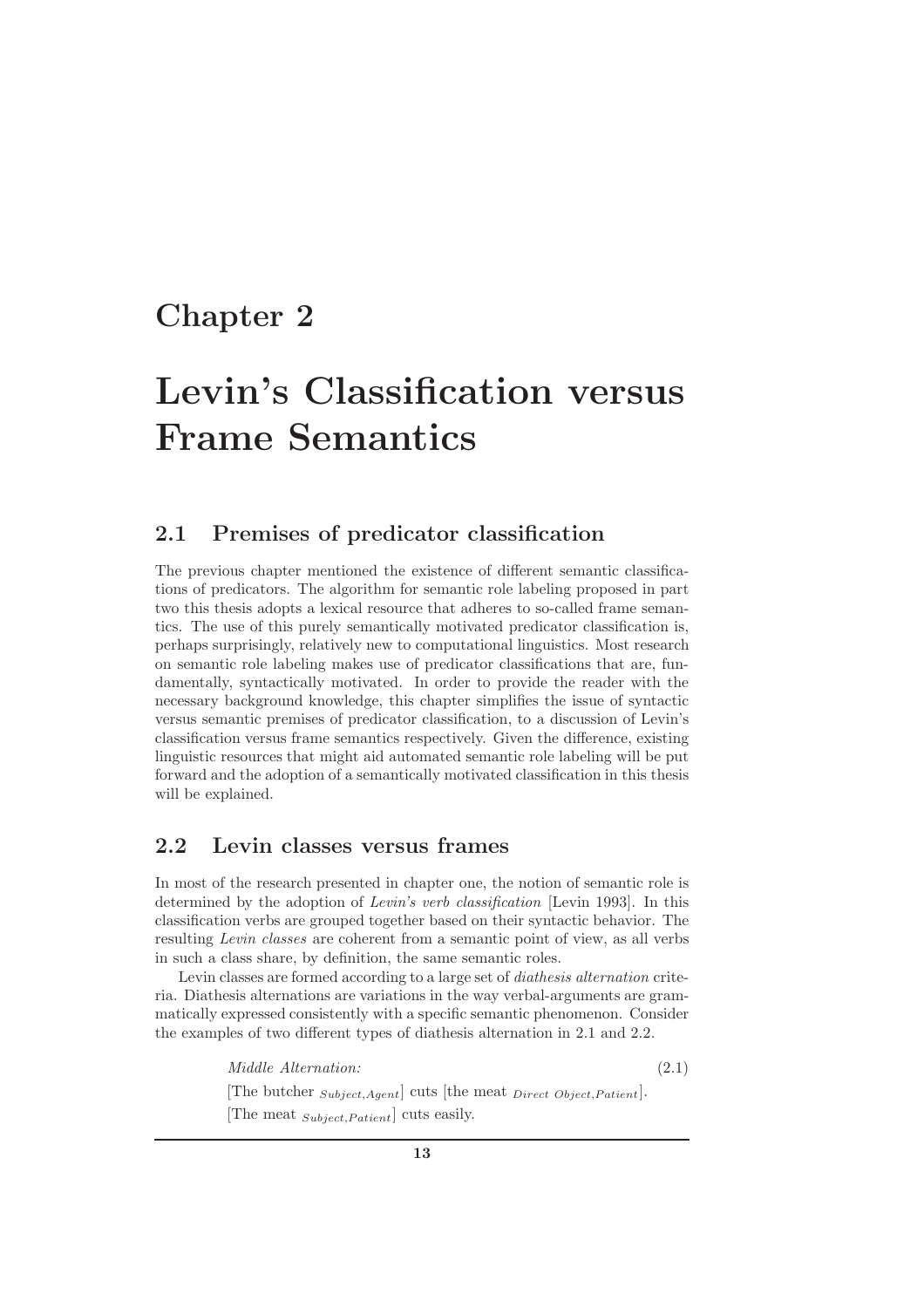### Chapter 2

# Levin's Classification versus Frame Semantics

### 2.1 Premises of predicator classification

The previous chapter mentioned the existence of different semantic classifications of predicators. The algorithm for semantic role labeling proposed in part two this thesis adopts a lexical resource that adheres to so-called frame semantics. The use of this purely semantically motivated predicator classification is, perhaps surprisingly, relatively new to computational linguistics. Most research on semantic role labeling makes use of predicator classifications that are, fundamentally, syntactically motivated. In order to provide the reader with the necessary background knowledge, this chapter simplifies the issue of syntactic versus semantic premises of predicator classification, to a discussion of Levin's classification versus frame semantics respectively. Given the difference, existing linguistic resources that might aid automated semantic role labeling will be put forward and the adoption of a semantically motivated classification in this thesis will be explained.

### 2.2 Levin classes versus frames

In most of the research presented in chapter one, the notion of semantic role is determined by the adoption of Levin's verb classification [Levin 1993]. In this classification verbs are grouped together based on their syntactic behavior. The resulting *Levin classes* are coherent from a semantic point of view, as all verbs in such a class share, by definition, the same semantic roles.

Levin classes are formed according to a large set of *diathesis alternation* criteria. Diathesis alternations are variations in the way verbal-arguments are grammatically expressed consistently with a specific semantic phenomenon. Consider the examples of two different types of diathesis alternation in 2.1 and 2.2.

> Middle Alternation: (2.1) [The butcher  $_{Subject, Agent}$ ] cuts [the meat  $_{Direct, District}$ ]. [The meat  $_{Subject\_Pattern}$ ] cuts easily.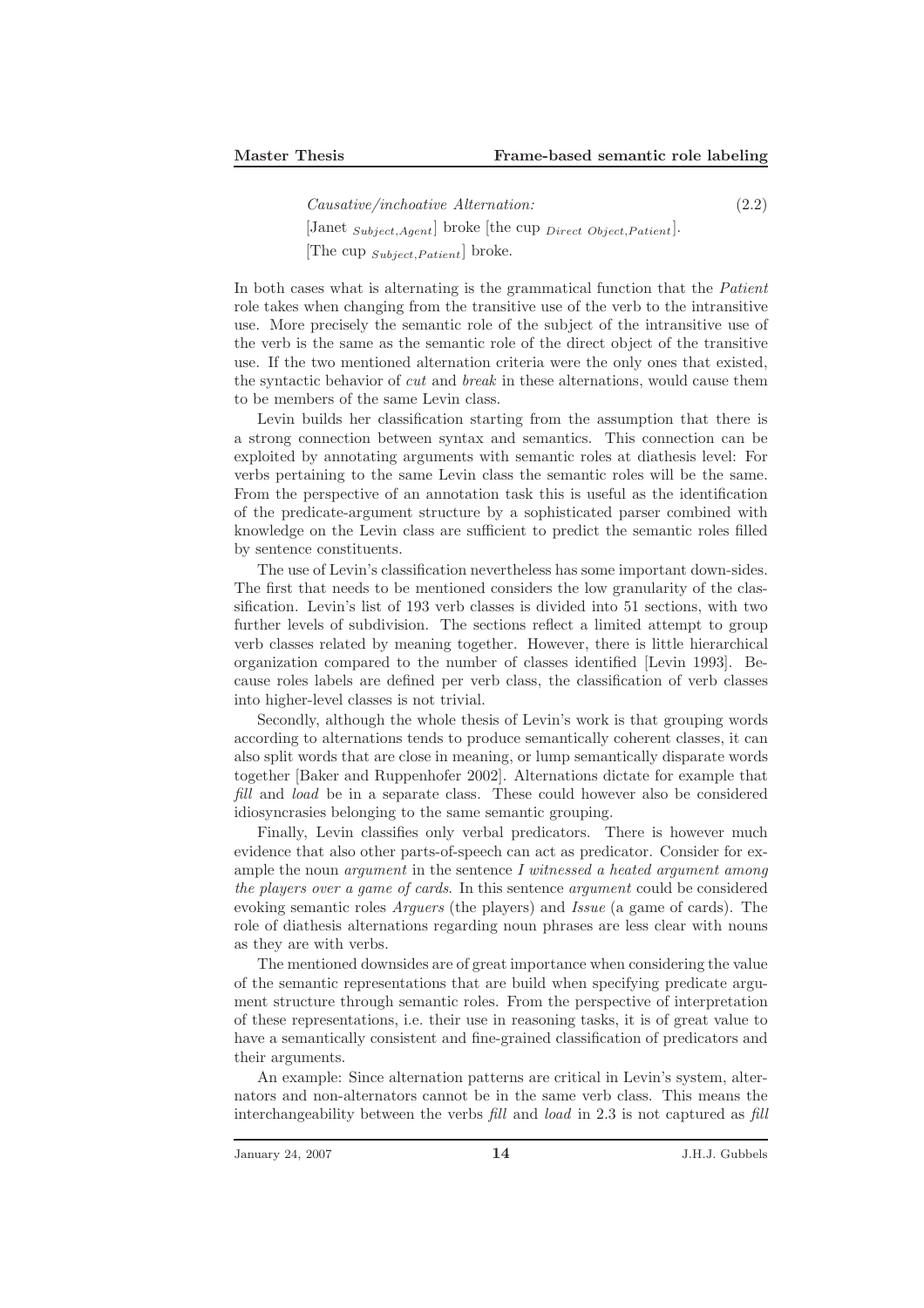#### Causative/inchoative Alternation: (2.2)

[Janet  $\textit{Subject}, \textit{Agent}$ ] broke [the cup  $\textit{Direct Object}, \textit{Pattern1}.$ 

[The cup  $_{Subject, Patient}$ ] broke.

In both cases what is alternating is the grammatical function that the Patient role takes when changing from the transitive use of the verb to the intransitive use. More precisely the semantic role of the subject of the intransitive use of the verb is the same as the semantic role of the direct object of the transitive use. If the two mentioned alternation criteria were the only ones that existed, the syntactic behavior of cut and break in these alternations, would cause them to be members of the same Levin class.

Levin builds her classification starting from the assumption that there is a strong connection between syntax and semantics. This connection can be exploited by annotating arguments with semantic roles at diathesis level: For verbs pertaining to the same Levin class the semantic roles will be the same. From the perspective of an annotation task this is useful as the identification of the predicate-argument structure by a sophisticated parser combined with knowledge on the Levin class are sufficient to predict the semantic roles filled by sentence constituents.

The use of Levin's classification nevertheless has some important down-sides. The first that needs to be mentioned considers the low granularity of the classification. Levin's list of 193 verb classes is divided into 51 sections, with two further levels of subdivision. The sections reflect a limited attempt to group verb classes related by meaning together. However, there is little hierarchical organization compared to the number of classes identified [Levin 1993]. Because roles labels are defined per verb class, the classification of verb classes into higher-level classes is not trivial.

Secondly, although the whole thesis of Levin's work is that grouping words according to alternations tends to produce semantically coherent classes, it can also split words that are close in meaning, or lump semantically disparate words together [Baker and Ruppenhofer 2002]. Alternations dictate for example that fill and load be in a separate class. These could however also be considered idiosyncrasies belonging to the same semantic grouping.

Finally, Levin classifies only verbal predicators. There is however much evidence that also other parts-of-speech can act as predicator. Consider for example the noun *argument* in the sentence  $I$  witnessed a heated argument among the players over a game of cards. In this sentence argument could be considered evoking semantic roles Arguers (the players) and Issue (a game of cards). The role of diathesis alternations regarding noun phrases are less clear with nouns as they are with verbs.

The mentioned downsides are of great importance when considering the value of the semantic representations that are build when specifying predicate argument structure through semantic roles. From the perspective of interpretation of these representations, i.e. their use in reasoning tasks, it is of great value to have a semantically consistent and fine-grained classification of predicators and their arguments.

An example: Since alternation patterns are critical in Levin's system, alternators and non-alternators cannot be in the same verb class. This means the interchangeability between the verbs fill and load in 2.3 is not captured as fill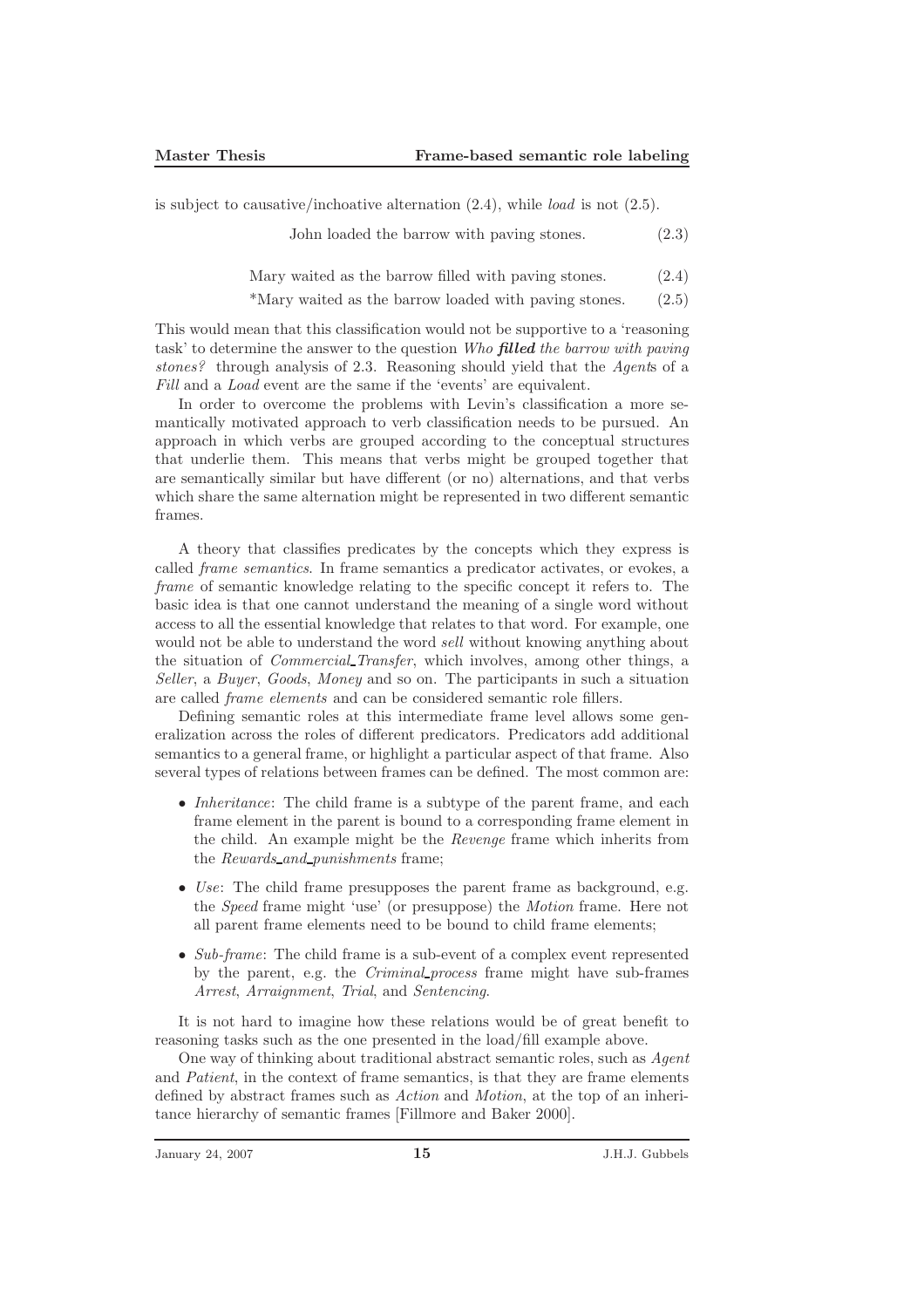is subject to causative/inchoative alternation  $(2.4)$ , while *load* is not  $(2.5)$ .

John loaded the barrow with paving stones. (2.3)

Mary waited as the barrow filled with paving stones. (2.4)

\*Mary waited as the barrow loaded with paving stones.  $(2.5)$ 

This would mean that this classification would not be supportive to a 'reasoning task' to determine the answer to the question Who filled the barrow with paving stones? through analysis of 2.3. Reasoning should yield that the Agents of a Fill and a Load event are the same if the 'events' are equivalent.

In order to overcome the problems with Levin's classification a more semantically motivated approach to verb classification needs to be pursued. An approach in which verbs are grouped according to the conceptual structures that underlie them. This means that verbs might be grouped together that are semantically similar but have different (or no) alternations, and that verbs which share the same alternation might be represented in two different semantic frames.

A theory that classifies predicates by the concepts which they express is called frame semantics. In frame semantics a predicator activates, or evokes, a frame of semantic knowledge relating to the specific concept it refers to. The basic idea is that one cannot understand the meaning of a single word without access to all the essential knowledge that relates to that word. For example, one would not be able to understand the word *sell* without knowing anything about the situation of Commercial Transfer, which involves, among other things, a Seller, a Buyer, Goods, Money and so on. The participants in such a situation are called frame elements and can be considered semantic role fillers.

Defining semantic roles at this intermediate frame level allows some generalization across the roles of different predicators. Predicators add additional semantics to a general frame, or highlight a particular aspect of that frame. Also several types of relations between frames can be defined. The most common are:

- *Inheritance*: The child frame is a subtype of the parent frame, and each frame element in the parent is bound to a corresponding frame element in the child. An example might be the Revenge frame which inherits from the Rewards\_and\_punishments frame;
- Use: The child frame presupposes the parent frame as background, e.g. the Speed frame might 'use' (or presuppose) the Motion frame. Here not all parent frame elements need to be bound to child frame elements;
- Sub-frame: The child frame is a sub-event of a complex event represented by the parent, e.g. the Criminal process frame might have sub-frames Arrest, Arraignment, Trial, and Sentencing.

It is not hard to imagine how these relations would be of great benefit to reasoning tasks such as the one presented in the load/fill example above.

One way of thinking about traditional abstract semantic roles, such as Agent and Patient, in the context of frame semantics, is that they are frame elements defined by abstract frames such as Action and Motion, at the top of an inheritance hierarchy of semantic frames [Fillmore and Baker 2000].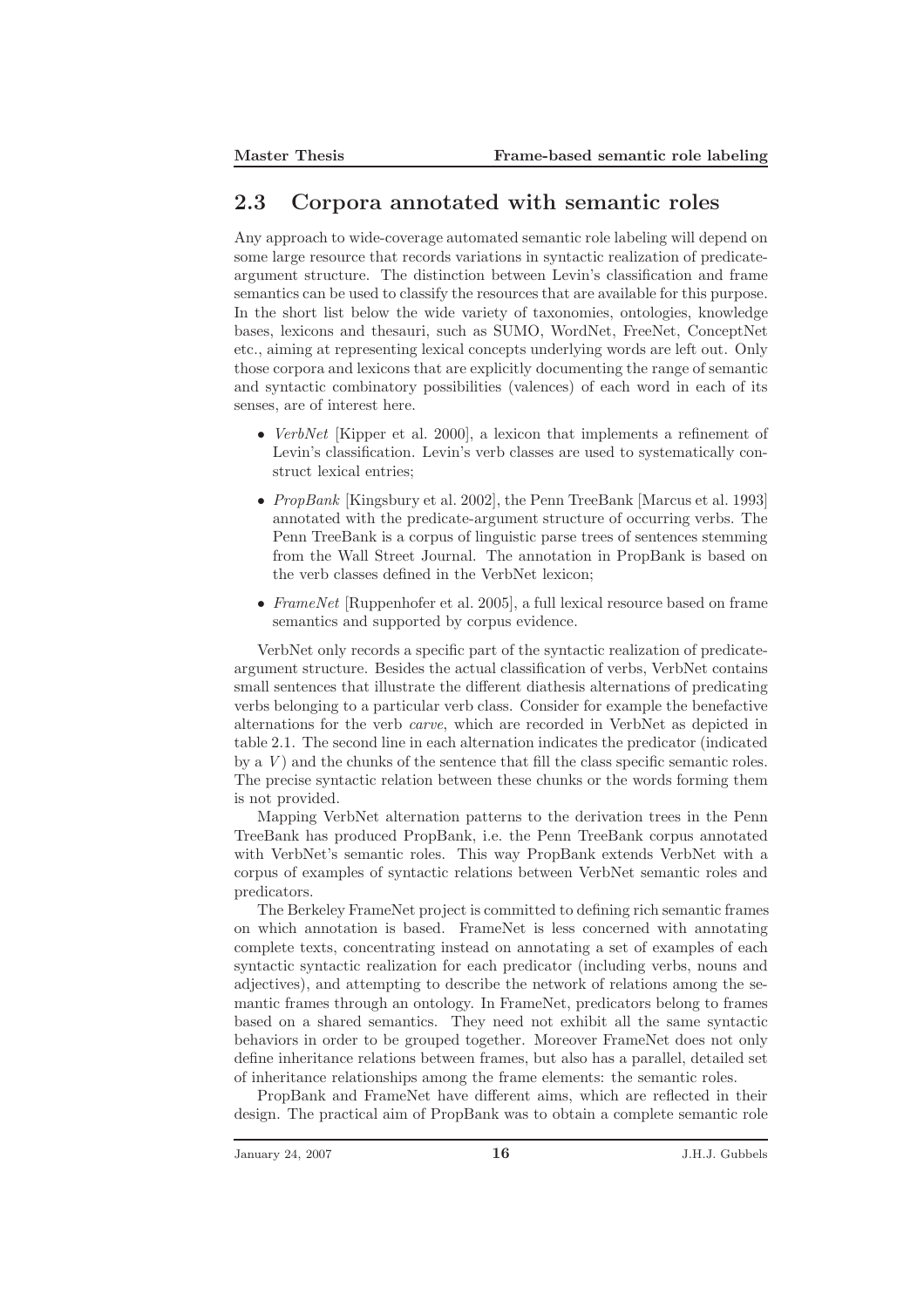### 2.3 Corpora annotated with semantic roles

Any approach to wide-coverage automated semantic role labeling will depend on some large resource that records variations in syntactic realization of predicateargument structure. The distinction between Levin's classification and frame semantics can be used to classify the resources that are available for this purpose. In the short list below the wide variety of taxonomies, ontologies, knowledge bases, lexicons and thesauri, such as SUMO, WordNet, FreeNet, ConceptNet etc., aiming at representing lexical concepts underlying words are left out. Only those corpora and lexicons that are explicitly documenting the range of semantic and syntactic combinatory possibilities (valences) of each word in each of its senses, are of interest here.

- VerbNet [Kipper et al. 2000], a lexicon that implements a refinement of Levin's classification. Levin's verb classes are used to systematically construct lexical entries;
- PropBank [Kingsbury et al. 2002], the Penn TreeBank [Marcus et al. 1993] annotated with the predicate-argument structure of occurring verbs. The Penn TreeBank is a corpus of linguistic parse trees of sentences stemming from the Wall Street Journal. The annotation in PropBank is based on the verb classes defined in the VerbNet lexicon;
- FrameNet [Ruppenhofer et al. 2005], a full lexical resource based on frame semantics and supported by corpus evidence.

VerbNet only records a specific part of the syntactic realization of predicateargument structure. Besides the actual classification of verbs, VerbNet contains small sentences that illustrate the different diathesis alternations of predicating verbs belonging to a particular verb class. Consider for example the benefactive alternations for the verb carve, which are recorded in VerbNet as depicted in table 2.1. The second line in each alternation indicates the predicator (indicated by a  $V$ ) and the chunks of the sentence that fill the class specific semantic roles. The precise syntactic relation between these chunks or the words forming them is not provided.

Mapping VerbNet alternation patterns to the derivation trees in the Penn TreeBank has produced PropBank, i.e. the Penn TreeBank corpus annotated with VerbNet's semantic roles. This way PropBank extends VerbNet with a corpus of examples of syntactic relations between VerbNet semantic roles and predicators.

The Berkeley FrameNet project is committed to defining rich semantic frames on which annotation is based. FrameNet is less concerned with annotating complete texts, concentrating instead on annotating a set of examples of each syntactic syntactic realization for each predicator (including verbs, nouns and adjectives), and attempting to describe the network of relations among the semantic frames through an ontology. In FrameNet, predicators belong to frames based on a shared semantics. They need not exhibit all the same syntactic behaviors in order to be grouped together. Moreover FrameNet does not only define inheritance relations between frames, but also has a parallel, detailed set of inheritance relationships among the frame elements: the semantic roles.

PropBank and FrameNet have different aims, which are reflected in their design. The practical aim of PropBank was to obtain a complete semantic role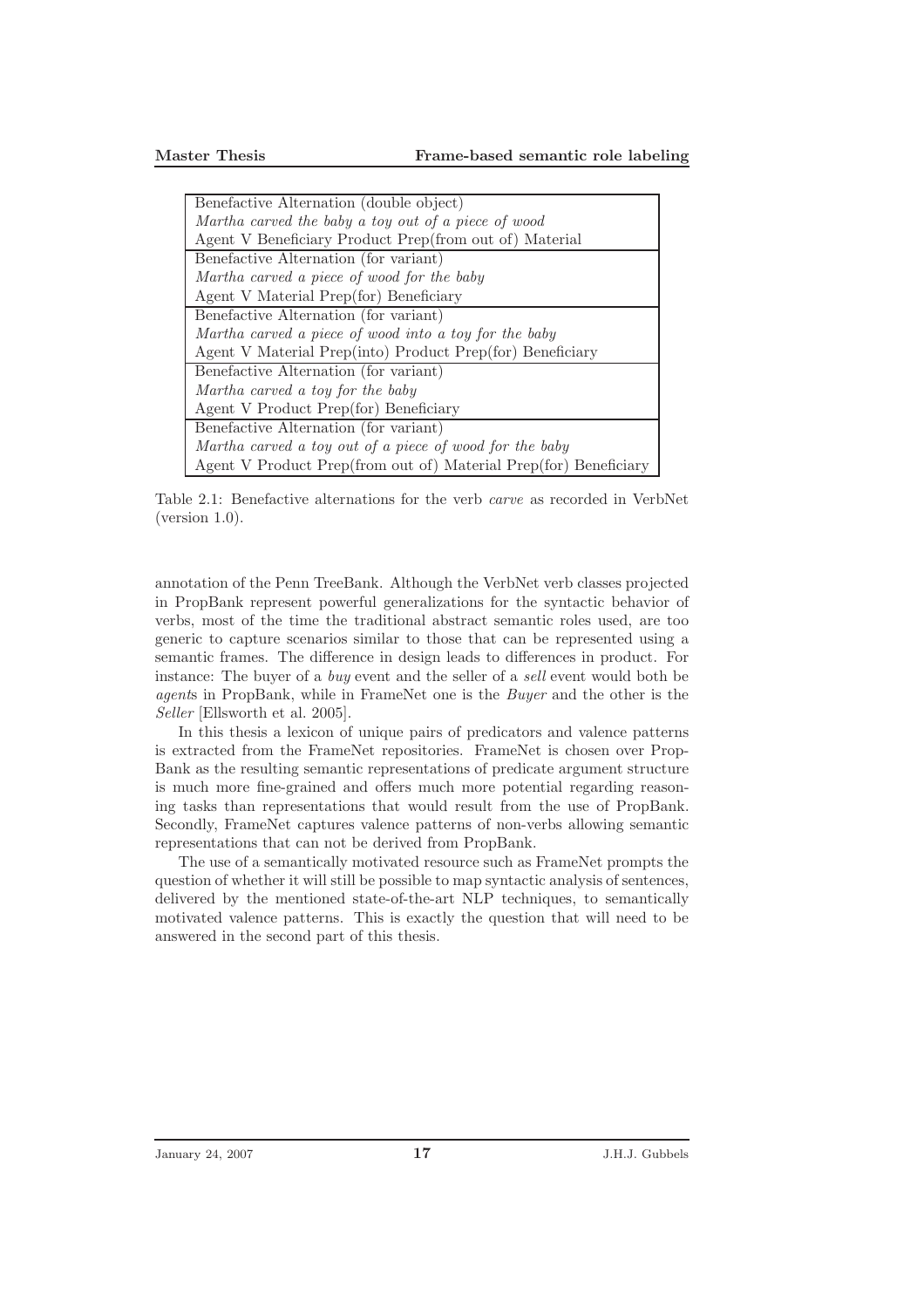| Benefactive Alternation (double object)                          |
|------------------------------------------------------------------|
|                                                                  |
| Martha carved the baby a toy out of a piece of wood              |
| Agent V Beneficiary Product Prep(from out of) Material           |
| Benefactive Alternation (for variant)                            |
| Martha carved a piece of wood for the baby                       |
| Agent V Material Prep(for) Beneficiary                           |
| Benefactive Alternation (for variant)                            |
| Martha carved a piece of wood into a toy for the baby            |
| Agent V Material Prep(into) Product Prep(for) Beneficiary        |
| Benefactive Alternation (for variant)                            |
| Martha carved a toy for the baby                                 |
| Agent V Product Prep(for) Beneficiary                            |
| Benefactive Alternation (for variant)                            |
| Martha carved a toy out of a piece of wood for the baby          |
| Agent V Product Prep(from out of) Material Prep(for) Beneficiary |

Table 2.1: Benefactive alternations for the verb carve as recorded in VerbNet (version 1.0).

annotation of the Penn TreeBank. Although the VerbNet verb classes projected in PropBank represent powerful generalizations for the syntactic behavior of verbs, most of the time the traditional abstract semantic roles used, are too generic to capture scenarios similar to those that can be represented using a semantic frames. The difference in design leads to differences in product. For instance: The buyer of a buy event and the seller of a sell event would both be agents in PropBank, while in FrameNet one is the Buyer and the other is the Seller [Ellsworth et al. 2005].

In this thesis a lexicon of unique pairs of predicators and valence patterns is extracted from the FrameNet repositories. FrameNet is chosen over Prop-Bank as the resulting semantic representations of predicate argument structure is much more fine-grained and offers much more potential regarding reasoning tasks than representations that would result from the use of PropBank. Secondly, FrameNet captures valence patterns of non-verbs allowing semantic representations that can not be derived from PropBank.

The use of a semantically motivated resource such as FrameNet prompts the question of whether it will still be possible to map syntactic analysis of sentences, delivered by the mentioned state-of-the-art NLP techniques, to semantically motivated valence patterns. This is exactly the question that will need to be answered in the second part of this thesis.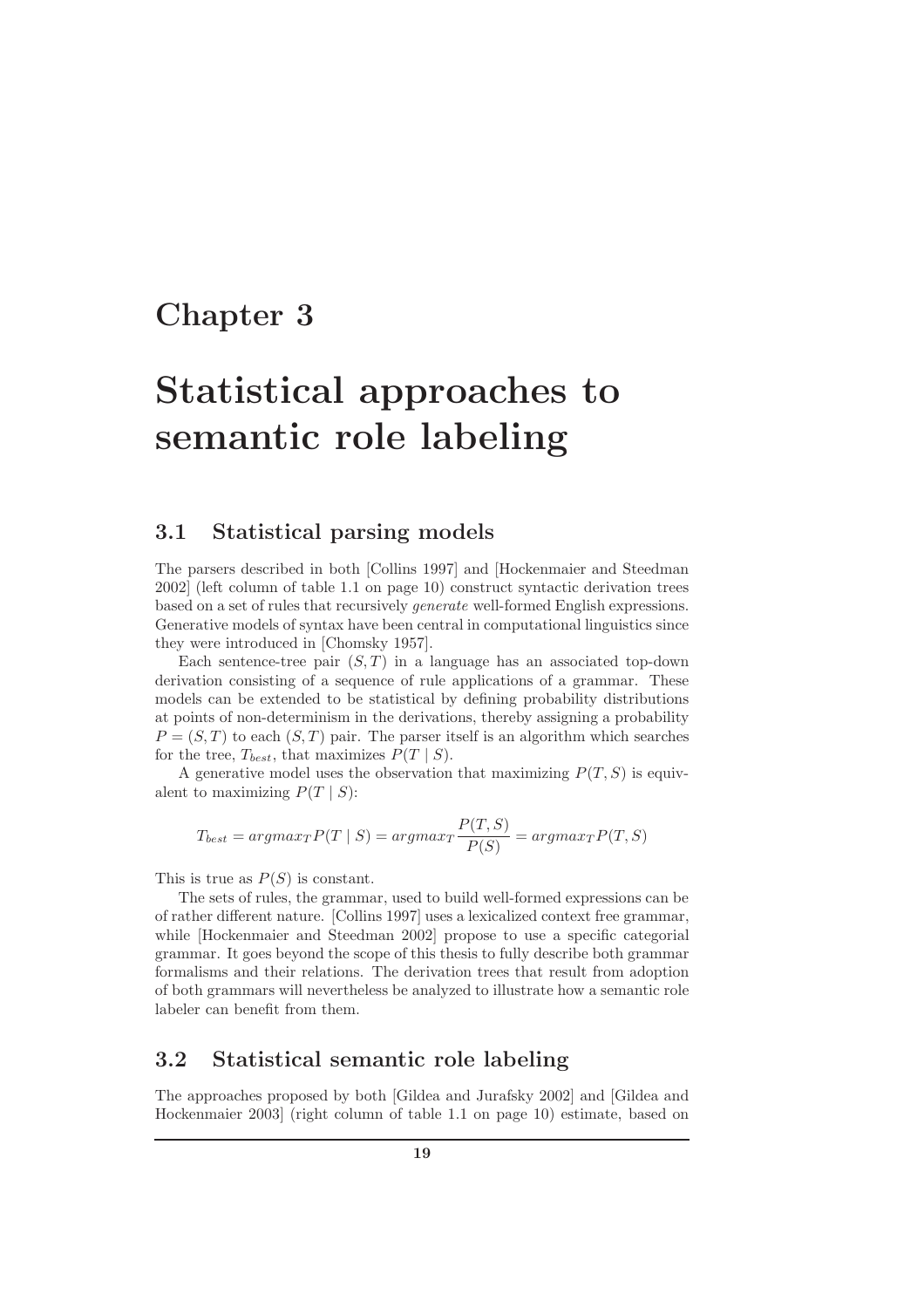### Chapter 3

# Statistical approaches to semantic role labeling

### 3.1 Statistical parsing models

The parsers described in both [Collins 1997] and [Hockenmaier and Steedman 2002] (left column of table 1.1 on page 10) construct syntactic derivation trees based on a set of rules that recursively generate well-formed English expressions. Generative models of syntax have been central in computational linguistics since they were introduced in [Chomsky 1957].

Each sentence-tree pair  $(S, T)$  in a language has an associated top-down derivation consisting of a sequence of rule applications of a grammar. These models can be extended to be statistical by defining probability distributions at points of non-determinism in the derivations, thereby assigning a probability  $P = (S, T)$  to each  $(S, T)$  pair. The parser itself is an algorithm which searches for the tree,  $T_{best}$ , that maximizes  $P(T | S)$ .

A generative model uses the observation that maximizing  $P(T, S)$  is equivalent to maximizing  $P(T | S)$ :

$$
T_{best} = argmax_{T} P(T | S) = argmax_{T} \frac{P(T, S)}{P(S)} = argmax_{T} P(T, S)
$$

This is true as  $P(S)$  is constant.

The sets of rules, the grammar, used to build well-formed expressions can be of rather different nature. [Collins 1997] uses a lexicalized context free grammar, while [Hockenmaier and Steedman 2002] propose to use a specific categorial grammar. It goes beyond the scope of this thesis to fully describe both grammar formalisms and their relations. The derivation trees that result from adoption of both grammars will nevertheless be analyzed to illustrate how a semantic role labeler can benefit from them.

### 3.2 Statistical semantic role labeling

The approaches proposed by both [Gildea and Jurafsky 2002] and [Gildea and Hockenmaier 2003] (right column of table 1.1 on page 10) estimate, based on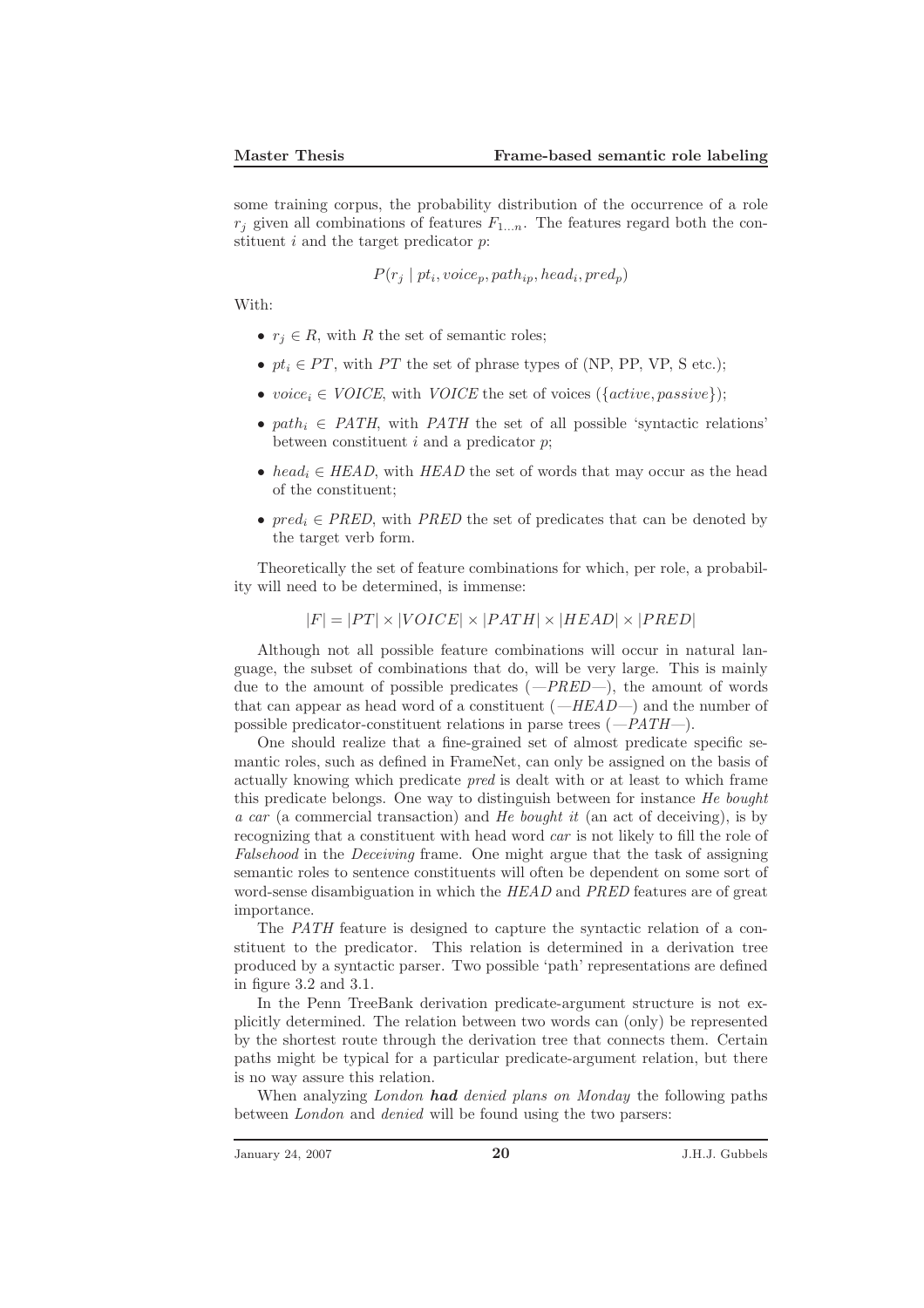some training corpus, the probability distribution of the occurrence of a role  $r_j$  given all combinations of features  $F_{1...n}$ . The features regard both the constituent *i* and the target predicator *p*:

$$
P(r_j \mid pt_i, voice_p, path_{ip}, head_i, pred_p)
$$

With:

- $r_i \in R$ , with R the set of semantic roles;
- $pt_i \in PT$ , with PT the set of phrase types of (NP, PP, VP, S etc.);
- voice<sub>i</sub>  $\in$  *VOICE*, with *VOICE* the set of voices ({*active, passive*});
- path<sub>i</sub>  $\in$  PATH, with PATH the set of all possible 'syntactic relations' between constituent  $i$  and a predicator  $p$ ;
- head<sub>i</sub>  $\in HEAD$ , with HEAD the set of words that may occur as the head of the constituent;
- $pred_i \in PRED$ , with PRED the set of predicates that can be denoted by the target verb form.

Theoretically the set of feature combinations for which, per role, a probability will need to be determined, is immense:

 $|F| = |PT| \times |VOICE| \times |PATH| \times |HEAD| \times |PRED|$ 

Although not all possible feature combinations will occur in natural language, the subset of combinations that do, will be very large. This is mainly due to the amount of possible predicates  $(-PRED-)$ , the amount of words that can appear as head word of a constituent  $(-HEAD-)$  and the number of possible predicator-constituent relations in parse trees  $(-PATH-)$ .

One should realize that a fine-grained set of almost predicate specific semantic roles, such as defined in FrameNet, can only be assigned on the basis of actually knowing which predicate pred is dealt with or at least to which frame this predicate belongs. One way to distinguish between for instance He bought a car (a commercial transaction) and He bought it (an act of deceiving), is by recognizing that a constituent with head word car is not likely to fill the role of Falsehood in the Deceiving frame. One might argue that the task of assigning semantic roles to sentence constituents will often be dependent on some sort of word-sense disambiguation in which the HEAD and PRED features are of great importance.

The PATH feature is designed to capture the syntactic relation of a constituent to the predicator. This relation is determined in a derivation tree produced by a syntactic parser. Two possible 'path' representations are defined in figure 3.2 and 3.1.

In the Penn TreeBank derivation predicate-argument structure is not explicitly determined. The relation between two words can (only) be represented by the shortest route through the derivation tree that connects them. Certain paths might be typical for a particular predicate-argument relation, but there is no way assure this relation.

When analyzing *London* had denied plans on Monday the following paths between London and denied will be found using the two parsers: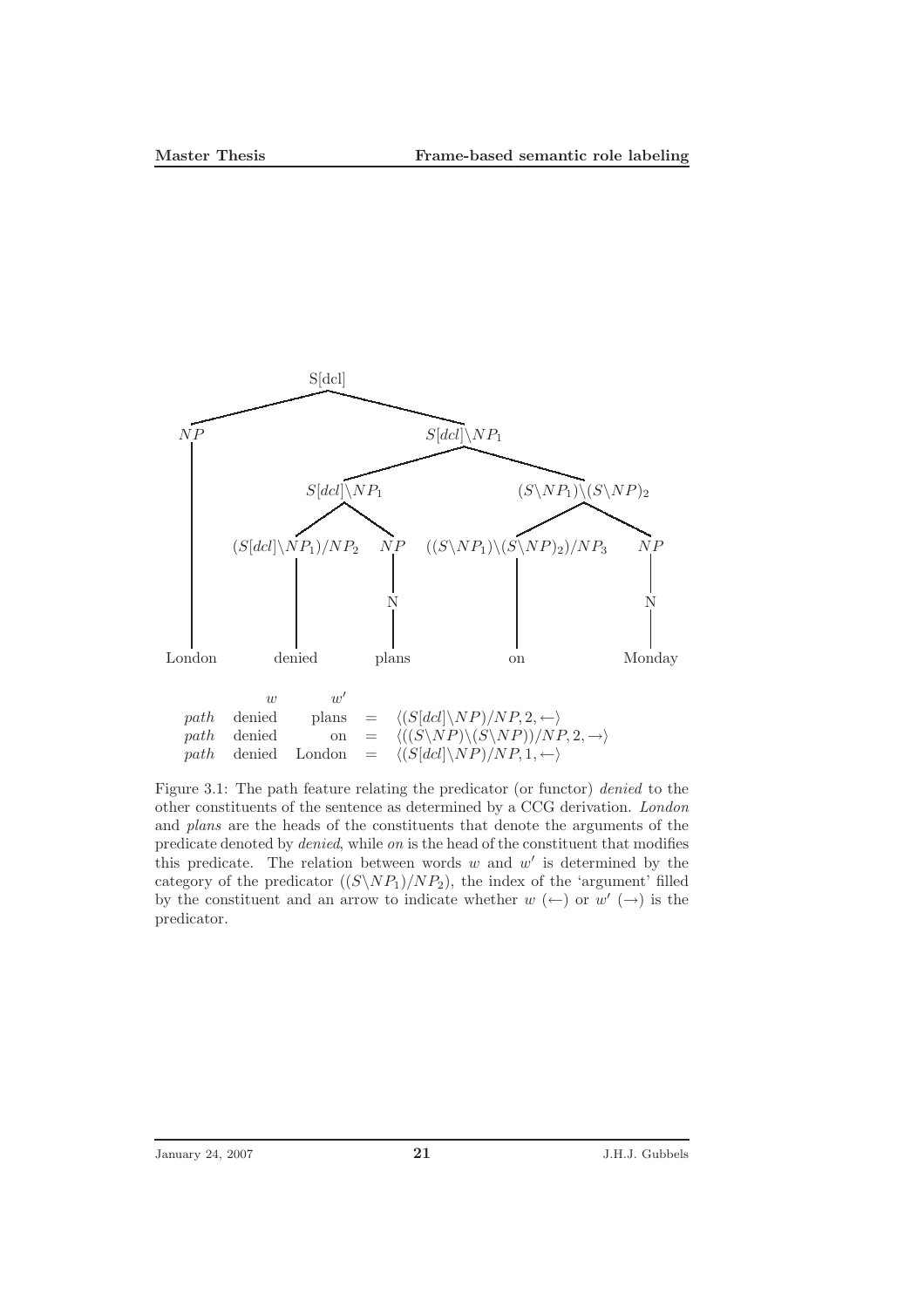

Figure 3.1: The path feature relating the predicator (or functor) denied to the other constituents of the sentence as determined by a CCG derivation. London and plans are the heads of the constituents that denote the arguments of the predicate denoted by denied, while on is the head of the constituent that modifies this predicate. The relation between words  $w$  and  $w'$  is determined by the category of the predicator  $((S\ N P_1)/N P_2)$ , the index of the 'argument' filled by the constituent and an arrow to indicate whether  $w \leftrightarrow w' \leftrightarrow w'$  is the predicator.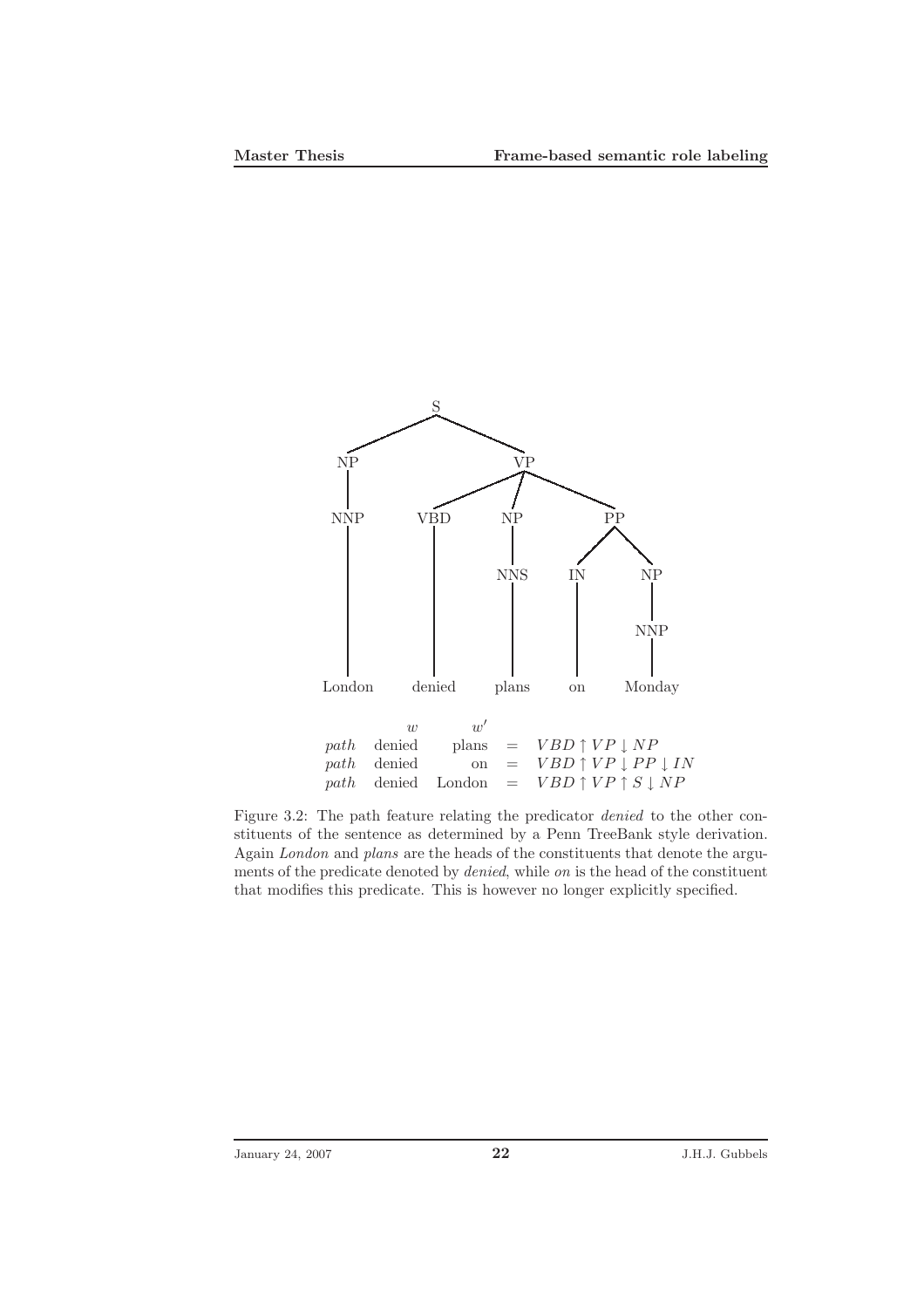

Figure 3.2: The path feature relating the predicator denied to the other constituents of the sentence as determined by a Penn TreeBank style derivation. Again London and plans are the heads of the constituents that denote the arguments of the predicate denoted by denied, while on is the head of the constituent that modifies this predicate. This is however no longer explicitly specified.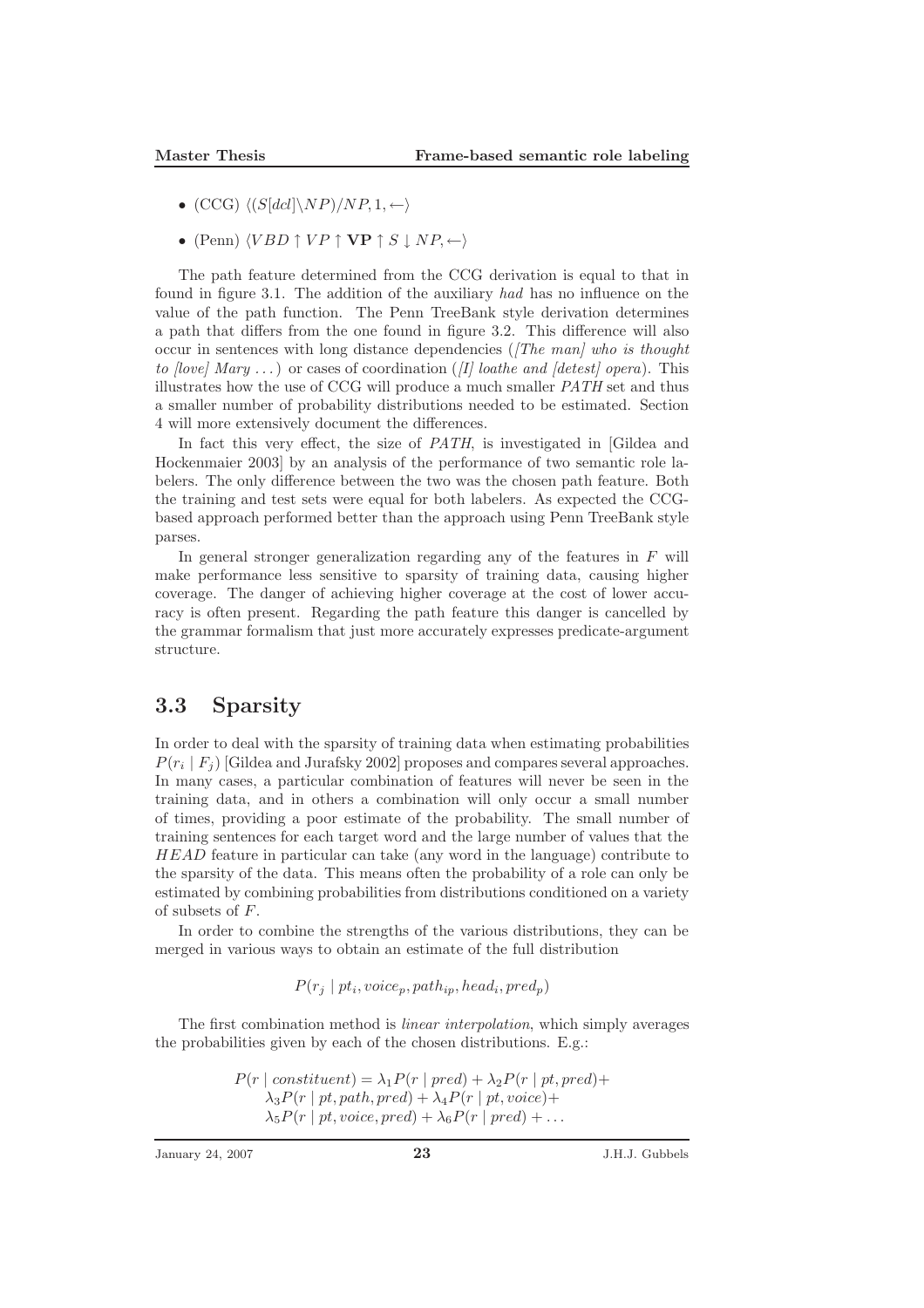- (CCG)  $\langle (S[dcl]\setminus NP)/NP, 1, \leftarrow \rangle$
- (Penn)  $\langle VBD \uparrow VP \uparrow \mathbf{VP} \uparrow S \downarrow NP, \leftarrow$ )

The path feature determined from the CCG derivation is equal to that in found in figure 3.1. The addition of the auxiliary had has no influence on the value of the path function. The Penn TreeBank style derivation determines a path that differs from the one found in figure 3.2. This difference will also occur in sentences with long distance dependencies (*[The man] who is thought* to [love] Mary ...) or cases of coordination  $(|I|)$  loathe and [detest] opera). This illustrates how the use of CCG will produce a much smaller PATH set and thus a smaller number of probability distributions needed to be estimated. Section 4 will more extensively document the differences.

In fact this very effect, the size of PATH, is investigated in [Gildea and Hockenmaier 2003] by an analysis of the performance of two semantic role labelers. The only difference between the two was the chosen path feature. Both the training and test sets were equal for both labelers. As expected the CCGbased approach performed better than the approach using Penn TreeBank style parses.

In general stronger generalization regarding any of the features in  $F$  will make performance less sensitive to sparsity of training data, causing higher coverage. The danger of achieving higher coverage at the cost of lower accuracy is often present. Regarding the path feature this danger is cancelled by the grammar formalism that just more accurately expresses predicate-argument structure.

### 3.3 Sparsity

In order to deal with the sparsity of training data when estimating probabilities  $P(r_i | F_j)$  [Gildea and Jurafsky 2002] proposes and compares several approaches. In many cases, a particular combination of features will never be seen in the training data, and in others a combination will only occur a small number of times, providing a poor estimate of the probability. The small number of training sentences for each target word and the large number of values that the HEAD feature in particular can take (any word in the language) contribute to the sparsity of the data. This means often the probability of a role can only be estimated by combining probabilities from distributions conditioned on a variety of subsets of F.

In order to combine the strengths of the various distributions, they can be merged in various ways to obtain an estimate of the full distribution

 $P(r_j | pt_i, voice_p, path_{ip}, head_i, pred_p)$ 

The first combination method is linear interpolation, which simply averages the probabilities given by each of the chosen distributions. E.g.:

> $P(r \mid constituent) = \lambda_1 P(r \mid pred) + \lambda_2 P(r \mid pt, pred) +$  $\lambda_3P(r \mid pt, path, pred) + \lambda_4P(r \mid pt, voice) +$  $\lambda_5 P(r \mid pt, voice, pred) + \lambda_6 P(r \mid pred) + ...$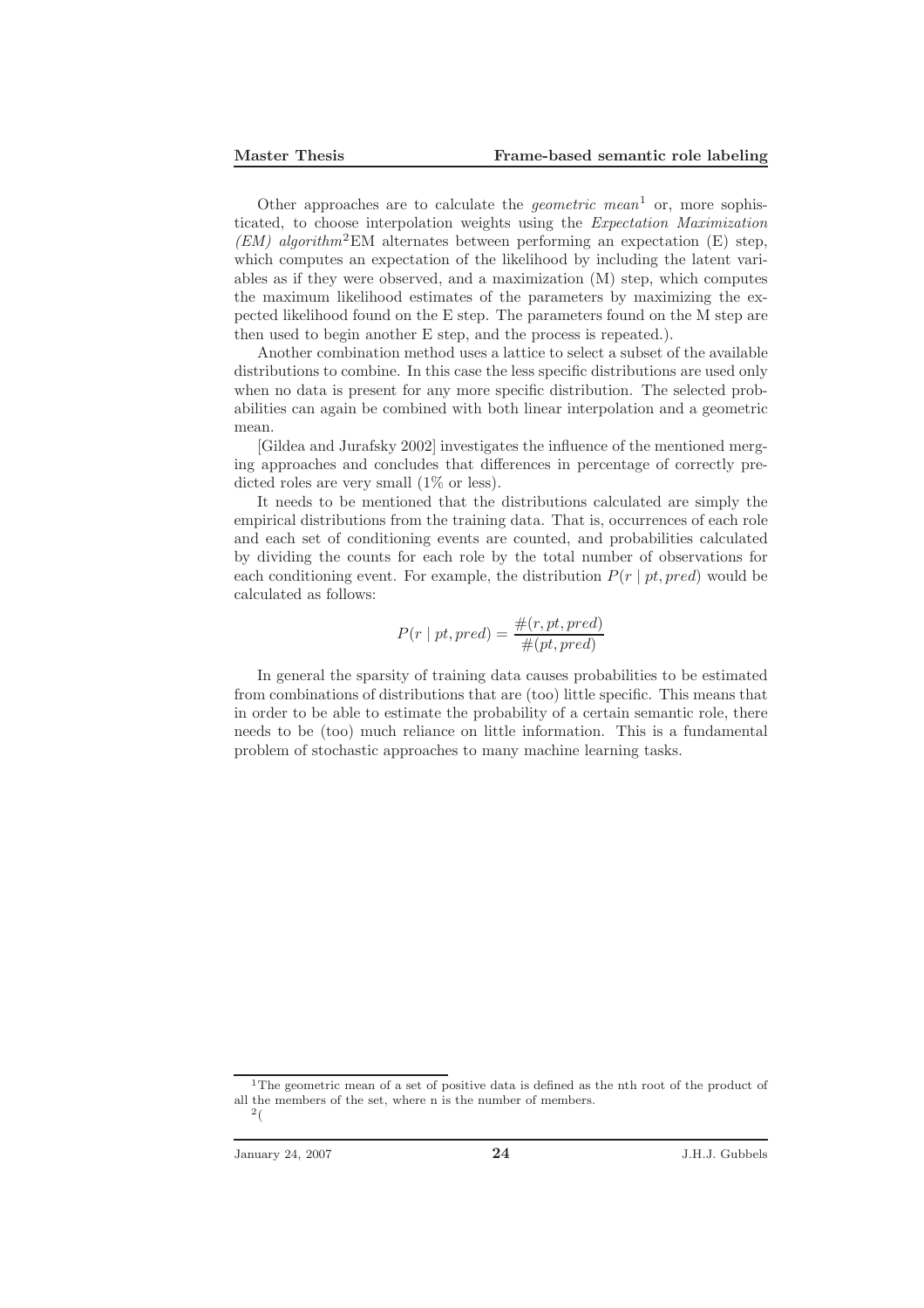Other approaches are to calculate the *geometric mean*<sup>1</sup> or, more sophisticated, to choose interpolation weights using the Expectation Maximization  $(EM)$  algorithm<sup>2</sup>EM alternates between performing an expectation  $(E)$  step, which computes an expectation of the likelihood by including the latent variables as if they were observed, and a maximization (M) step, which computes the maximum likelihood estimates of the parameters by maximizing the expected likelihood found on the E step. The parameters found on the M step are then used to begin another E step, and the process is repeated.).

Another combination method uses a lattice to select a subset of the available distributions to combine. In this case the less specific distributions are used only when no data is present for any more specific distribution. The selected probabilities can again be combined with both linear interpolation and a geometric mean.

[Gildea and Jurafsky 2002] investigates the influence of the mentioned merging approaches and concludes that differences in percentage of correctly predicted roles are very small (1% or less).

It needs to be mentioned that the distributions calculated are simply the empirical distributions from the training data. That is, occurrences of each role and each set of conditioning events are counted, and probabilities calculated by dividing the counts for each role by the total number of observations for each conditioning event. For example, the distribution  $P(r | pt, pred)$  would be calculated as follows:

$$
P(r | pt, pred) = \frac{\#(r, pt, pred)}{\#(pt, pred)}
$$

In general the sparsity of training data causes probabilities to be estimated from combinations of distributions that are (too) little specific. This means that in order to be able to estimate the probability of a certain semantic role, there needs to be (too) much reliance on little information. This is a fundamental problem of stochastic approaches to many machine learning tasks.

<sup>&</sup>lt;sup>1</sup>The geometric mean of a set of positive data is defined as the nth root of the product of all the members of the set, where n is the number of members. 2 (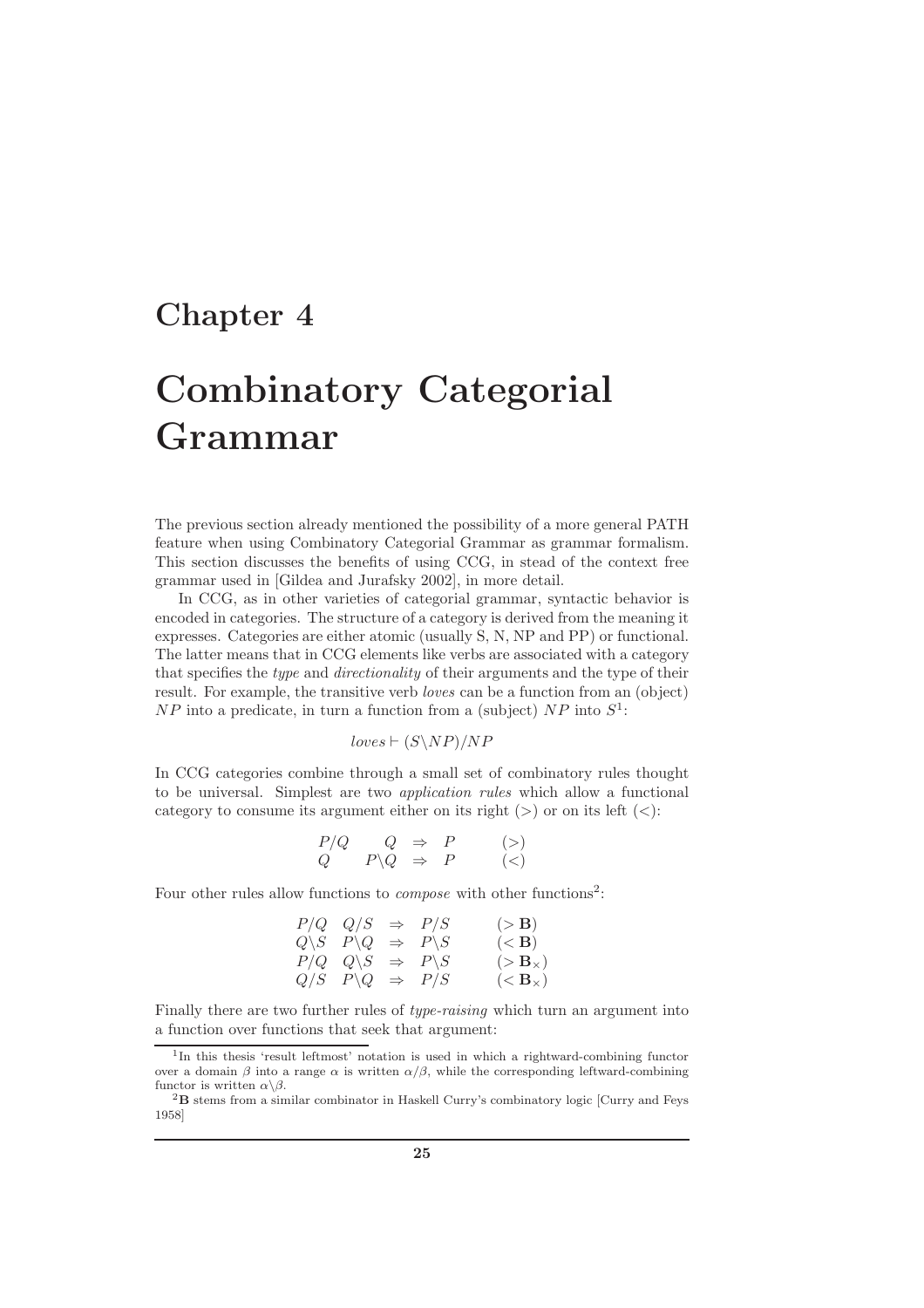### Chapter 4

# Combinatory Categorial Grammar

The previous section already mentioned the possibility of a more general PATH feature when using Combinatory Categorial Grammar as grammar formalism. This section discusses the benefits of using CCG, in stead of the context free grammar used in [Gildea and Jurafsky 2002], in more detail.

In CCG, as in other varieties of categorial grammar, syntactic behavior is encoded in categories. The structure of a category is derived from the meaning it expresses. Categories are either atomic (usually S, N, NP and PP) or functional. The latter means that in CCG elements like verbs are associated with a category that specifies the type and directionality of their arguments and the type of their result. For example, the transitive verb loves can be a function from an (object)  $NP$  into a predicate, in turn a function from a (subject)  $NP$  into  $S<sup>1</sup>$ :

$$
loves \vdash (S \backslash NP) / NP
$$

In CCG categories combine through a small set of combinatory rules thought to be universal. Simplest are two application rules which allow a functional category to consume its argument either on its right  $(>)$  or on its left  $($ .

$$
\begin{array}{ccc}\nP/Q & Q & \Rightarrow & P & (\gt) \\
Q & P\backslash Q & \Rightarrow & P & (\lt) \\
\end{array}
$$

Four other rules allow functions to *compose* with other functions<sup>2</sup>:

$$
\begin{array}{rcl}\nP/Q & Q/S & \Rightarrow & P/S & (\gt; \mathbf{B}) \\
Q \setminus S & P \setminus Q & \Rightarrow & P \setminus S & (\lt; \mathbf{B}) \\
P/Q & Q \setminus S & \Rightarrow & P \setminus S & (\gt; \mathbf{B}_\times) \\
Q/S & P \setminus Q & \Rightarrow & P/S & (\lt; \mathbf{B}_\times)\n\end{array}
$$

Finally there are two further rules of *type-raising* which turn an argument into a function over functions that seek that argument:

<sup>&</sup>lt;sup>1</sup>In this thesis 'result leftmost' notation is used in which a rightward-combining functor over a domain  $\beta$  into a range  $\alpha$  is written  $\alpha/\beta$ , while the corresponding leftward-combining functor is written  $\alpha \backslash \beta$ .

<sup>2</sup>B stems from a similar combinator in Haskell Curry's combinatory logic [Curry and Feys 1958]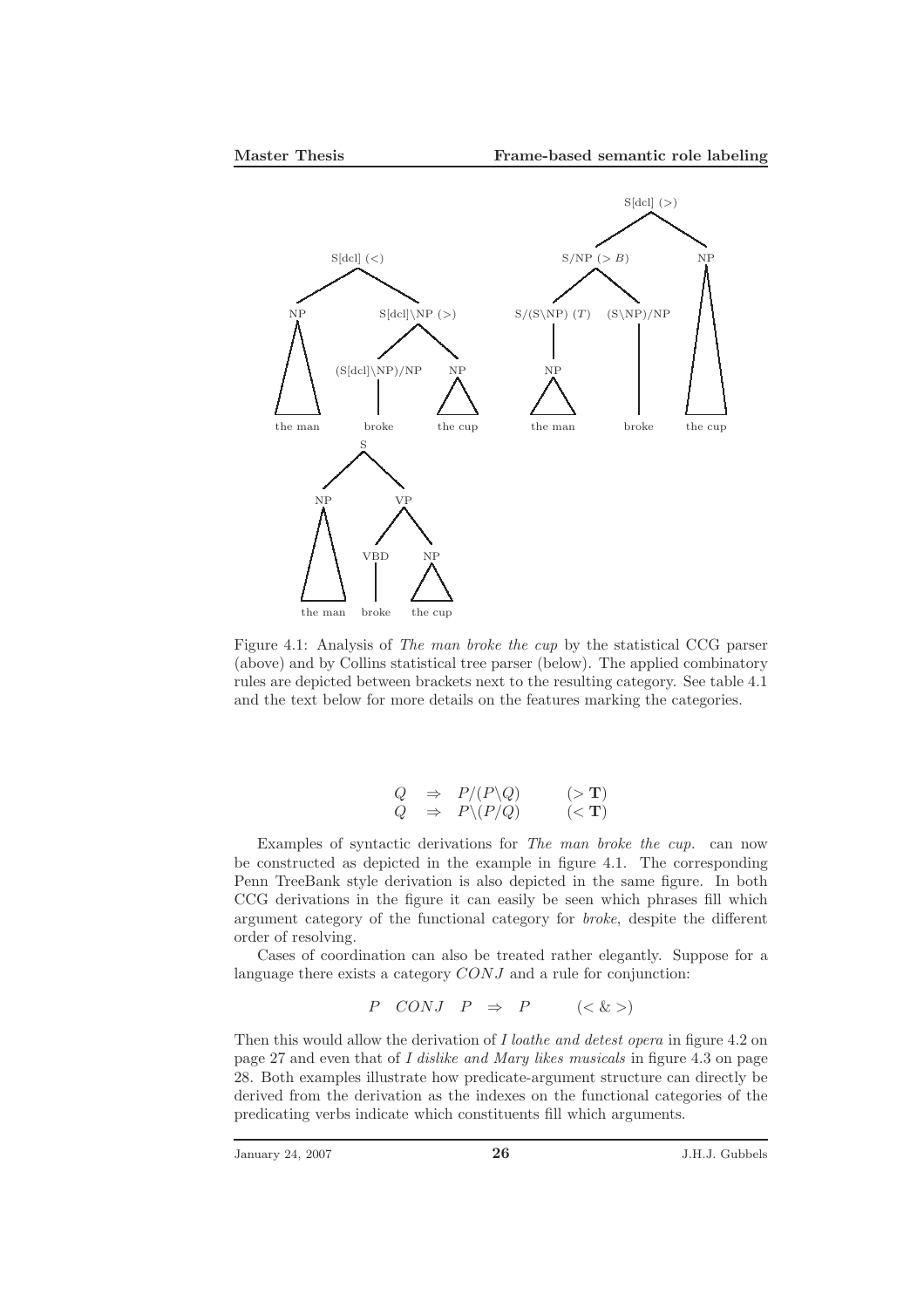

Figure 4.1: Analysis of The man broke the cup by the statistical CCG parser (above) and by Collins statistical tree parser (below). The applied combinatory rules are depicted between brackets next to the resulting category. See table 4.1 and the text below for more details on the features marking the categories.

| Q | $\Rightarrow$ $P/(P\backslash Q)$ | $($ T)       |
|---|-----------------------------------|--------------|
| Q | $\Rightarrow P\setminus (P/Q)$    | $(<{\bf T})$ |

Examples of syntactic derivations for The man broke the cup. can now be constructed as depicted in the example in figure 4.1. The corresponding Penn TreeBank style derivation is also depicted in the same figure. In both CCG derivations in the figure it can easily be seen which phrases fill which argument category of the functional category for broke, despite the different order of resolving.

Cases of coordination can also be treated rather elegantly. Suppose for a language there exists a category  $CONJ$  and a rule for conjunction:

 $P \quad CONJ \quad P \Rightarrow P \quad (\langle \& \rangle)$ 

Then this would allow the derivation of I loathe and detest opera in figure 4.2 on page 27 and even that of I dislike and Mary likes musicals in figure 4.3 on page 28. Both examples illustrate how predicate-argument structure can directly be derived from the derivation as the indexes on the functional categories of the predicating verbs indicate which constituents fill which arguments.

January 24, 2007 26 J.H.J. Gubbels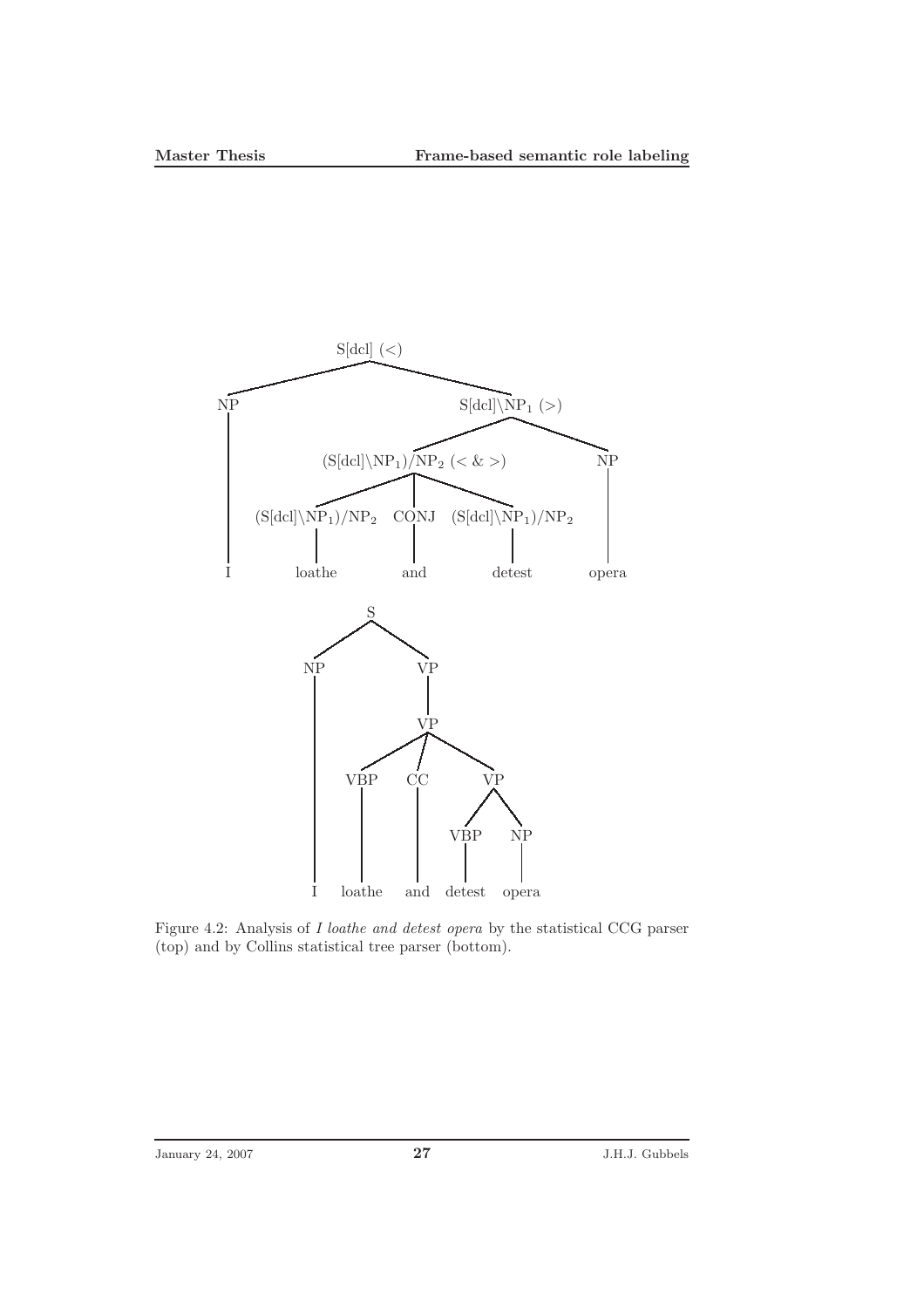

Figure 4.2: Analysis of I loathe and detest opera by the statistical CCG parser (top) and by Collins statistical tree parser (bottom).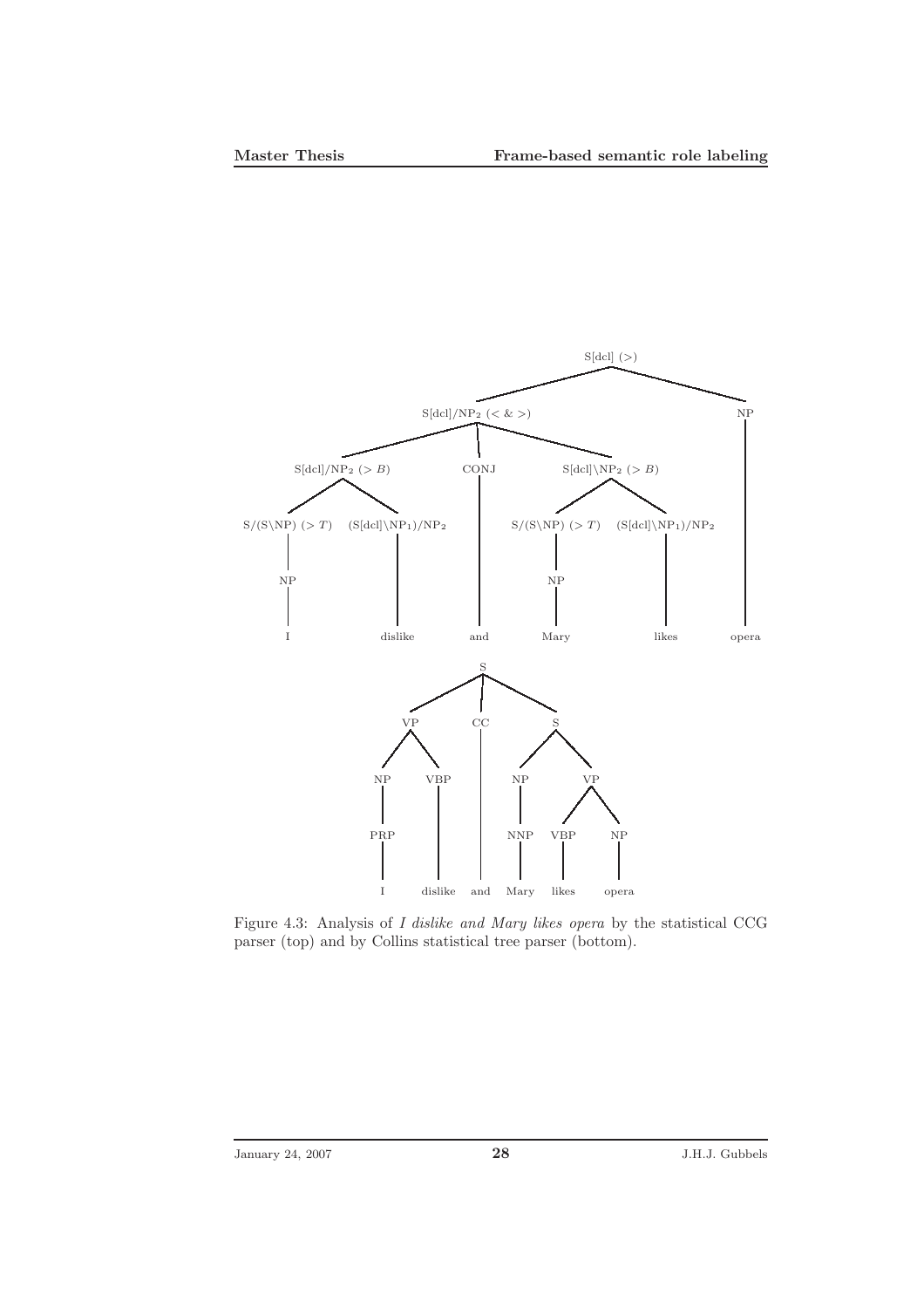

Figure 4.3: Analysis of I dislike and Mary likes opera by the statistical CCG parser (top) and by Collins statistical tree parser (bottom).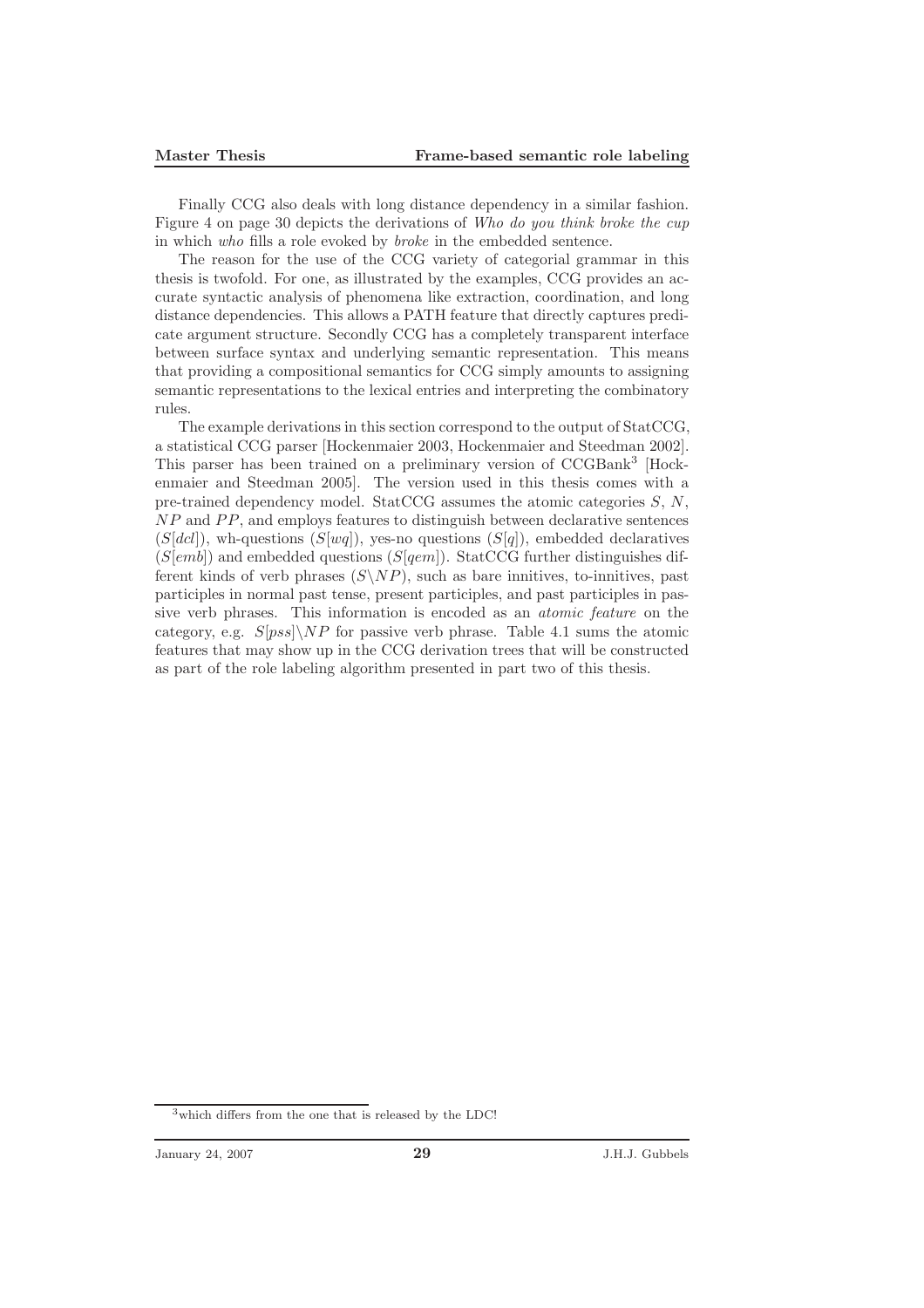Finally CCG also deals with long distance dependency in a similar fashion. Figure 4 on page 30 depicts the derivations of Who do you think broke the cup in which who fills a role evoked by broke in the embedded sentence.

The reason for the use of the CCG variety of categorial grammar in this thesis is twofold. For one, as illustrated by the examples, CCG provides an accurate syntactic analysis of phenomena like extraction, coordination, and long distance dependencies. This allows a PATH feature that directly captures predicate argument structure. Secondly CCG has a completely transparent interface between surface syntax and underlying semantic representation. This means that providing a compositional semantics for CCG simply amounts to assigning semantic representations to the lexical entries and interpreting the combinatory rules.

The example derivations in this section correspond to the output of StatCCG, a statistical CCG parser [Hockenmaier 2003, Hockenmaier and Steedman 2002]. This parser has been trained on a preliminary version of CCGBank<sup>3</sup> [Hockenmaier and Steedman 2005]. The version used in this thesis comes with a pre-trained dependency model. StatCCG assumes the atomic categories S, N,  $NP$  and  $PP$ , and employs features to distinguish between declarative sentences  $(S[dc]),$  wh-questions  $(S[wd]),$  yes-no questions  $(S[q]),$  embedded declaratives  $(S[emb])$  and embedded questions  $(S[qem])$ . StatCCG further distinguishes different kinds of verb phrases  $(S\Yedge NP)$ , such as bare innitives, to-innitives, past participles in normal past tense, present participles, and past participles in passive verb phrases. This information is encoded as an atomic feature on the category, e.g.  $S[pss] \backslash NP$  for passive verb phrase. Table 4.1 sums the atomic features that may show up in the CCG derivation trees that will be constructed as part of the role labeling algorithm presented in part two of this thesis.

<sup>3</sup>which differs from the one that is released by the LDC!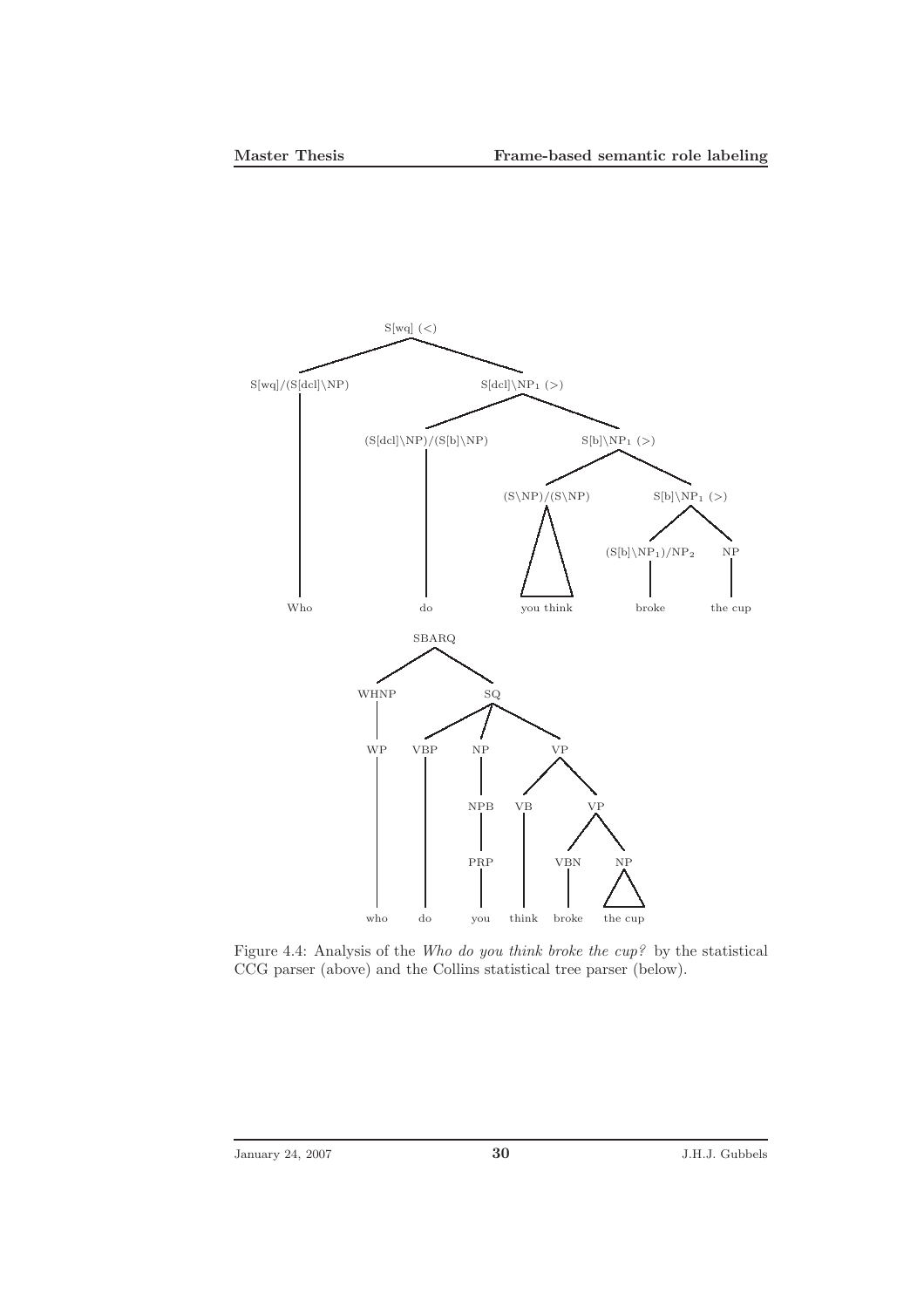

Figure 4.4: Analysis of the Who do you think broke the cup? by the statistical CCG parser (above) and the Collins statistical tree parser (below).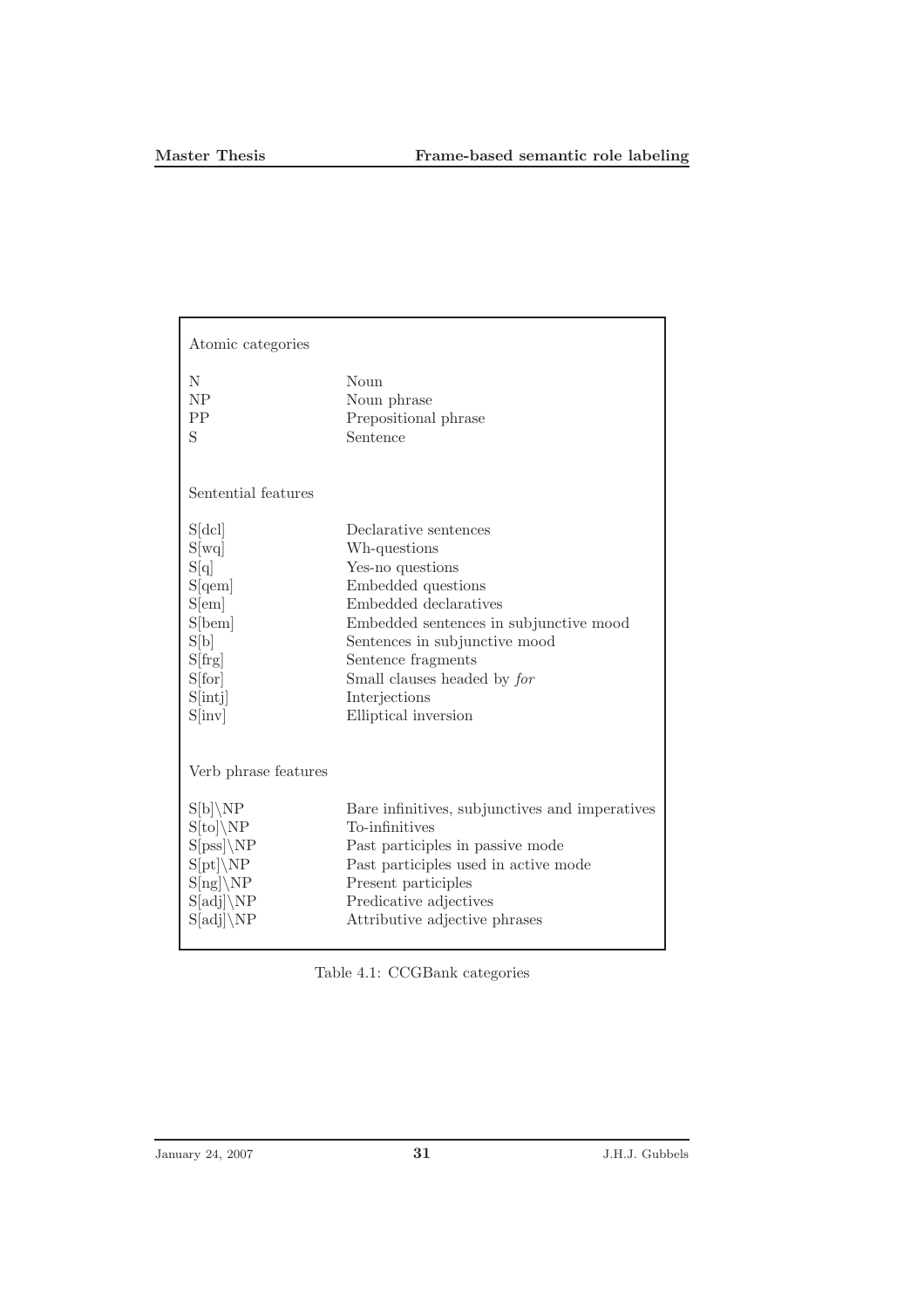r

 $\overline{\phantom{a}}$ 

| Atomic categories        |                                                |  |  |  |
|--------------------------|------------------------------------------------|--|--|--|
| N                        | Noun                                           |  |  |  |
| ${\rm NP}$               | Noun phrase                                    |  |  |  |
| PP                       | Prepositional phrase                           |  |  |  |
| S                        | Sentence                                       |  |  |  |
| Sentential features      |                                                |  |  |  |
| S[dc]                    | Declarative sentences                          |  |  |  |
| S[wq]                    | Wh-questions                                   |  |  |  |
| S[q]                     | Yes-no questions                               |  |  |  |
| S[qem]                   | Embedded questions                             |  |  |  |
| S[em]                    | Embedded declaratives                          |  |  |  |
| S[bern]                  | Embedded sentences in subjunctive mood         |  |  |  |
| S[b]                     | Sentences in subjunctive mood                  |  |  |  |
| S[frg]                   | Sentence fragments                             |  |  |  |
| S[for]                   | Small clauses headed by for                    |  |  |  |
| $S$ [intj]               | Interjections                                  |  |  |  |
| $S$ [inv]                | Elliptical inversion                           |  |  |  |
| Verb phrase features     |                                                |  |  |  |
| $S[b]\setminus NP$       | Bare infinitives, subjunctives and imperatives |  |  |  |
| $S[to]\Bigr\setminus NP$ | To-infinitives                                 |  |  |  |
| $S[pss] \backslash NP$   | Past participles in passive mode               |  |  |  |
| $S[pt]\backslash NP$     | Past participles used in active mode           |  |  |  |
| $S[ng]\NP$               | Present participles                            |  |  |  |
| $S[adj]\N P$             | Predicative adjectives                         |  |  |  |
| $S[adj]\setminus NP$     | Attributive adjective phrases                  |  |  |  |

Table 4.1: CCGBank categories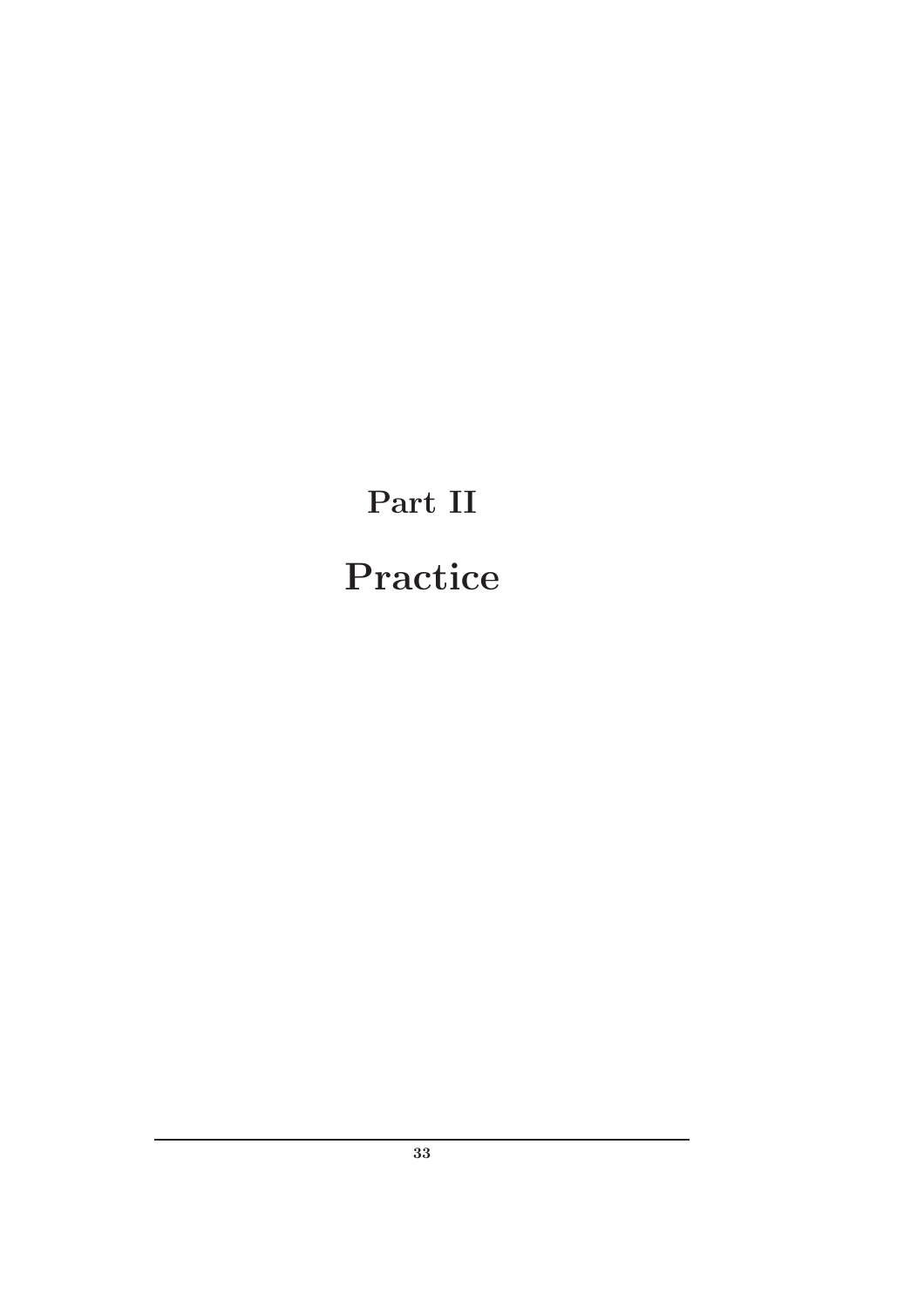Part II Practice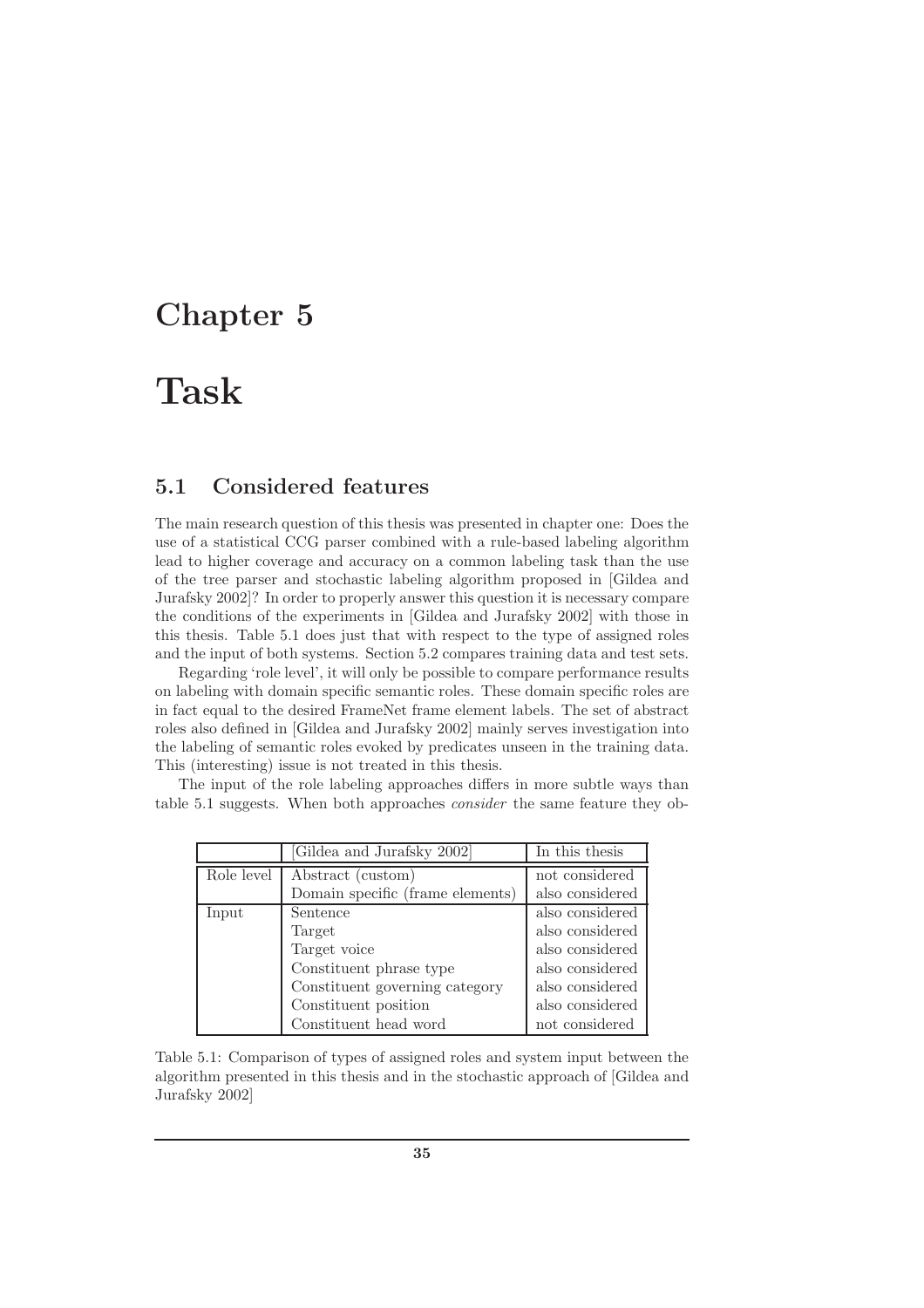## Chapter 5

## Task

### 5.1 Considered features

The main research question of this thesis was presented in chapter one: Does the use of a statistical CCG parser combined with a rule-based labeling algorithm lead to higher coverage and accuracy on a common labeling task than the use of the tree parser and stochastic labeling algorithm proposed in [Gildea and Jurafsky 2002]? In order to properly answer this question it is necessary compare the conditions of the experiments in [Gildea and Jurafsky 2002] with those in this thesis. Table 5.1 does just that with respect to the type of assigned roles and the input of both systems. Section 5.2 compares training data and test sets.

Regarding 'role level', it will only be possible to compare performance results on labeling with domain specific semantic roles. These domain specific roles are in fact equal to the desired FrameNet frame element labels. The set of abstract roles also defined in [Gildea and Jurafsky 2002] mainly serves investigation into the labeling of semantic roles evoked by predicates unseen in the training data. This (interesting) issue is not treated in this thesis.

The input of the role labeling approaches differs in more subtle ways than table 5.1 suggests. When both approaches consider the same feature they ob-

|            | [Gildea and Jurafsky 2002]       | In this thesis  |
|------------|----------------------------------|-----------------|
| Role level | Abstract (custom)                | not considered  |
|            | Domain specific (frame elements) | also considered |
| Input      | Sentence                         | also considered |
|            | Target                           | also considered |
|            | Target voice                     | also considered |
|            | Constituent phrase type          | also considered |
|            | Constituent governing category   | also considered |
|            | Constituent position             | also considered |
|            | Constituent head word            | not considered  |

Table 5.1: Comparison of types of assigned roles and system input between the algorithm presented in this thesis and in the stochastic approach of [Gildea and Jurafsky 2002]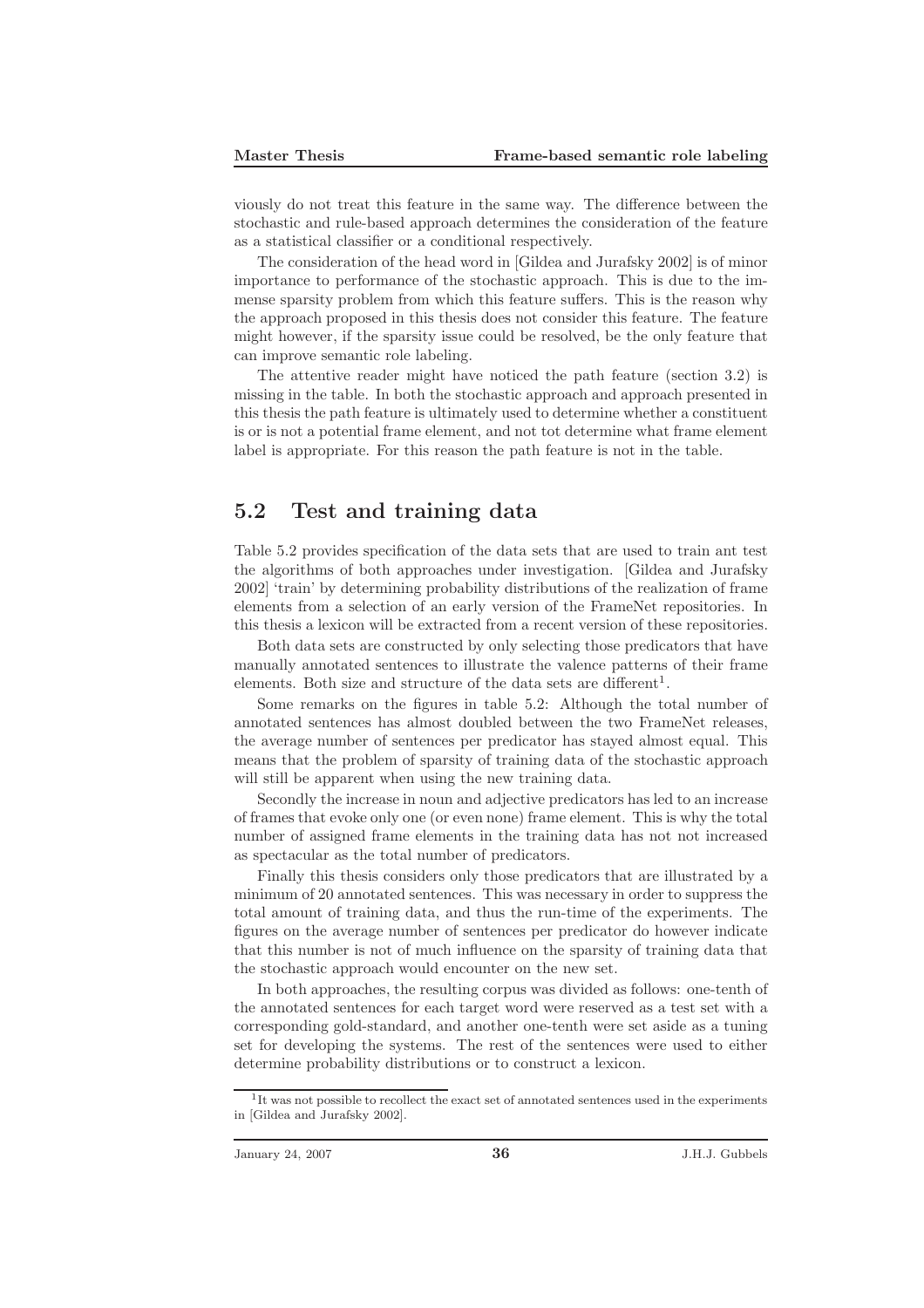viously do not treat this feature in the same way. The difference between the stochastic and rule-based approach determines the consideration of the feature as a statistical classifier or a conditional respectively.

The consideration of the head word in [Gildea and Jurafsky 2002] is of minor importance to performance of the stochastic approach. This is due to the immense sparsity problem from which this feature suffers. This is the reason why the approach proposed in this thesis does not consider this feature. The feature might however, if the sparsity issue could be resolved, be the only feature that can improve semantic role labeling.

The attentive reader might have noticed the path feature (section 3.2) is missing in the table. In both the stochastic approach and approach presented in this thesis the path feature is ultimately used to determine whether a constituent is or is not a potential frame element, and not tot determine what frame element label is appropriate. For this reason the path feature is not in the table.

### 5.2 Test and training data

Table 5.2 provides specification of the data sets that are used to train ant test the algorithms of both approaches under investigation. [Gildea and Jurafsky 2002] 'train' by determining probability distributions of the realization of frame elements from a selection of an early version of the FrameNet repositories. In this thesis a lexicon will be extracted from a recent version of these repositories.

Both data sets are constructed by only selecting those predicators that have manually annotated sentences to illustrate the valence patterns of their frame elements. Both size and structure of the data sets are different<sup>1</sup>.

Some remarks on the figures in table 5.2: Although the total number of annotated sentences has almost doubled between the two FrameNet releases, the average number of sentences per predicator has stayed almost equal. This means that the problem of sparsity of training data of the stochastic approach will still be apparent when using the new training data.

Secondly the increase in noun and adjective predicators has led to an increase of frames that evoke only one (or even none) frame element. This is why the total number of assigned frame elements in the training data has not not increased as spectacular as the total number of predicators.

Finally this thesis considers only those predicators that are illustrated by a minimum of 20 annotated sentences. This was necessary in order to suppress the total amount of training data, and thus the run-time of the experiments. The figures on the average number of sentences per predicator do however indicate that this number is not of much influence on the sparsity of training data that the stochastic approach would encounter on the new set.

In both approaches, the resulting corpus was divided as follows: one-tenth of the annotated sentences for each target word were reserved as a test set with a corresponding gold-standard, and another one-tenth were set aside as a tuning set for developing the systems. The rest of the sentences were used to either determine probability distributions or to construct a lexicon.

<sup>&</sup>lt;sup>1</sup>It was not possible to recollect the exact set of annotated sentences used in the experiments in [Gildea and Jurafsky 2002].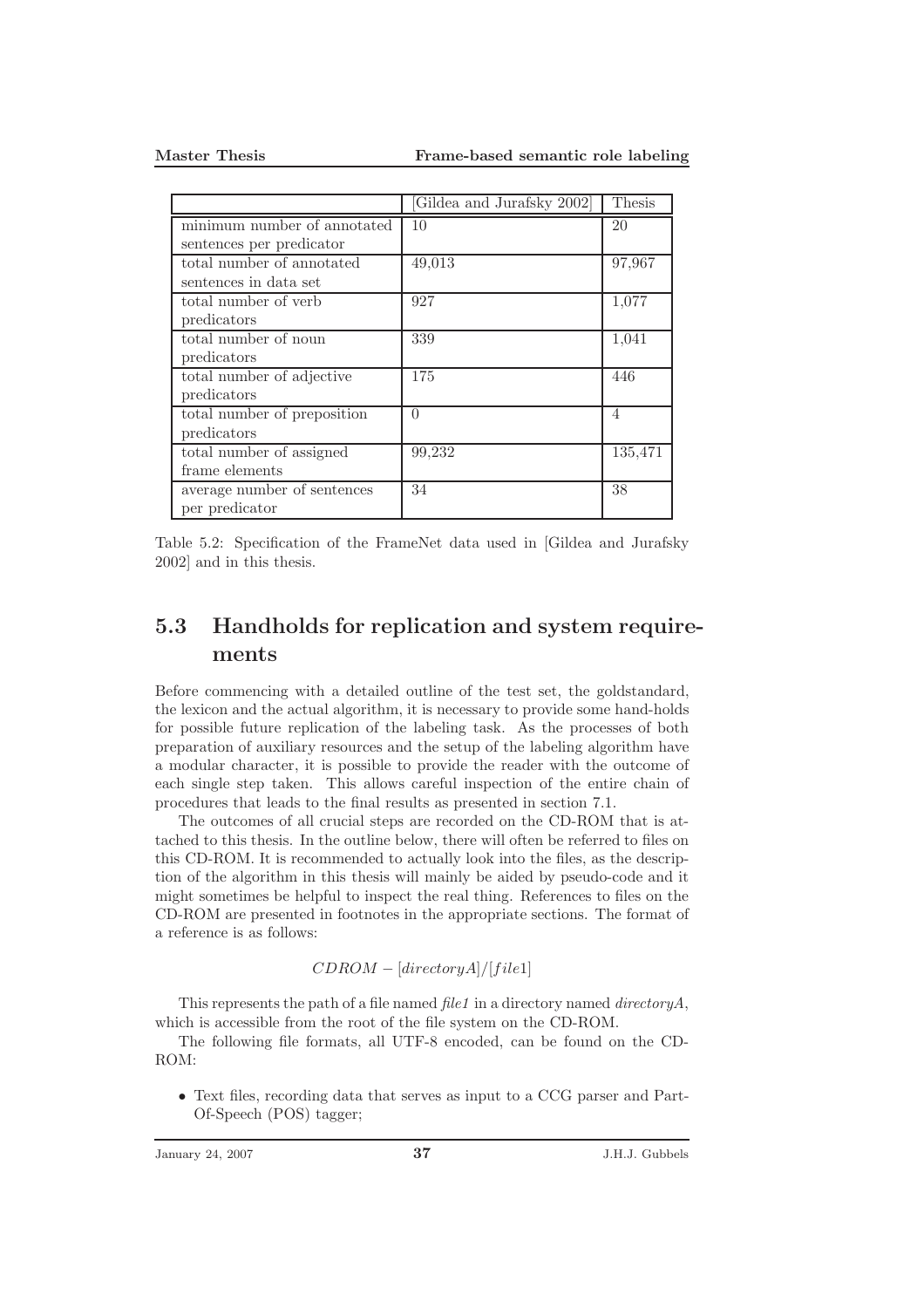|                             | Gildea and Jurafsky 2002 | Thesis  |
|-----------------------------|--------------------------|---------|
| minimum number of annotated | 10                       | 20      |
| sentences per predicator    |                          |         |
| total number of annotated   | 49,013                   | 97,967  |
| sentences in data set       |                          |         |
| total number of verb        | 927                      | 1,077   |
| predicators                 |                          |         |
| total number of noun        | 339                      | 1,041   |
| predicators                 |                          |         |
| total number of adjective   | 175                      | 446     |
| predicators                 |                          |         |
| total number of preposition | 0                        | 4       |
| predicators                 |                          |         |
| total number of assigned    | 99,232                   | 135,471 |
| frame elements              |                          |         |
| average number of sentences | 34                       | 38      |
| per predicator              |                          |         |

Table 5.2: Specification of the FrameNet data used in [Gildea and Jurafsky 2002] and in this thesis.

### 5.3 Handholds for replication and system requirements

Before commencing with a detailed outline of the test set, the goldstandard, the lexicon and the actual algorithm, it is necessary to provide some hand-holds for possible future replication of the labeling task. As the processes of both preparation of auxiliary resources and the setup of the labeling algorithm have a modular character, it is possible to provide the reader with the outcome of each single step taken. This allows careful inspection of the entire chain of procedures that leads to the final results as presented in section 7.1.

The outcomes of all crucial steps are recorded on the CD-ROM that is attached to this thesis. In the outline below, there will often be referred to files on this CD-ROM. It is recommended to actually look into the files, as the description of the algorithm in this thesis will mainly be aided by pseudo-code and it might sometimes be helpful to inspect the real thing. References to files on the CD-ROM are presented in footnotes in the appropriate sections. The format of a reference is as follows:

#### $CDROM - [directoryA]/[file1]$

This represents the path of a file named file1 in a directory named directory $A$ , which is accessible from the root of the file system on the CD-ROM.

The following file formats, all UTF-8 encoded, can be found on the CD-ROM:

• Text files, recording data that serves as input to a CCG parser and Part-Of-Speech (POS) tagger;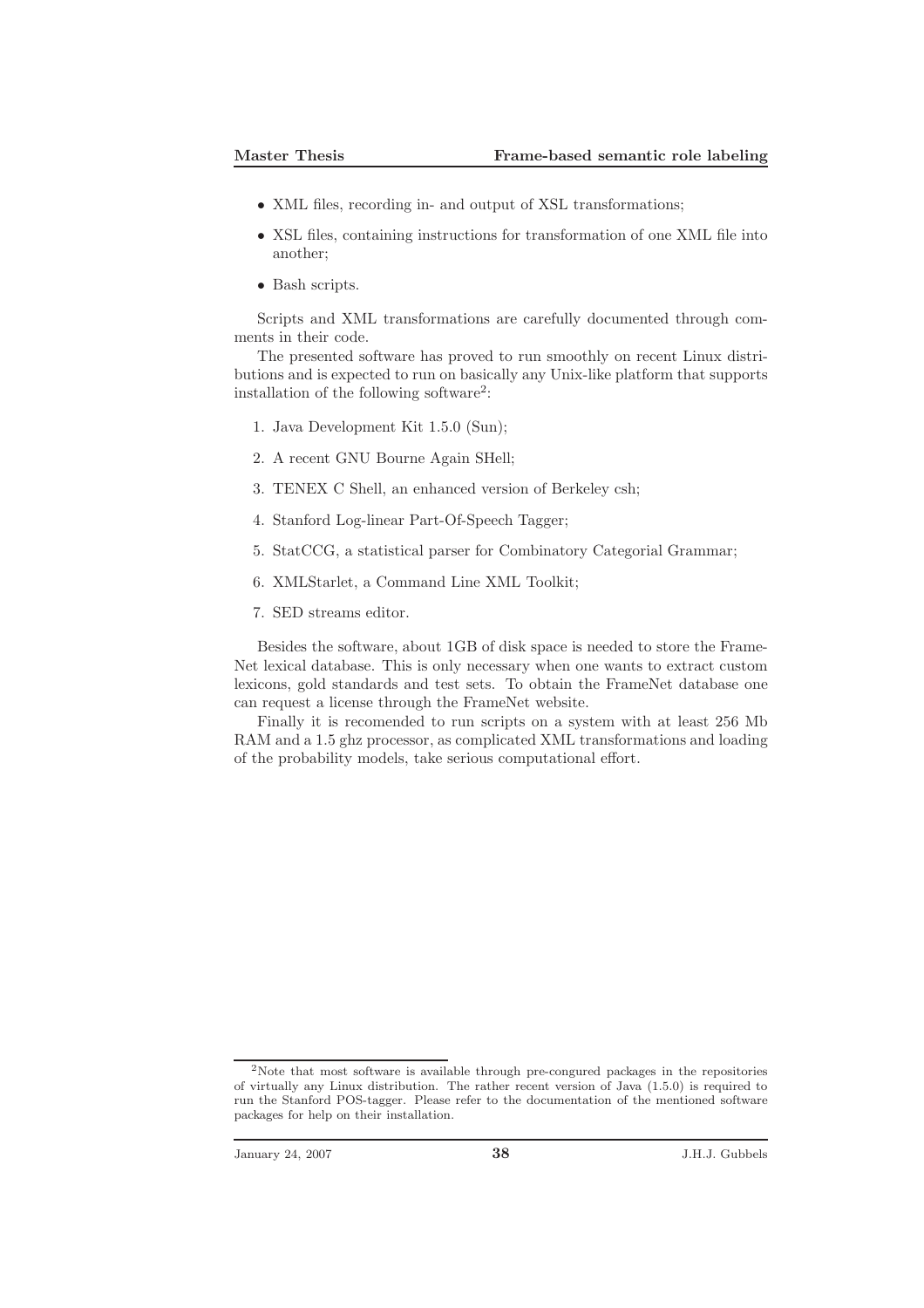- XML files, recording in- and output of XSL transformations;
- XSL files, containing instructions for transformation of one XML file into another;
- Bash scripts.

Scripts and XML transformations are carefully documented through comments in their code.

The presented software has proved to run smoothly on recent Linux distributions and is expected to run on basically any Unix-like platform that supports installation of the following software<sup>2</sup>:

- 1. Java Development Kit 1.5.0 (Sun);
- 2. A recent GNU Bourne Again SHell;
- 3. TENEX C Shell, an enhanced version of Berkeley csh;
- 4. Stanford Log-linear Part-Of-Speech Tagger;
- 5. StatCCG, a statistical parser for Combinatory Categorial Grammar;
- 6. XMLStarlet, a Command Line XML Toolkit;
- 7. SED streams editor.

Besides the software, about 1GB of disk space is needed to store the Frame-Net lexical database. This is only necessary when one wants to extract custom lexicons, gold standards and test sets. To obtain the FrameNet database one can request a license through the FrameNet website.

Finally it is recomended to run scripts on a system with at least 256 Mb RAM and a 1.5 ghz processor, as complicated XML transformations and loading of the probability models, take serious computational effort.

<sup>2</sup>Note that most software is available through pre-congured packages in the repositories of virtually any Linux distribution. The rather recent version of Java (1.5.0) is required to run the Stanford POS-tagger. Please refer to the documentation of the mentioned software packages for help on their installation.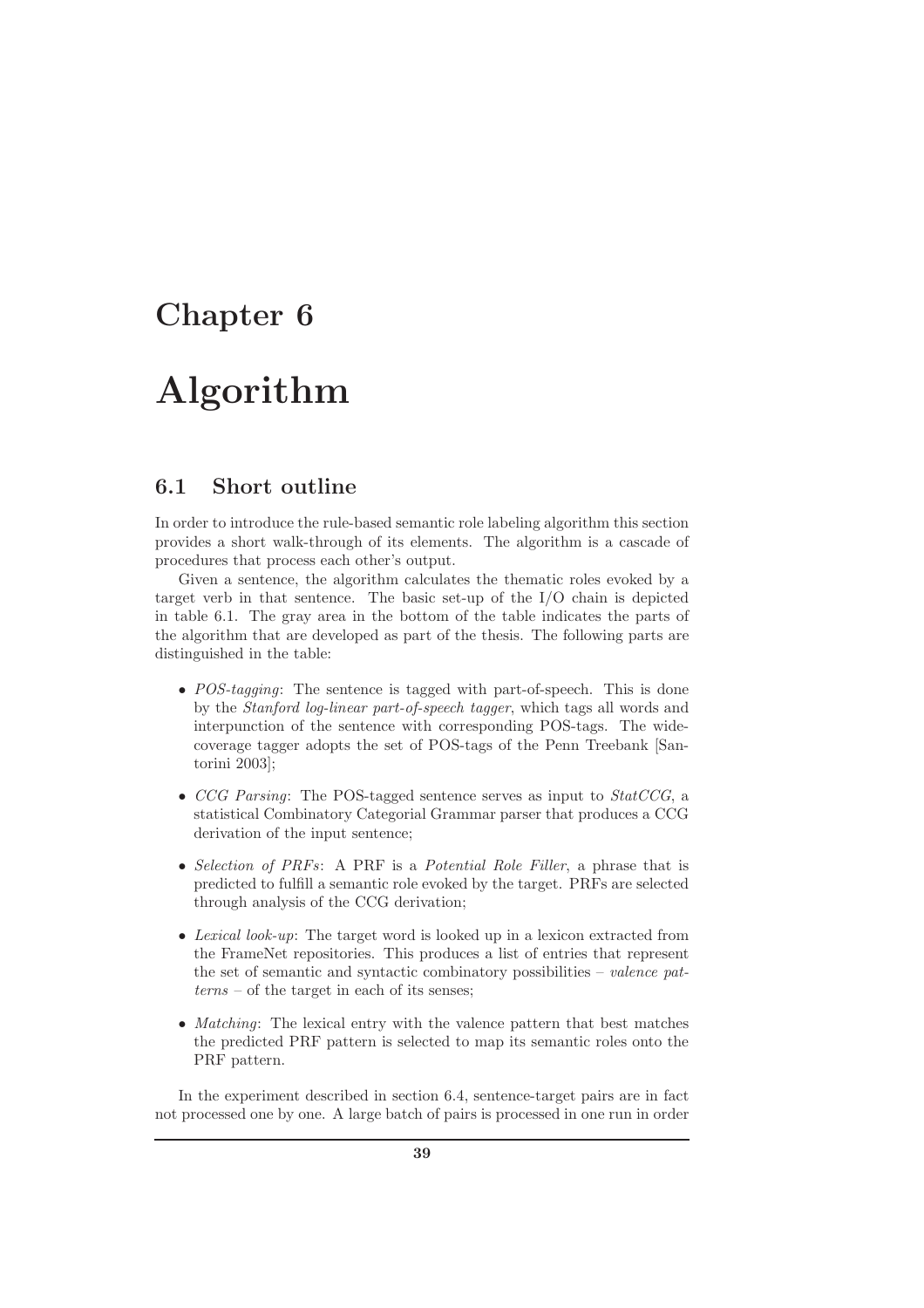## Chapter 6

## Algorithm

### 6.1 Short outline

In order to introduce the rule-based semantic role labeling algorithm this section provides a short walk-through of its elements. The algorithm is a cascade of procedures that process each other's output.

Given a sentence, the algorithm calculates the thematic roles evoked by a target verb in that sentence. The basic set-up of the I/O chain is depicted in table 6.1. The gray area in the bottom of the table indicates the parts of the algorithm that are developed as part of the thesis. The following parts are distinguished in the table:

- POS-tagging: The sentence is tagged with part-of-speech. This is done by the Stanford log-linear part-of-speech tagger, which tags all words and interpunction of the sentence with corresponding POS-tags. The widecoverage tagger adopts the set of POS-tags of the Penn Treebank [Santorini 2003];
- CCG Parsing: The POS-tagged sentence serves as input to  $StatCCG$ , a statistical Combinatory Categorial Grammar parser that produces a CCG derivation of the input sentence;
- Selection of PRFs: A PRF is a Potential Role Filler, a phrase that is predicted to fulfill a semantic role evoked by the target. PRFs are selected through analysis of the CCG derivation;
- Lexical look-up: The target word is looked up in a lexicon extracted from the FrameNet repositories. This produces a list of entries that represent the set of semantic and syntactic combinatory possibilities – valence patterns – of the target in each of its senses;
- Matching: The lexical entry with the valence pattern that best matches the predicted PRF pattern is selected to map its semantic roles onto the PRF pattern.

In the experiment described in section 6.4, sentence-target pairs are in fact not processed one by one. A large batch of pairs is processed in one run in order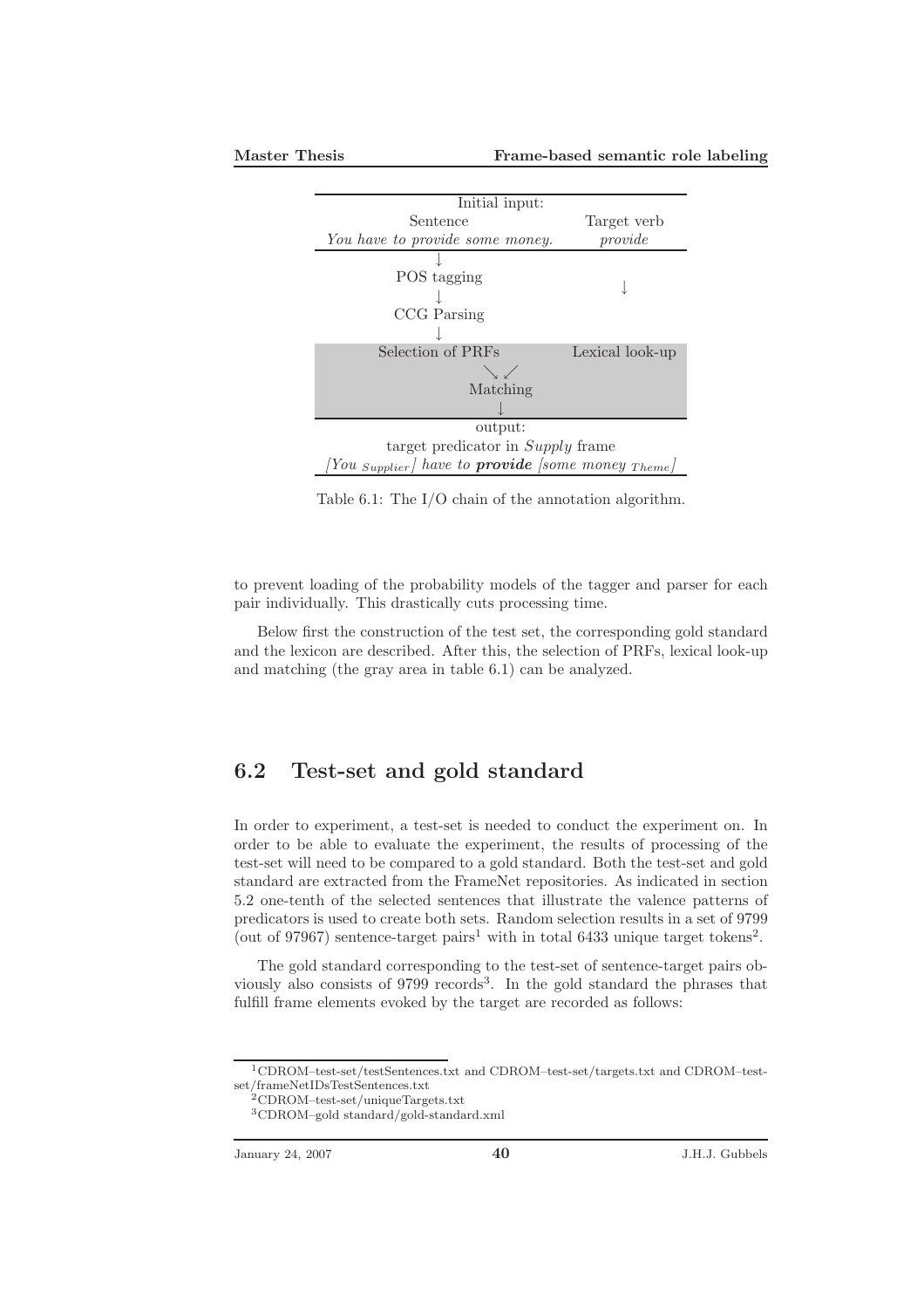

Table 6.1: The I/O chain of the annotation algorithm.

to prevent loading of the probability models of the tagger and parser for each pair individually. This drastically cuts processing time.

Below first the construction of the test set, the corresponding gold standard and the lexicon are described. After this, the selection of PRFs, lexical look-up and matching (the gray area in table 6.1) can be analyzed.

### 6.2 Test-set and gold standard

In order to experiment, a test-set is needed to conduct the experiment on. In order to be able to evaluate the experiment, the results of processing of the test-set will need to be compared to a gold standard. Both the test-set and gold standard are extracted from the FrameNet repositories. As indicated in section 5.2 one-tenth of the selected sentences that illustrate the valence patterns of predicators is used to create both sets. Random selection results in a set of 9799 (out of 97967) sentence-target pairs<sup>1</sup> with in total 6433 unique target tokens<sup>2</sup>.

The gold standard corresponding to the test-set of sentence-target pairs obviously also consists of 9799 records<sup>3</sup>. In the gold standard the phrases that fulfill frame elements evoked by the target are recorded as follows:

 $\rm ^1CDROM-test-set/testSentences.txt$  and CDROM–test-set/targets.txt and CDROM–testset/frameNetIDsTestSentences.txt

<sup>2</sup>CDROM–test-set/uniqueTargets.txt

<sup>3</sup>CDROM–gold standard/gold-standard.xml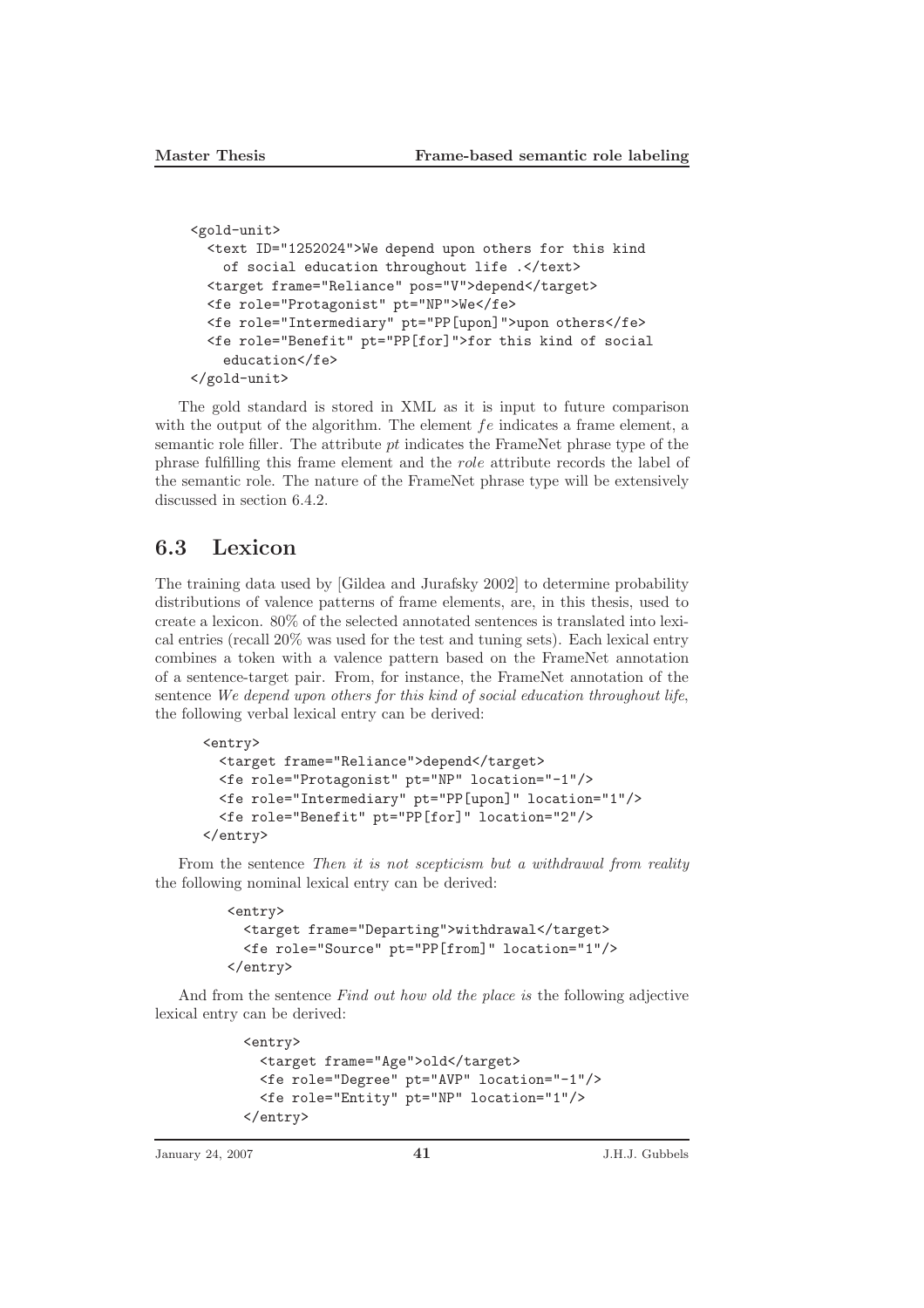```
<gold-unit>
  <text ID="1252024">We depend upon others for this kind
   of social education throughout life .</text>
  <target frame="Reliance" pos="V">depend</target>
  <fe role="Protagonist" pt="NP">We</fe>
  <fe role="Intermediary" pt="PP[upon]">upon others</fe>
  <fe role="Benefit" pt="PP[for]">for this kind of social
    education</fe>
</gold-unit>
```
The gold standard is stored in XML as it is input to future comparison with the output of the algorithm. The element  $fe$  indicates a frame element, a semantic role filler. The attribute pt indicates the FrameNet phrase type of the phrase fulfilling this frame element and the role attribute records the label of the semantic role. The nature of the FrameNet phrase type will be extensively discussed in section 6.4.2.

### 6.3 Lexicon

The training data used by [Gildea and Jurafsky 2002] to determine probability distributions of valence patterns of frame elements, are, in this thesis, used to create a lexicon. 80% of the selected annotated sentences is translated into lexical entries (recall 20% was used for the test and tuning sets). Each lexical entry combines a token with a valence pattern based on the FrameNet annotation of a sentence-target pair. From, for instance, the FrameNet annotation of the sentence We depend upon others for this kind of social education throughout life, the following verbal lexical entry can be derived:

```
<entry>
  <target frame="Reliance">depend</target>
  <fe role="Protagonist" pt="NP" location="-1"/>
  <fe role="Intermediary" pt="PP[upon]" location="1"/>
  <fe role="Benefit" pt="PP[for]" location="2"/>
</entry>
```
From the sentence Then it is not scepticism but a withdrawal from reality the following nominal lexical entry can be derived:

```
<entry>
  <target frame="Departing">withdrawal</target>
  <fe role="Source" pt="PP[from]" location="1"/>
</entry>
```
And from the sentence Find out how old the place is the following adjective lexical entry can be derived:

```
<entry>
 <target frame="Age">old</target>
 <fe role="Degree" pt="AVP" location="-1"/>
  <fe role="Entity" pt="NP" location="1"/>
</entry>
```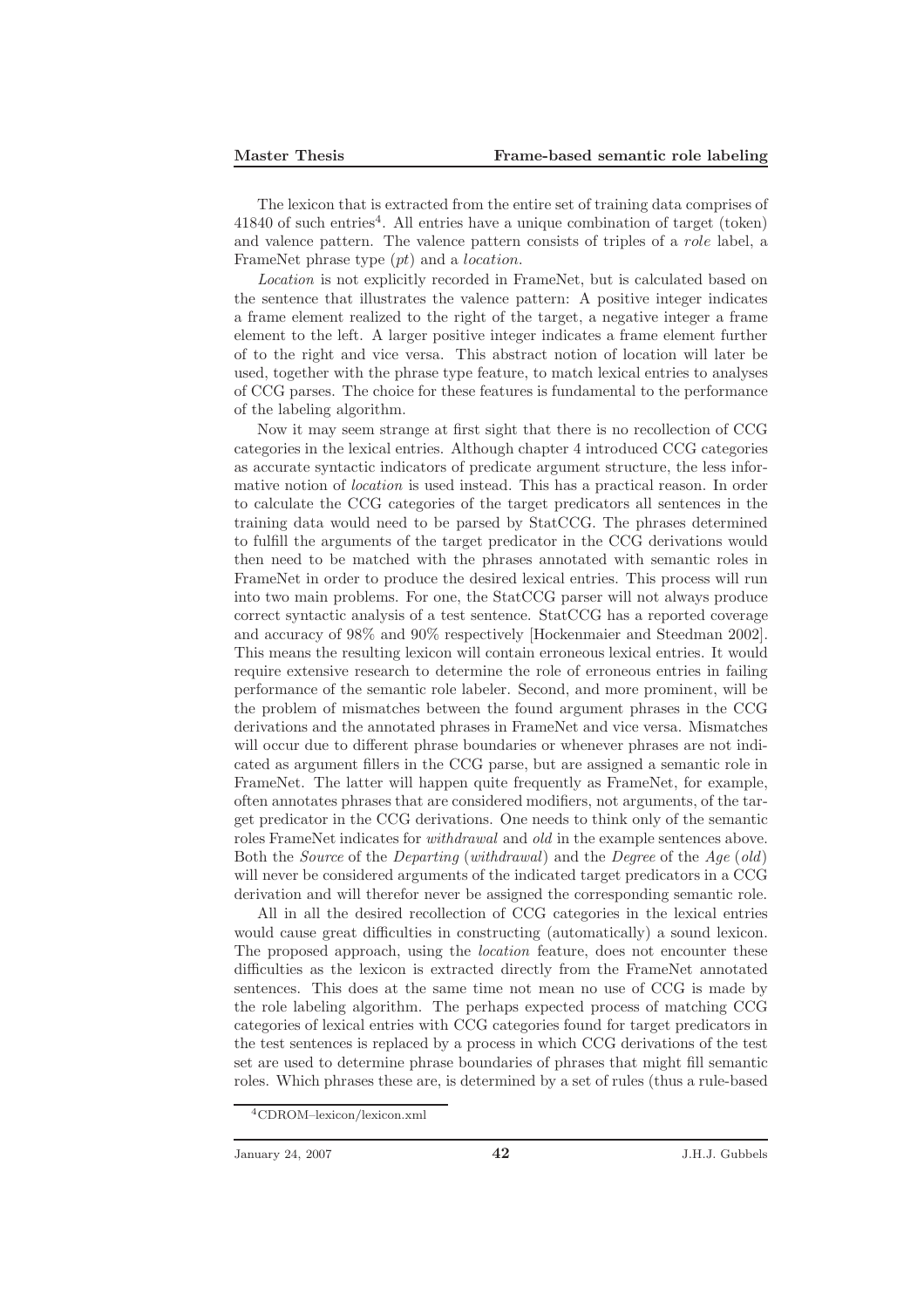The lexicon that is extracted from the entire set of training data comprises of  $41840$  of such entries<sup>4</sup>. All entries have a unique combination of target (token) and valence pattern. The valence pattern consists of triples of a role label, a FrameNet phrase type  $(pt)$  and a *location*.

Location is not explicitly recorded in FrameNet, but is calculated based on the sentence that illustrates the valence pattern: A positive integer indicates a frame element realized to the right of the target, a negative integer a frame element to the left. A larger positive integer indicates a frame element further of to the right and vice versa. This abstract notion of location will later be used, together with the phrase type feature, to match lexical entries to analyses of CCG parses. The choice for these features is fundamental to the performance of the labeling algorithm.

Now it may seem strange at first sight that there is no recollection of CCG categories in the lexical entries. Although chapter 4 introduced CCG categories as accurate syntactic indicators of predicate argument structure, the less informative notion of location is used instead. This has a practical reason. In order to calculate the CCG categories of the target predicators all sentences in the training data would need to be parsed by StatCCG. The phrases determined to fulfill the arguments of the target predicator in the CCG derivations would then need to be matched with the phrases annotated with semantic roles in FrameNet in order to produce the desired lexical entries. This process will run into two main problems. For one, the StatCCG parser will not always produce correct syntactic analysis of a test sentence. StatCCG has a reported coverage and accuracy of 98% and 90% respectively [Hockenmaier and Steedman 2002]. This means the resulting lexicon will contain erroneous lexical entries. It would require extensive research to determine the role of erroneous entries in failing performance of the semantic role labeler. Second, and more prominent, will be the problem of mismatches between the found argument phrases in the CCG derivations and the annotated phrases in FrameNet and vice versa. Mismatches will occur due to different phrase boundaries or whenever phrases are not indicated as argument fillers in the CCG parse, but are assigned a semantic role in FrameNet. The latter will happen quite frequently as FrameNet, for example, often annotates phrases that are considered modifiers, not arguments, of the target predicator in the CCG derivations. One needs to think only of the semantic roles FrameNet indicates for withdrawal and old in the example sentences above. Both the Source of the Departing (withdrawal) and the Degree of the Age (old) will never be considered arguments of the indicated target predicators in a CCG derivation and will therefor never be assigned the corresponding semantic role.

All in all the desired recollection of CCG categories in the lexical entries would cause great difficulties in constructing (automatically) a sound lexicon. The proposed approach, using the location feature, does not encounter these difficulties as the lexicon is extracted directly from the FrameNet annotated sentences. This does at the same time not mean no use of CCG is made by the role labeling algorithm. The perhaps expected process of matching CCG categories of lexical entries with CCG categories found for target predicators in the test sentences is replaced by a process in which CCG derivations of the test set are used to determine phrase boundaries of phrases that might fill semantic roles. Which phrases these are, is determined by a set of rules (thus a rule-based

<sup>4</sup>CDROM–lexicon/lexicon.xml

January 24, 2007 **42** J.H.J. Gubbels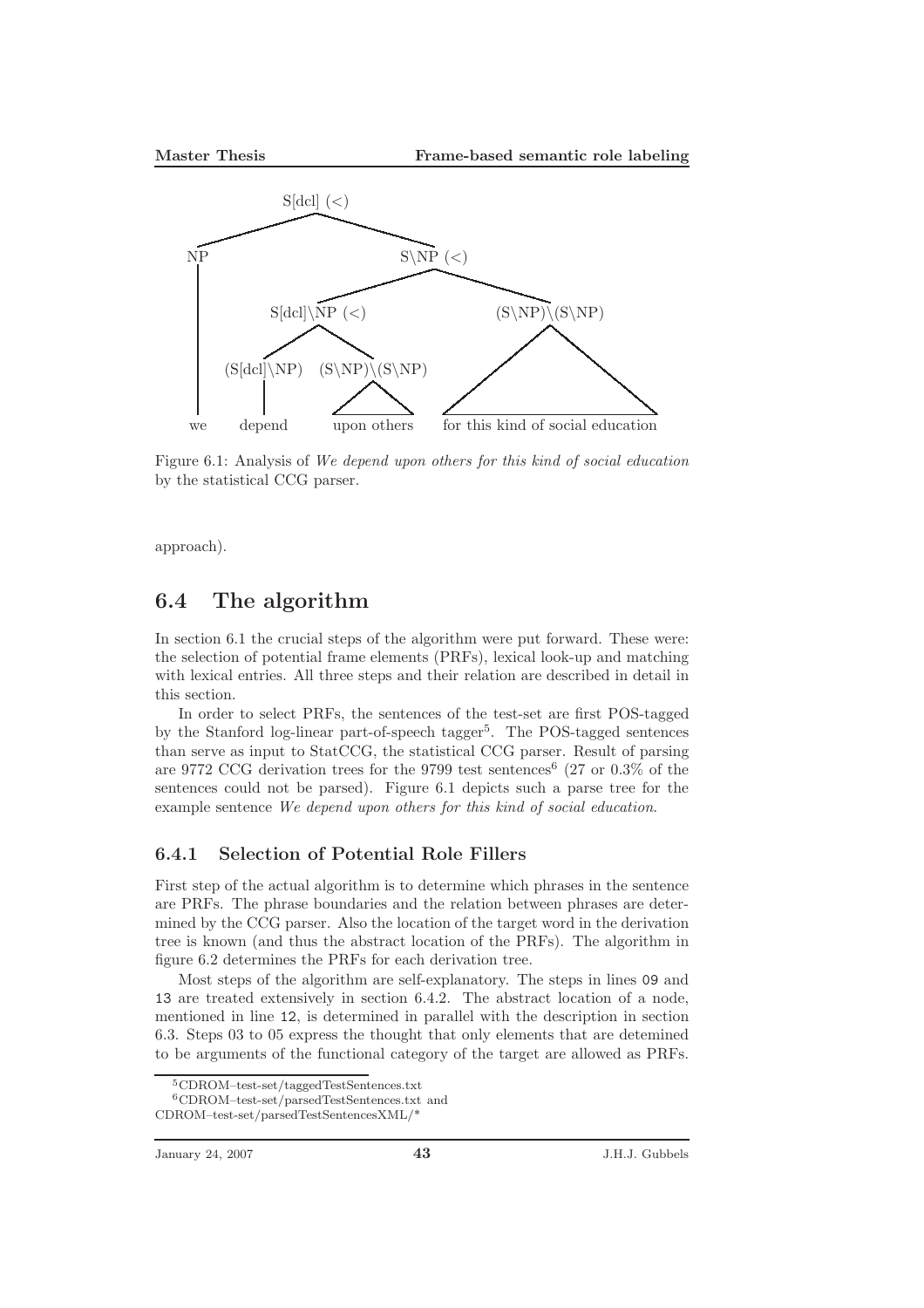

Figure 6.1: Analysis of We depend upon others for this kind of social education by the statistical CCG parser.

approach).

### 6.4 The algorithm

In section 6.1 the crucial steps of the algorithm were put forward. These were: the selection of potential frame elements (PRFs), lexical look-up and matching with lexical entries. All three steps and their relation are described in detail in this section.

In order to select PRFs, the sentences of the test-set are first POS-tagged by the Stanford log-linear part-of-speech tagger<sup>5</sup>. The POS-tagged sentences than serve as input to StatCCG, the statistical CCG parser. Result of parsing are 9772 CCG derivation trees for the 9799 test sentences<sup>6</sup> (27 or 0.3% of the sentences could not be parsed). Figure 6.1 depicts such a parse tree for the example sentence We depend upon others for this kind of social education.

#### 6.4.1 Selection of Potential Role Fillers

First step of the actual algorithm is to determine which phrases in the sentence are PRFs. The phrase boundaries and the relation between phrases are determined by the CCG parser. Also the location of the target word in the derivation tree is known (and thus the abstract location of the PRFs). The algorithm in figure 6.2 determines the PRFs for each derivation tree.

Most steps of the algorithm are self-explanatory. The steps in lines 09 and 13 are treated extensively in section 6.4.2. The abstract location of a node, mentioned in line 12, is determined in parallel with the description in section 6.3. Steps 03 to 05 express the thought that only elements that are detemined to be arguments of the functional category of the target are allowed as PRFs.

<sup>5</sup>CDROM–test-set/taggedTestSentences.txt

<sup>6</sup>CDROM–test-set/parsedTestSentences.txt and CDROM–test-set/parsedTestSentencesXML/\*

January 24, 2007 **43** J.H.J. Gubbels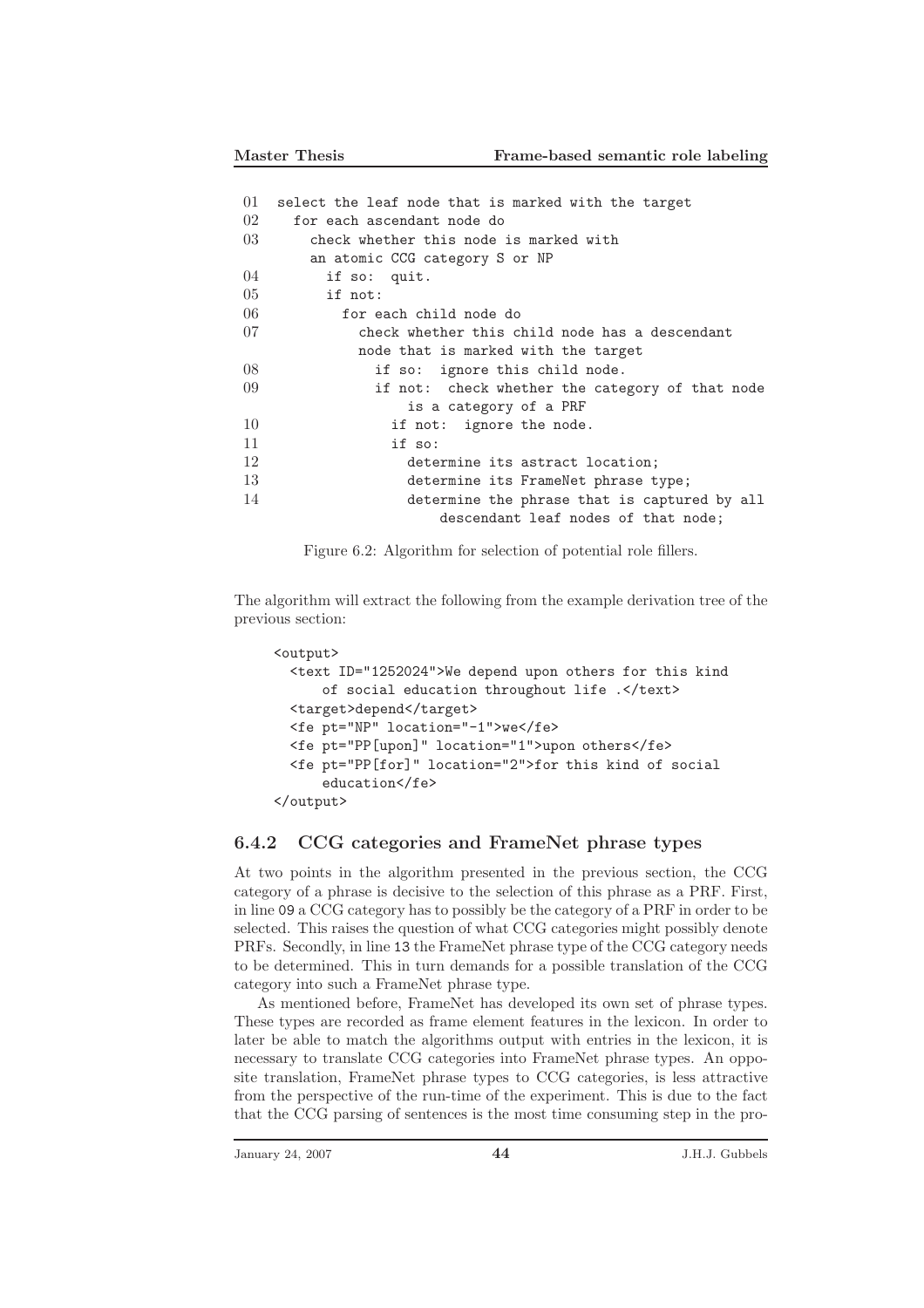| 01 | select the leaf node that is marked with the target |
|----|-----------------------------------------------------|
| 02 | for each ascendant node do                          |
| 03 | check whether this node is marked with              |
|    | an atomic CCG category S or NP                      |
| 04 | if so: quit.                                        |
| 05 | if not:                                             |
| 06 | for each child node do                              |
| 07 | check whether this child node has a descendant      |
|    | node that is marked with the target                 |
| 08 | if so: ignore this child node.                      |
| 09 | if not: check whether the category of that node     |
|    | is a category of a PRF                              |
| 10 | if not: ignore the node.                            |
| 11 | if so:                                              |
| 12 | determine its astract location;                     |
| 13 | determine its FrameNet phrase type;                 |
| 14 | determine the phrase that is captured by all        |
|    | descendant leaf nodes of that node;                 |

Figure 6.2: Algorithm for selection of potential role fillers.

The algorithm will extract the following from the example derivation tree of the previous section:

```
<output>
  <text ID="1252024">We depend upon others for this kind
     of social education throughout life .</text>
  <target>depend</target>
  <fe pt="NP" location="-1">we</fe>
  <fe pt="PP[upon]" location="1">upon others</fe>
  <fe pt="PP[for]" location="2">for this kind of social
      education</fe>
</output>
```
### 6.4.2 CCG categories and FrameNet phrase types

At two points in the algorithm presented in the previous section, the CCG category of a phrase is decisive to the selection of this phrase as a PRF. First, in line 09 a CCG category has to possibly be the category of a PRF in order to be selected. This raises the question of what CCG categories might possibly denote PRFs. Secondly, in line 13 the FrameNet phrase type of the CCG category needs to be determined. This in turn demands for a possible translation of the CCG category into such a FrameNet phrase type.

As mentioned before, FrameNet has developed its own set of phrase types. These types are recorded as frame element features in the lexicon. In order to later be able to match the algorithms output with entries in the lexicon, it is necessary to translate CCG categories into FrameNet phrase types. An opposite translation, FrameNet phrase types to CCG categories, is less attractive from the perspective of the run-time of the experiment. This is due to the fact that the CCG parsing of sentences is the most time consuming step in the pro-

January 24, 2007 **44** J.H.J. Gubbels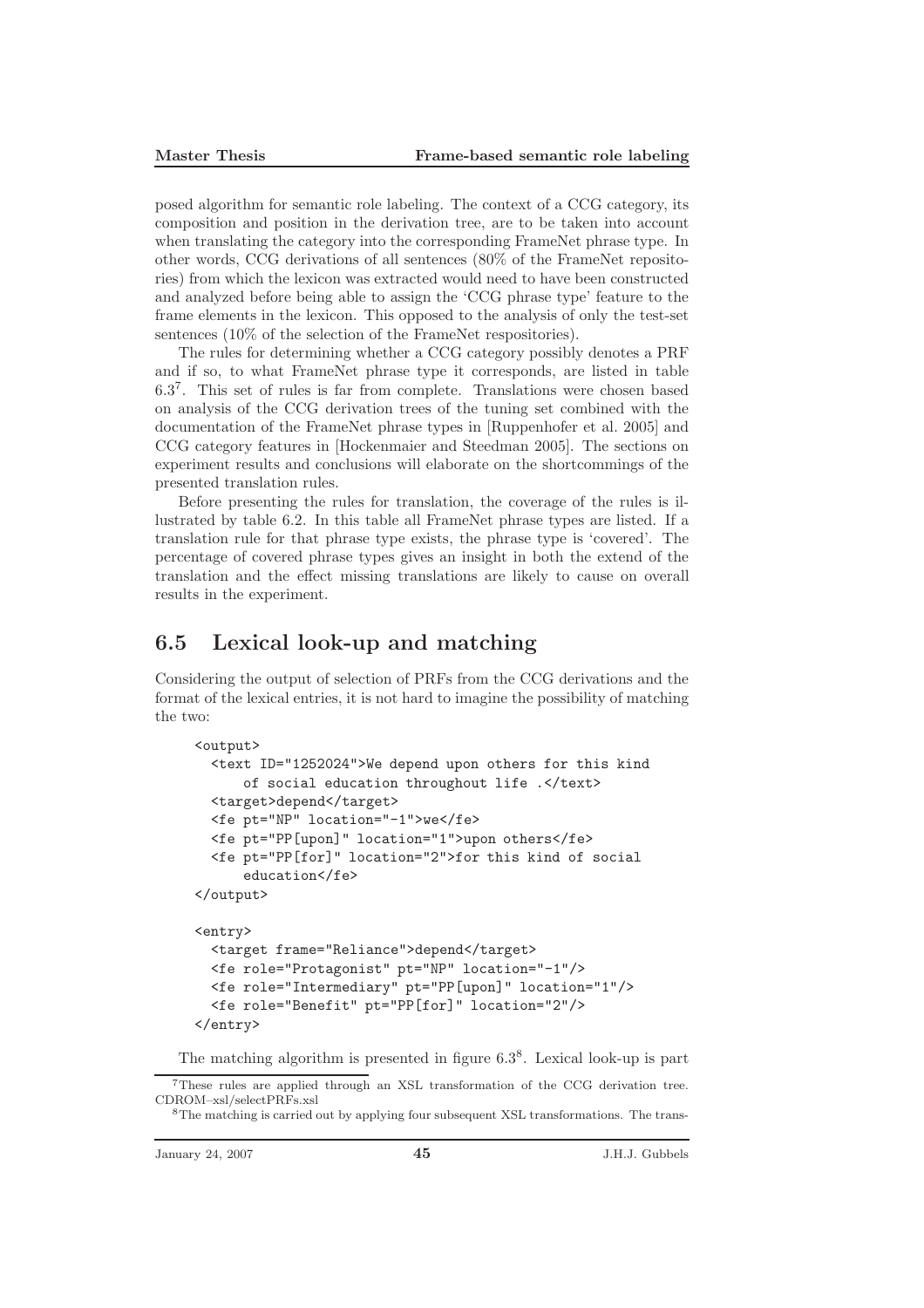posed algorithm for semantic role labeling. The context of a CCG category, its composition and position in the derivation tree, are to be taken into account when translating the category into the corresponding FrameNet phrase type. In other words, CCG derivations of all sentences (80% of the FrameNet repositories) from which the lexicon was extracted would need to have been constructed and analyzed before being able to assign the 'CCG phrase type' feature to the frame elements in the lexicon. This opposed to the analysis of only the test-set sentences (10% of the selection of the FrameNet respositories).

The rules for determining whether a CCG category possibly denotes a PRF and if so, to what FrameNet phrase type it corresponds, are listed in table  $6.3<sup>7</sup>$ . This set of rules is far from complete. Translations were chosen based on analysis of the CCG derivation trees of the tuning set combined with the documentation of the FrameNet phrase types in [Ruppenhofer et al. 2005] and CCG category features in [Hockenmaier and Steedman 2005]. The sections on experiment results and conclusions will elaborate on the shortcommings of the presented translation rules.

Before presenting the rules for translation, the coverage of the rules is illustrated by table 6.2. In this table all FrameNet phrase types are listed. If a translation rule for that phrase type exists, the phrase type is 'covered'. The percentage of covered phrase types gives an insight in both the extend of the translation and the effect missing translations are likely to cause on overall results in the experiment.

### 6.5 Lexical look-up and matching

Considering the output of selection of PRFs from the CCG derivations and the format of the lexical entries, it is not hard to imagine the possibility of matching the two:

```
<output>
 <text ID="1252024">We depend upon others for this kind
     of social education throughout life .</text>
 <target>depend</target>
 <fe pt="NP" location="-1">we</fe>
 <fe pt="PP[upon]" location="1">upon others</fe>
 <fe pt="PP[for]" location="2">for this kind of social
     education</fe>
</output>
<entry>
 <target frame="Reliance">depend</target>
 <fe role="Protagonist" pt="NP" location="-1"/>
 <fe role="Intermediary" pt="PP[upon]" location="1"/>
  <fe role="Benefit" pt="PP[for]" location="2"/>
</entry>
```
The matching algorithm is presented in figure 6.3<sup>8</sup>. Lexical look-up is part

<sup>8</sup>The matching is carried out by applying four subsequent XSL transformations. The trans-

<sup>7</sup>These rules are applied through an XSL transformation of the CCG derivation tree. CDROM–xsl/selectPRFs.xsl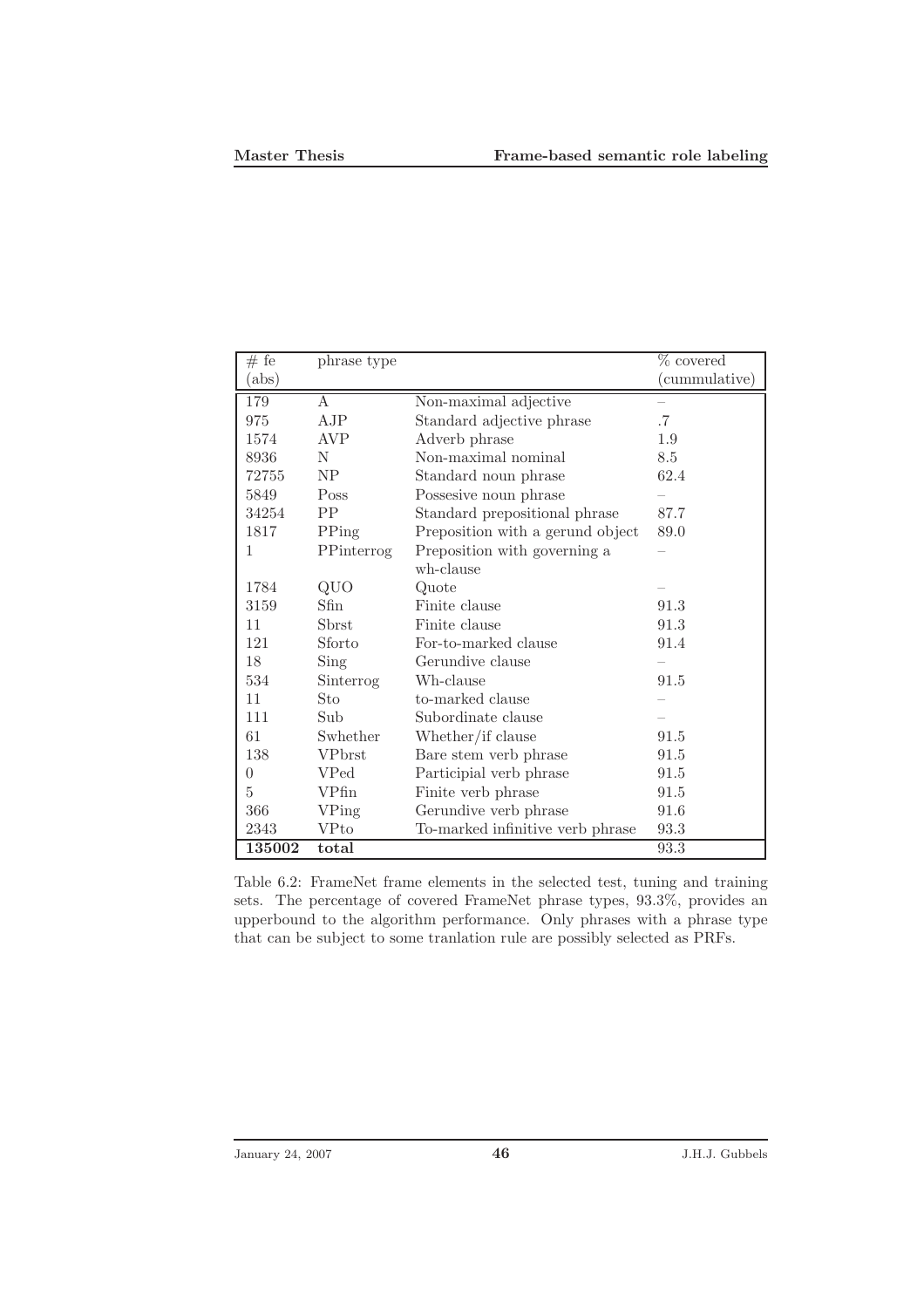| $#$ fe   | phrase type    |                                  | % covered         |
|----------|----------------|----------------------------------|-------------------|
| (abs)    |                |                                  | (cummulative)     |
| 179      | A              | Non-maximal adjective            |                   |
| 975      | AJP            | Standard adjective phrase        | .7                |
| 1574     | AVP            | Adverb phrase                    | 1.9               |
| 8936     | N              | Non-maximal nominal              | 8.5               |
| 72755    | NP             | Standard noun phrase             | 62.4              |
| 5849     | Poss           | Possesive noun phrase            |                   |
| 34254    | PP             | Standard prepositional phrase    | 87.7              |
| 1817     | PPing          | Preposition with a gerund object | 89.0              |
| 1        | PPinterrog     | Preposition with governing a     |                   |
|          |                | wh-clause                        |                   |
| 1784     | QUO            | Quote                            |                   |
| 3159     | Sfin           | Finite clause                    | 91.3              |
| 11       | <b>S</b> brst  | Finite clause                    | 91.3              |
| 121      | Sforto         | For-to-marked clause             | 91.4              |
| $18\,$   | Sing           | Gerundive clause                 |                   |
| 534      | Sinterrog      | Wh-clause                        | 91.5              |
| 11       | Sto            | to-marked clause                 |                   |
| 111      | Sub            | Subordinate clause               |                   |
| 61       | Swhether       | Whether/if clause                | 91.5              |
| 138      | <b>VP</b> brst | Bare stem verb phrase            | 91.5              |
| $\theta$ | <b>VPed</b>    | Participial verb phrase          | 91.5              |
| 5        | VPfin          | Finite verb phrase               | 91.5              |
| 366      | <b>VPing</b>   | Gerundive verb phrase            | 91.6              |
| 2343     | VPto           | To-marked infinitive verb phrase | 93.3              |
| 135002   | total          |                                  | $\overline{9}3.3$ |

Table 6.2: FrameNet frame elements in the selected test, tuning and training sets. The percentage of covered FrameNet phrase types, 93.3%, provides an upperbound to the algorithm performance. Only phrases with a phrase type that can be subject to some tranlation rule are possibly selected as PRFs.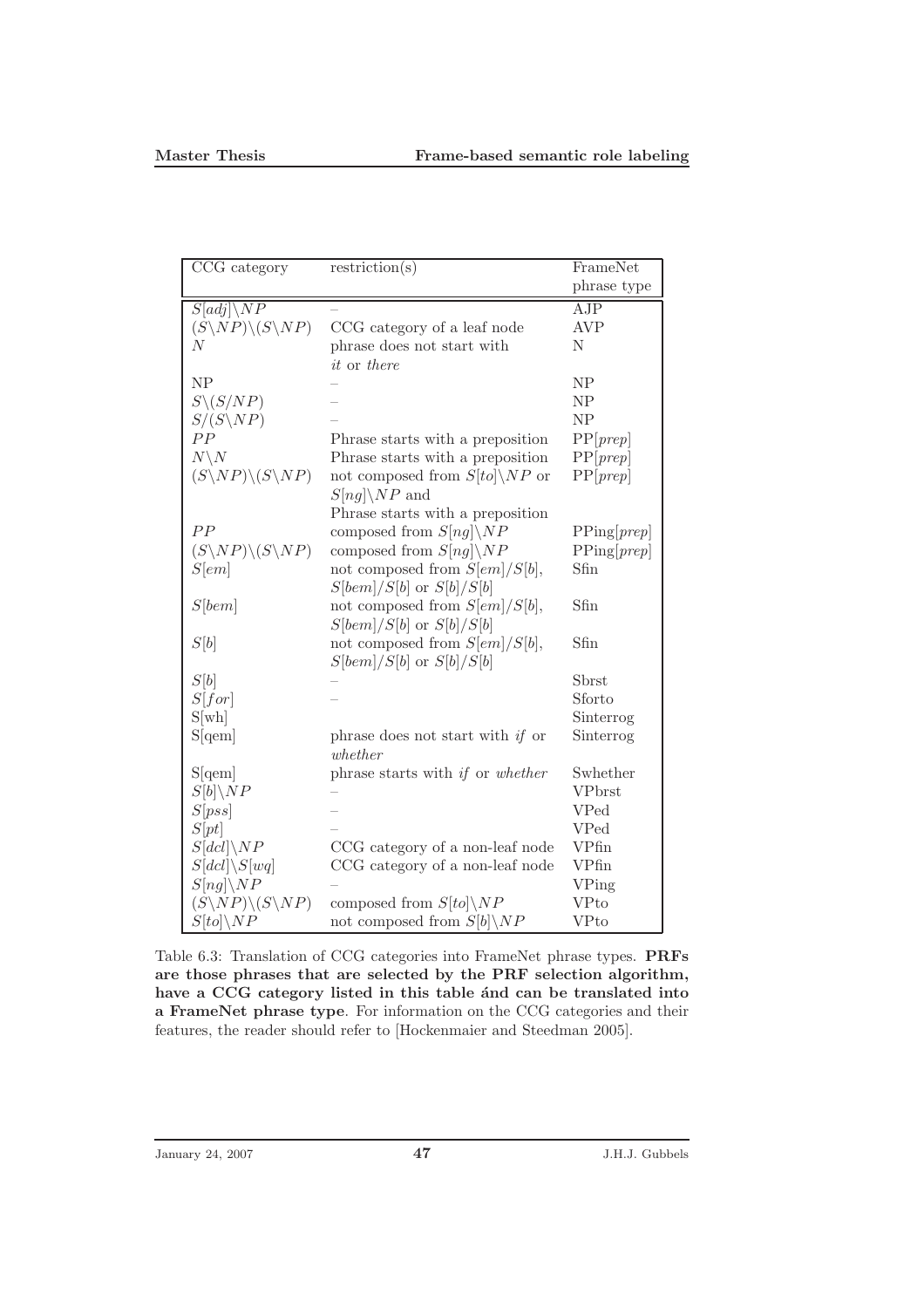| $\overline{CC}G$ category                     | restriction(s)                       | FrameNet             |
|-----------------------------------------------|--------------------------------------|----------------------|
|                                               |                                      | phrase type          |
| $S[adj]\backslash NP$                         |                                      | AJP                  |
| $(S\backslash NP)\backslash(S\backslash NP)$  | CCG category of a leaf node          | AVP                  |
| N                                             | phrase does not start with           | N                    |
|                                               | it or there                          |                      |
| NP                                            |                                      | NP                   |
| $S\backslash (S/NP)$                          |                                      | NP                   |
| $S/(S\backslash NP)$                          |                                      | NP                   |
| PP                                            | Phrase starts with a preposition     | $\Pr[prep]$          |
| $N\backslash N$                               | Phrase starts with a preposition     | PP[prep]             |
| $(S\backslash NP)\backslash (S\backslash NP)$ | not composed from $S[to]\ NP$ or     | PP[prep]             |
|                                               | $S[ng]\backslash NP$ and             |                      |
|                                               | Phrase starts with a preposition     |                      |
| PP                                            | composed from $S[ng]\ NP$            | PPing[prep]          |
| $(S\setminus NP)\setminus (S\setminus NP)$    | composed from $S[ng]\ NP$            | $P\text{Ping}[prep]$ |
| S[em]                                         | not composed from $S[em]/S[b]$ ,     | Sfin                 |
|                                               | $S[bem]/S[b]$ or $S[b]/S[b]$         |                      |
| S[bem]                                        | not composed from $S[em]/S[b]$ ,     | Sfin                 |
|                                               | $S[bem]/S[b]$ or $S[b]/S[b]$         |                      |
| S[b]                                          | not composed from $S[em]/S[b]$ ,     | Sfin                 |
|                                               | $S[bem]/S[b]$ or $S[b]/S[b]$         |                      |
| S[b]                                          |                                      | Sbrst                |
| S[for]                                        |                                      | Sforto               |
| $S[\overline{wh}]$                            |                                      | Sinterrog            |
| S[qem]                                        | phrase does not start with $if$ or   | Sinterrog            |
|                                               | whether                              |                      |
| S[qem]                                        | phrase starts with if or whether     | Swhether             |
| $S[b]\backslash NP$                           |                                      | <b>VPbrst</b>        |
| S[pss]                                        |                                      | <b>VPed</b>          |
| S[pt]                                         |                                      | <b>VPed</b>          |
| $S[dcl]\backslash NP$                         | CCG category of a non-leaf node      | VPfin                |
| $S[dcl]\setminus S[wq]$                       | CCG category of a non-leaf node      | <b>VPfin</b>         |
| $S[ng]\backslash NP$                          |                                      | <b>VPing</b>         |
| $(S\backslash NP)\backslash(S\backslash NP)$  | composed from $S[to]\ NP$            | <b>VPto</b>          |
| $S[to]\backslash NP$                          | not composed from $S[b]\setminus NP$ | <b>VPto</b>          |

Table 6.3: Translation of CCG categories into FrameNet phrase types. PRFs are those phrases that are selected by the PRF selection algorithm, have a CCG category listed in this table ánd can be translated into a FrameNet phrase type. For information on the CCG categories and their features, the reader should refer to [Hockenmaier and Steedman 2005].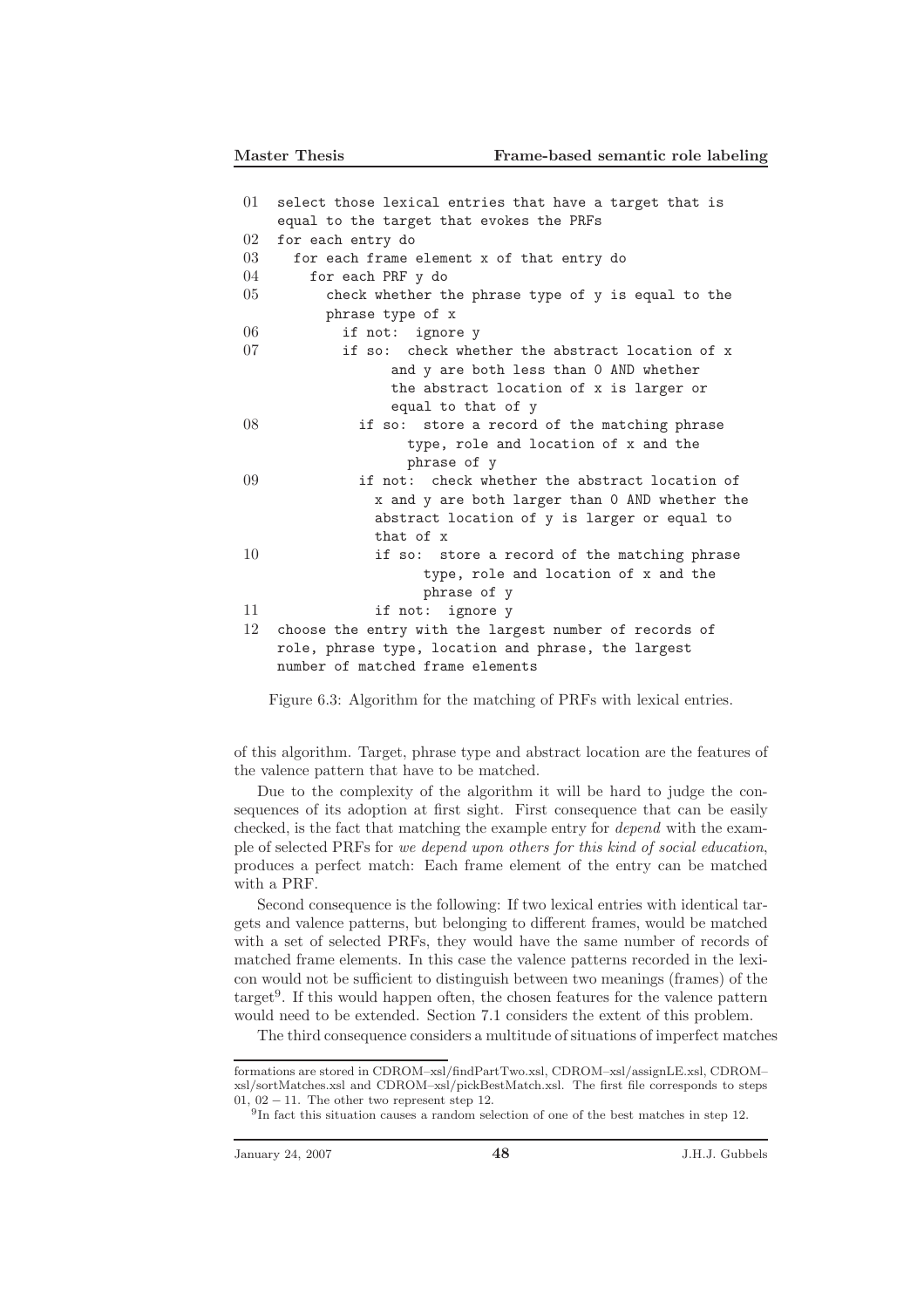| 01     | select those lexical entries that have a target that is |
|--------|---------------------------------------------------------|
|        | equal to the target that evokes the PRFs                |
| 02     | for each entry do                                       |
| 03     | for each frame element x of that entry do               |
| 04     | for each PRF y do                                       |
| $05\,$ | check whether the phrase type of y is equal to the      |
|        | phrase type of x                                        |
| 06     | if not: ignore y                                        |
| 07     | if so: check whether the abstract location of x         |
|        | and y are both less than 0 AND whether                  |
|        | the abstract location of x is larger or                 |
|        | equal to that of y                                      |
| 08     | if so: store a record of the matching phrase            |
|        | type, role and location of x and the                    |
|        | phrase of y                                             |
| 09     | if not: check whether the abstract location of          |
|        | x and y are both larger than 0 AND whether the          |
|        | abstract location of y is larger or equal to            |
|        | that of x                                               |
| 10     | if so: store a record of the matching phrase            |
|        | type, role and location of x and the                    |
|        | phrase of y                                             |
| 11     | if not: ignore y                                        |
| 12     | choose the entry with the largest number of records of  |
|        | role, phrase type, location and phrase, the largest     |
|        | number of matched frame elements                        |

Figure 6.3: Algorithm for the matching of PRFs with lexical entries.

of this algorithm. Target, phrase type and abstract location are the features of the valence pattern that have to be matched.

Due to the complexity of the algorithm it will be hard to judge the consequences of its adoption at first sight. First consequence that can be easily checked, is the fact that matching the example entry for depend with the example of selected PRFs for we depend upon others for this kind of social education, produces a perfect match: Each frame element of the entry can be matched with a PRF.

Second consequence is the following: If two lexical entries with identical targets and valence patterns, but belonging to different frames, would be matched with a set of selected PRFs, they would have the same number of records of matched frame elements. In this case the valence patterns recorded in the lexicon would not be sufficient to distinguish between two meanings (frames) of the target<sup>9</sup>. If this would happen often, the chosen features for the valence pattern would need to be extended. Section 7.1 considers the extent of this problem.

The third consequence considers a multitude of situations of imperfect matches

formations are stored in CDROM–xsl/findPartTwo.xsl, CDROM–xsl/assignLE.xsl, CDROM– xsl/sortMatches.xsl and CDROM–xsl/pickBestMatch.xsl. The first file corresponds to steps  $01, 02 - 11$ . The other two represent step 12.

<sup>&</sup>lt;sup>9</sup>In fact this situation causes a random selection of one of the best matches in step 12.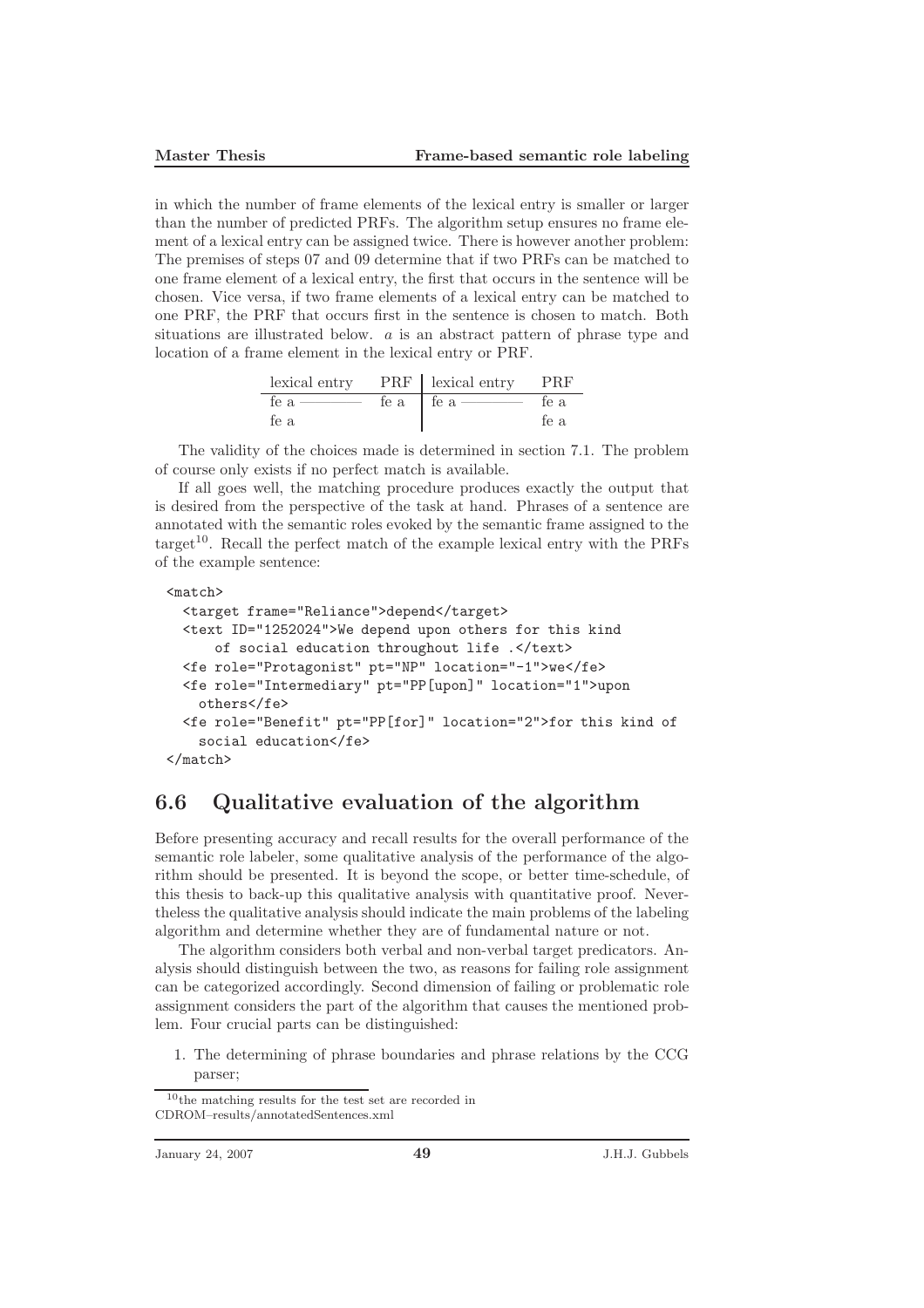in which the number of frame elements of the lexical entry is smaller or larger than the number of predicted PRFs. The algorithm setup ensures no frame element of a lexical entry can be assigned twice. There is however another problem: The premises of steps 07 and 09 determine that if two PRFs can be matched to one frame element of a lexical entry, the first that occurs in the sentence will be chosen. Vice versa, if two frame elements of a lexical entry can be matched to one PRF, the PRF that occurs first in the sentence is chosen to match. Both situations are illustrated below. a is an abstract pattern of phrase type and location of a frame element in the lexical entry or PRF.

|                    | lexical entry PRF   lexical entry PRF |      |
|--------------------|---------------------------------------|------|
| fe a $\frac{ }{ }$ | fe a $\qquad$ fe a $\qquad$           | fe a |
| fe a               |                                       | fe a |

The validity of the choices made is determined in section 7.1. The problem of course only exists if no perfect match is available.

If all goes well, the matching procedure produces exactly the output that is desired from the perspective of the task at hand. Phrases of a sentence are annotated with the semantic roles evoked by the semantic frame assigned to the  $tare^{10}$ . Recall the perfect match of the example lexical entry with the PRFs of the example sentence:

```
<match>
 <target frame="Reliance">depend</target>
 <text ID="1252024">We depend upon others for this kind
     of social education throughout life .</text>
 <fe role="Protagonist" pt="NP" location="-1">we</fe>
 <fe role="Intermediary" pt="PP[upon]" location="1">upon
   others</fe>
  <fe role="Benefit" pt="PP[for]" location="2">for this kind of
   social education</fe>
</match>
```
### 6.6 Qualitative evaluation of the algorithm

Before presenting accuracy and recall results for the overall performance of the semantic role labeler, some qualitative analysis of the performance of the algorithm should be presented. It is beyond the scope, or better time-schedule, of this thesis to back-up this qualitative analysis with quantitative proof. Nevertheless the qualitative analysis should indicate the main problems of the labeling algorithm and determine whether they are of fundamental nature or not.

The algorithm considers both verbal and non-verbal target predicators. Analysis should distinguish between the two, as reasons for failing role assignment can be categorized accordingly. Second dimension of failing or problematic role assignment considers the part of the algorithm that causes the mentioned problem. Four crucial parts can be distinguished:

1. The determining of phrase boundaries and phrase relations by the CCG parser;

<sup>10</sup>the matching results for the test set are recorded in CDROM–results/annotatedSentences.xml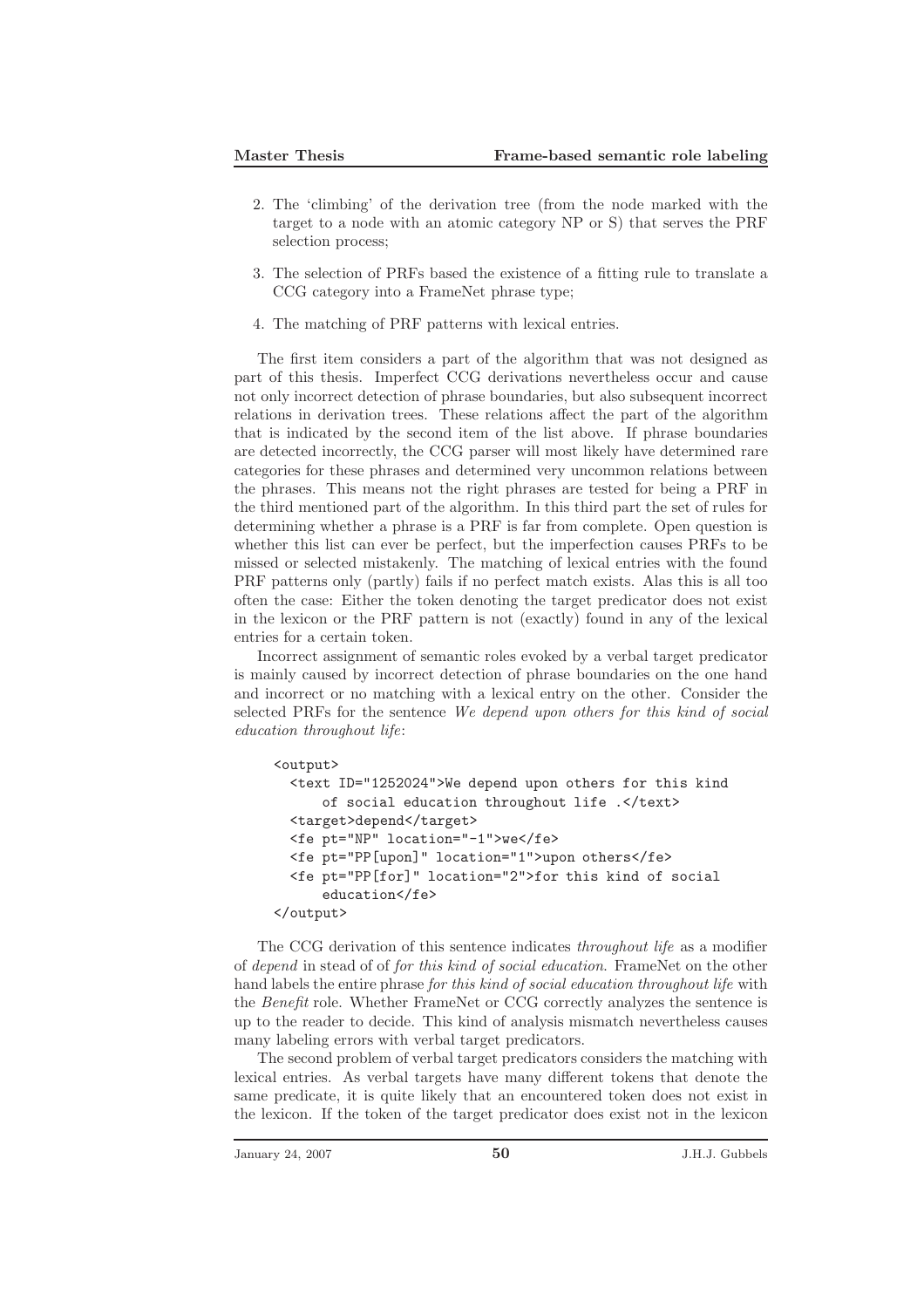- 2. The 'climbing' of the derivation tree (from the node marked with the target to a node with an atomic category NP or S) that serves the PRF selection process;
- 3. The selection of PRFs based the existence of a fitting rule to translate a CCG category into a FrameNet phrase type;
- 4. The matching of PRF patterns with lexical entries.

The first item considers a part of the algorithm that was not designed as part of this thesis. Imperfect CCG derivations nevertheless occur and cause not only incorrect detection of phrase boundaries, but also subsequent incorrect relations in derivation trees. These relations affect the part of the algorithm that is indicated by the second item of the list above. If phrase boundaries are detected incorrectly, the CCG parser will most likely have determined rare categories for these phrases and determined very uncommon relations between the phrases. This means not the right phrases are tested for being a PRF in the third mentioned part of the algorithm. In this third part the set of rules for determining whether a phrase is a PRF is far from complete. Open question is whether this list can ever be perfect, but the imperfection causes PRFs to be missed or selected mistakenly. The matching of lexical entries with the found PRF patterns only (partly) fails if no perfect match exists. Alas this is all too often the case: Either the token denoting the target predicator does not exist in the lexicon or the PRF pattern is not (exactly) found in any of the lexical entries for a certain token.

Incorrect assignment of semantic roles evoked by a verbal target predicator is mainly caused by incorrect detection of phrase boundaries on the one hand and incorrect or no matching with a lexical entry on the other. Consider the selected PRFs for the sentence We depend upon others for this kind of social education throughout life:

```
<output>
  <text ID="1252024">We depend upon others for this kind
     of social education throughout life .</text>
  <target>depend</target>
  <fe pt="NP" location="-1">we</fe>
  <fe pt="PP[upon]" location="1">upon others</fe>
  <fe pt="PP[for]" location="2">for this kind of social
      education</fe>
</output>
```
The CCG derivation of this sentence indicates throughout life as a modifier of depend in stead of of for this kind of social education. FrameNet on the other hand labels the entire phrase for this kind of social education throughout life with the Benefit role. Whether FrameNet or CCG correctly analyzes the sentence is up to the reader to decide. This kind of analysis mismatch nevertheless causes many labeling errors with verbal target predicators.

The second problem of verbal target predicators considers the matching with lexical entries. As verbal targets have many different tokens that denote the same predicate, it is quite likely that an encountered token does not exist in the lexicon. If the token of the target predicator does exist not in the lexicon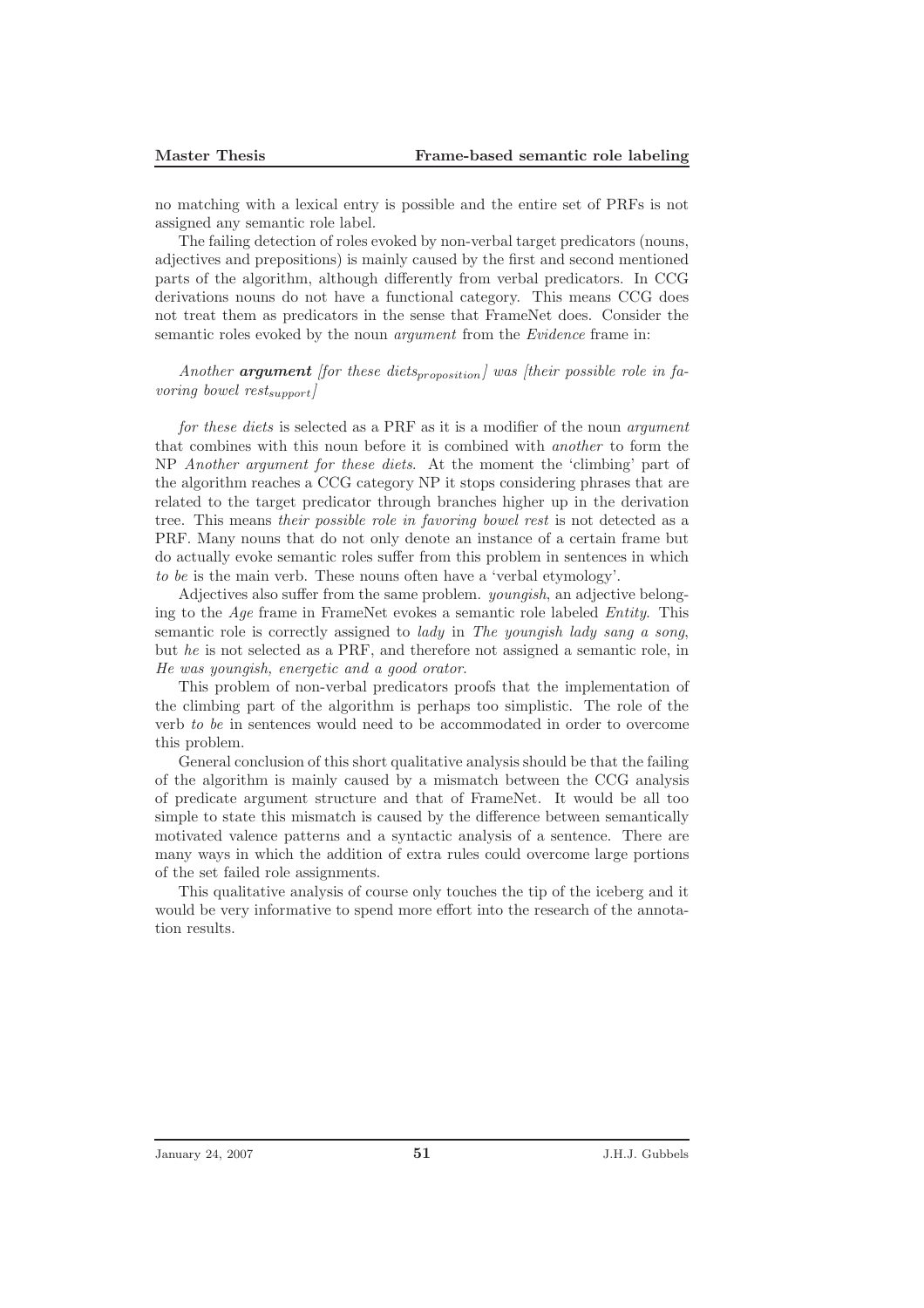no matching with a lexical entry is possible and the entire set of PRFs is not assigned any semantic role label.

The failing detection of roles evoked by non-verbal target predicators (nouns, adjectives and prepositions) is mainly caused by the first and second mentioned parts of the algorithm, although differently from verbal predicators. In CCG derivations nouns do not have a functional category. This means CCG does not treat them as predicators in the sense that FrameNet does. Consider the semantic roles evoked by the noun *argument* from the *Evidence* frame in:

Another **argument** [for these diets<sub>proposition</sub>] was [their possible role in favoring bowel restsupport

for these diets is selected as a PRF as it is a modifier of the noun *argument* that combines with this noun before it is combined with another to form the NP Another argument for these diets. At the moment the 'climbing' part of the algorithm reaches a CCG category NP it stops considering phrases that are related to the target predicator through branches higher up in the derivation tree. This means their possible role in favoring bowel rest is not detected as a PRF. Many nouns that do not only denote an instance of a certain frame but do actually evoke semantic roles suffer from this problem in sentences in which to be is the main verb. These nouns often have a 'verbal etymology'.

Adjectives also suffer from the same problem. youngish, an adjective belonging to the Age frame in FrameNet evokes a semantic role labeled *Entity*. This semantic role is correctly assigned to lady in The youngish lady sang a song, but he is not selected as a PRF, and therefore not assigned a semantic role, in He was youngish, energetic and a good orator.

This problem of non-verbal predicators proofs that the implementation of the climbing part of the algorithm is perhaps too simplistic. The role of the verb to be in sentences would need to be accommodated in order to overcome this problem.

General conclusion of this short qualitative analysis should be that the failing of the algorithm is mainly caused by a mismatch between the CCG analysis of predicate argument structure and that of FrameNet. It would be all too simple to state this mismatch is caused by the difference between semantically motivated valence patterns and a syntactic analysis of a sentence. There are many ways in which the addition of extra rules could overcome large portions of the set failed role assignments.

This qualitative analysis of course only touches the tip of the iceberg and it would be very informative to spend more effort into the research of the annotation results.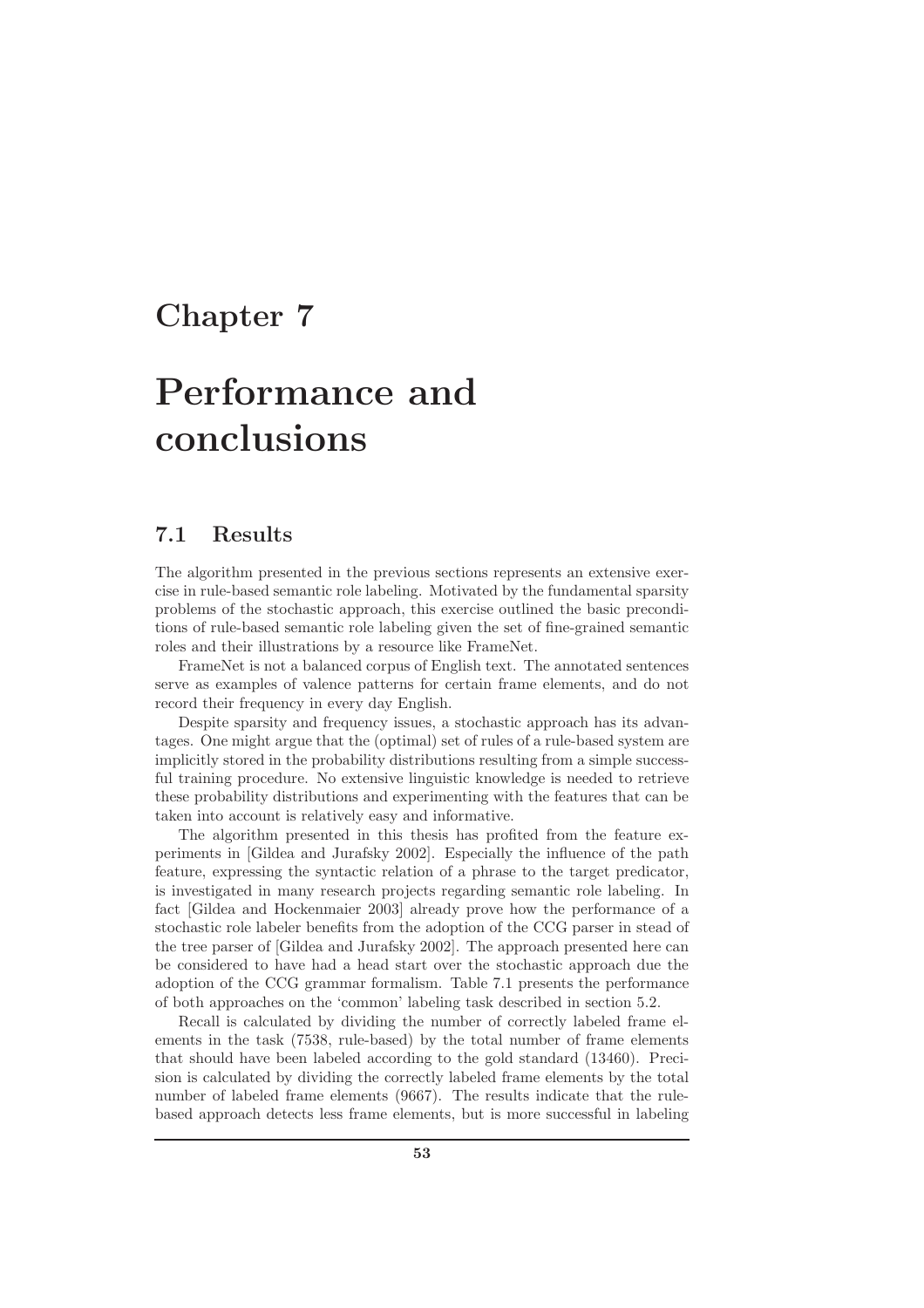## Chapter 7

# Performance and conclusions

### 7.1 Results

The algorithm presented in the previous sections represents an extensive exercise in rule-based semantic role labeling. Motivated by the fundamental sparsity problems of the stochastic approach, this exercise outlined the basic preconditions of rule-based semantic role labeling given the set of fine-grained semantic roles and their illustrations by a resource like FrameNet.

FrameNet is not a balanced corpus of English text. The annotated sentences serve as examples of valence patterns for certain frame elements, and do not record their frequency in every day English.

Despite sparsity and frequency issues, a stochastic approach has its advantages. One might argue that the (optimal) set of rules of a rule-based system are implicitly stored in the probability distributions resulting from a simple successful training procedure. No extensive linguistic knowledge is needed to retrieve these probability distributions and experimenting with the features that can be taken into account is relatively easy and informative.

The algorithm presented in this thesis has profited from the feature experiments in [Gildea and Jurafsky 2002]. Especially the influence of the path feature, expressing the syntactic relation of a phrase to the target predicator, is investigated in many research projects regarding semantic role labeling. In fact [Gildea and Hockenmaier 2003] already prove how the performance of a stochastic role labeler benefits from the adoption of the CCG parser in stead of the tree parser of [Gildea and Jurafsky 2002]. The approach presented here can be considered to have had a head start over the stochastic approach due the adoption of the CCG grammar formalism. Table 7.1 presents the performance of both approaches on the 'common' labeling task described in section 5.2.

Recall is calculated by dividing the number of correctly labeled frame elements in the task (7538, rule-based) by the total number of frame elements that should have been labeled according to the gold standard (13460). Precision is calculated by dividing the correctly labeled frame elements by the total number of labeled frame elements (9667). The results indicate that the rulebased approach detects less frame elements, but is more successful in labeling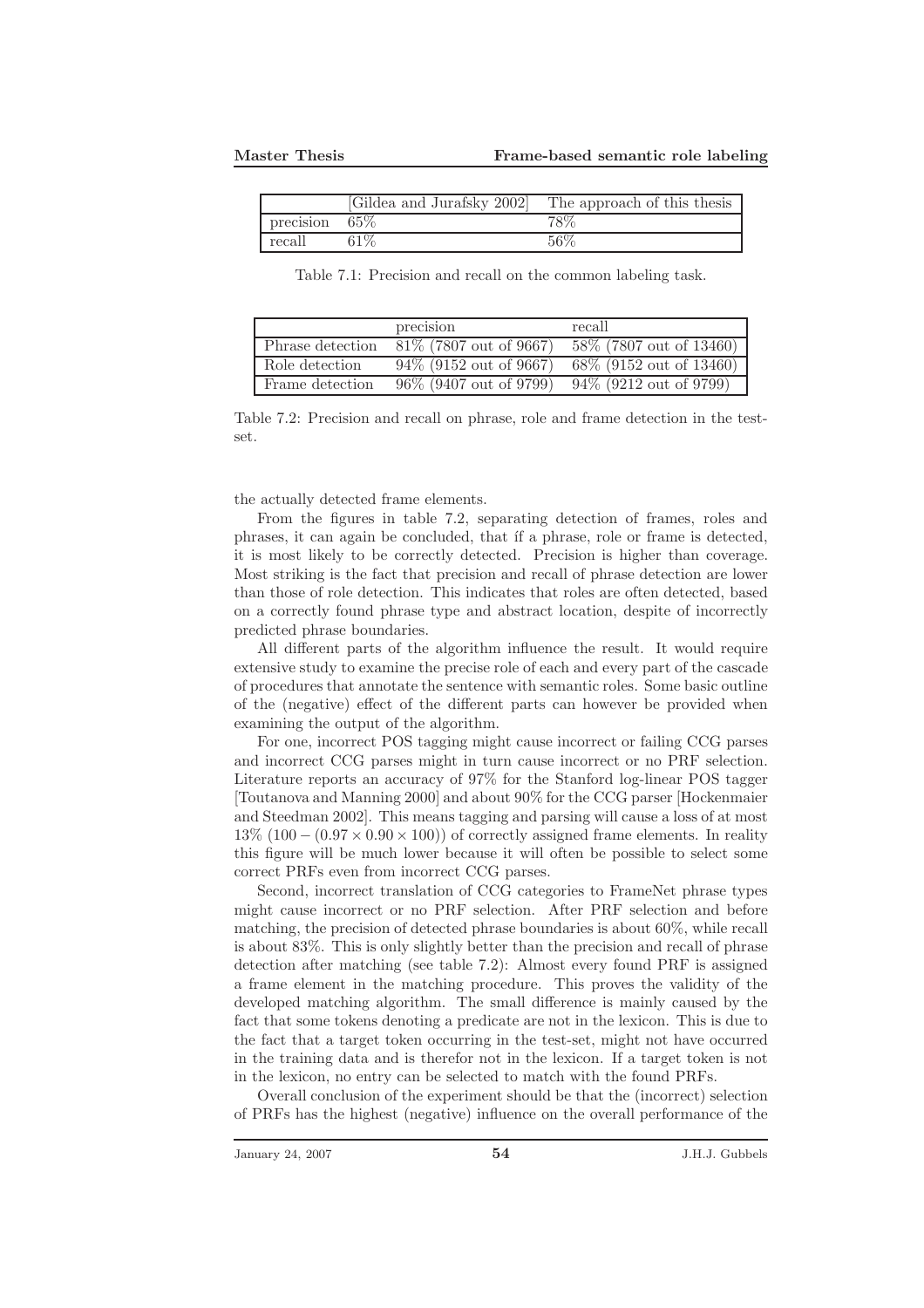|                  | [Gildea and Jurafsky 2002] | The approach of this thesis |
|------------------|----------------------------|-----------------------------|
| precision $65\%$ |                            | 78%                         |
| recall           | $61\%$                     | 56\%                        |

Table 7.1: Precision and recall on the common labeling task.

|                  | precision                 | recall                   |
|------------------|---------------------------|--------------------------|
| Phrase detection | 81\% (7807 out of 9667)   | 58\% (7807 out of 13460) |
| Role detection   | $94\%$ (9152 out of 9667) | 68\% (9152 out of 13460) |
| Frame detection  | $96\%$ (9407 out of 9799) | 94\% (9212 out of 9799)  |

Table 7.2: Precision and recall on phrase, role and frame detection in the testset.

the actually detected frame elements.

From the figures in table 7.2, separating detection of frames, roles and phrases, it can again be concluded, that if a phrase, role or frame is detected. it is most likely to be correctly detected. Precision is higher than coverage. Most striking is the fact that precision and recall of phrase detection are lower than those of role detection. This indicates that roles are often detected, based on a correctly found phrase type and abstract location, despite of incorrectly predicted phrase boundaries.

All different parts of the algorithm influence the result. It would require extensive study to examine the precise role of each and every part of the cascade of procedures that annotate the sentence with semantic roles. Some basic outline of the (negative) effect of the different parts can however be provided when examining the output of the algorithm.

For one, incorrect POS tagging might cause incorrect or failing CCG parses and incorrect CCG parses might in turn cause incorrect or no PRF selection. Literature reports an accuracy of 97% for the Stanford log-linear POS tagger [Toutanova and Manning 2000] and about 90% for the CCG parser [Hockenmaier and Steedman 2002]. This means tagging and parsing will cause a loss of at most  $13\%$  (100 –  $(0.97 \times 0.90 \times 100)$ ) of correctly assigned frame elements. In reality this figure will be much lower because it will often be possible to select some correct PRFs even from incorrect CCG parses.

Second, incorrect translation of CCG categories to FrameNet phrase types might cause incorrect or no PRF selection. After PRF selection and before matching, the precision of detected phrase boundaries is about 60%, while recall is about 83%. This is only slightly better than the precision and recall of phrase detection after matching (see table 7.2): Almost every found PRF is assigned a frame element in the matching procedure. This proves the validity of the developed matching algorithm. The small difference is mainly caused by the fact that some tokens denoting a predicate are not in the lexicon. This is due to the fact that a target token occurring in the test-set, might not have occurred in the training data and is therefor not in the lexicon. If a target token is not in the lexicon, no entry can be selected to match with the found PRFs.

Overall conclusion of the experiment should be that the (incorrect) selection of PRFs has the highest (negative) influence on the overall performance of the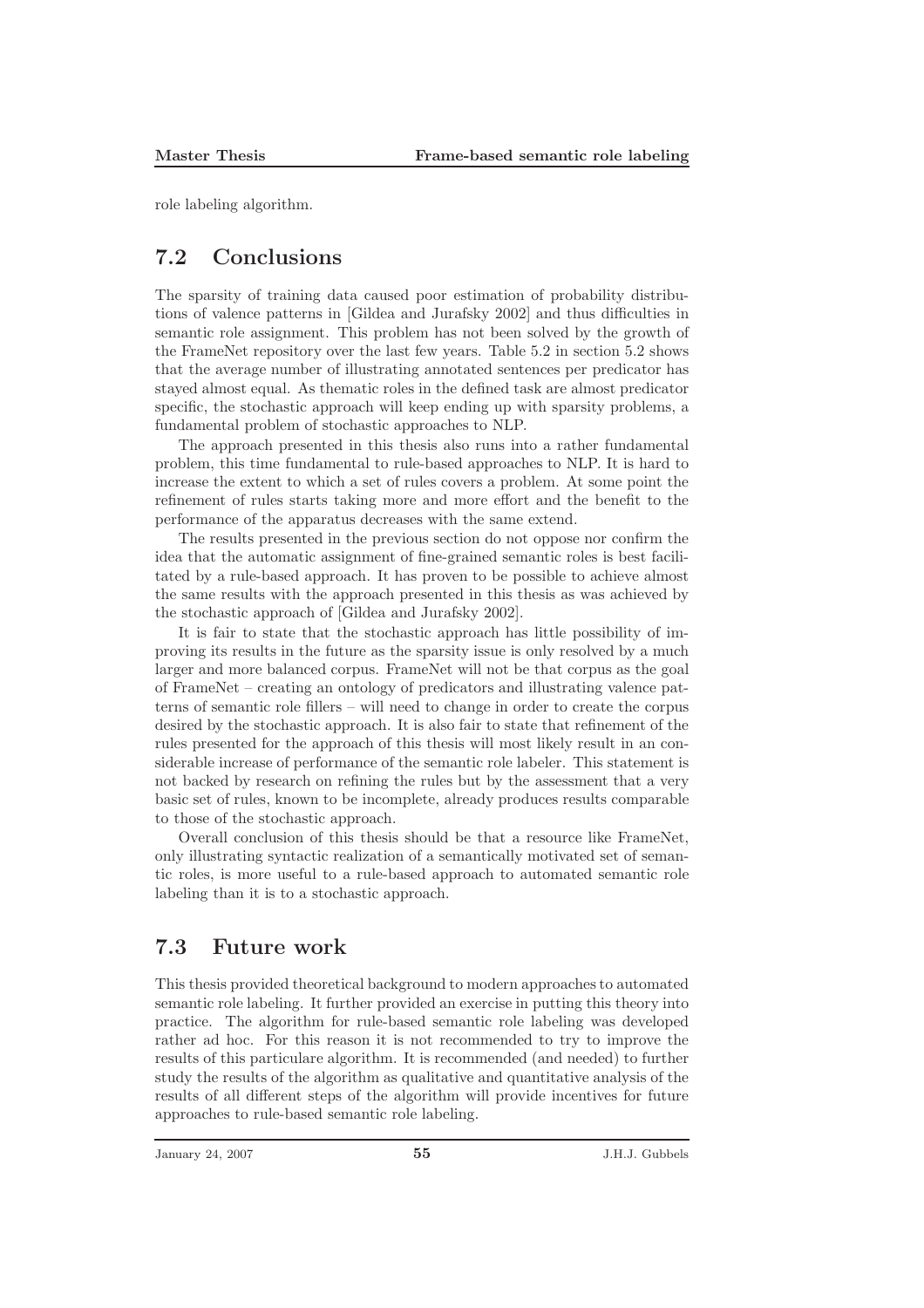role labeling algorithm.

### 7.2 Conclusions

The sparsity of training data caused poor estimation of probability distributions of valence patterns in [Gildea and Jurafsky 2002] and thus difficulties in semantic role assignment. This problem has not been solved by the growth of the FrameNet repository over the last few years. Table 5.2 in section 5.2 shows that the average number of illustrating annotated sentences per predicator has stayed almost equal. As thematic roles in the defined task are almost predicator specific, the stochastic approach will keep ending up with sparsity problems, a fundamental problem of stochastic approaches to NLP.

The approach presented in this thesis also runs into a rather fundamental problem, this time fundamental to rule-based approaches to NLP. It is hard to increase the extent to which a set of rules covers a problem. At some point the refinement of rules starts taking more and more effort and the benefit to the performance of the apparatus decreases with the same extend.

The results presented in the previous section do not oppose nor confirm the idea that the automatic assignment of fine-grained semantic roles is best facilitated by a rule-based approach. It has proven to be possible to achieve almost the same results with the approach presented in this thesis as was achieved by the stochastic approach of [Gildea and Jurafsky 2002].

It is fair to state that the stochastic approach has little possibility of improving its results in the future as the sparsity issue is only resolved by a much larger and more balanced corpus. FrameNet will not be that corpus as the goal of FrameNet – creating an ontology of predicators and illustrating valence patterns of semantic role fillers – will need to change in order to create the corpus desired by the stochastic approach. It is also fair to state that refinement of the rules presented for the approach of this thesis will most likely result in an considerable increase of performance of the semantic role labeler. This statement is not backed by research on refining the rules but by the assessment that a very basic set of rules, known to be incomplete, already produces results comparable to those of the stochastic approach.

Overall conclusion of this thesis should be that a resource like FrameNet, only illustrating syntactic realization of a semantically motivated set of semantic roles, is more useful to a rule-based approach to automated semantic role labeling than it is to a stochastic approach.

### 7.3 Future work

This thesis provided theoretical background to modern approaches to automated semantic role labeling. It further provided an exercise in putting this theory into practice. The algorithm for rule-based semantic role labeling was developed rather ad hoc. For this reason it is not recommended to try to improve the results of this particulare algorithm. It is recommended (and needed) to further study the results of the algorithm as qualitative and quantitative analysis of the results of all different steps of the algorithm will provide incentives for future approaches to rule-based semantic role labeling.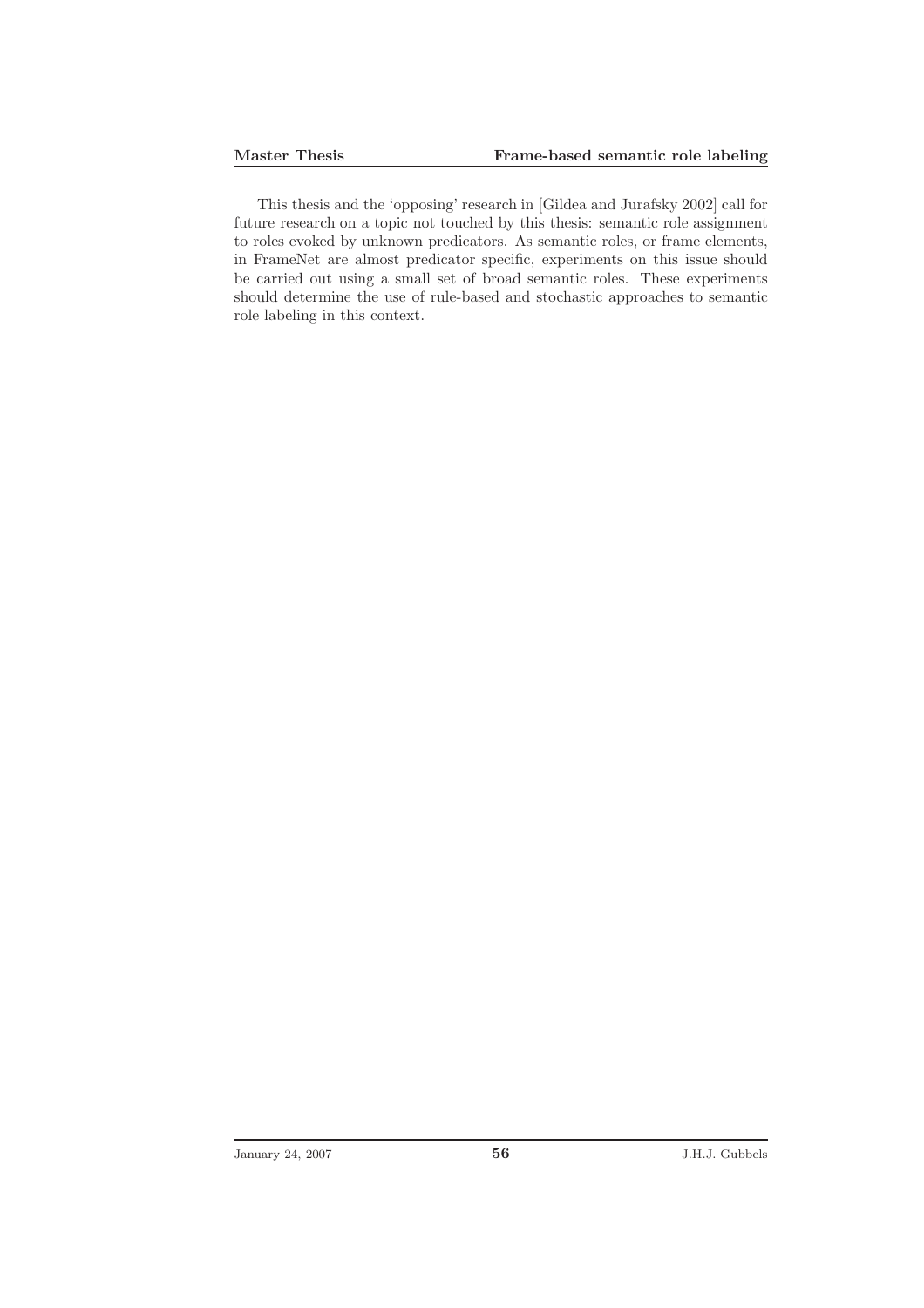This thesis and the 'opposing' research in [Gildea and Jurafsky 2002] call for future research on a topic not touched by this thesis: semantic role assignment to roles evoked by unknown predicators. As semantic roles, or frame elements, in FrameNet are almost predicator specific, experiments on this issue should be carried out using a small set of broad semantic roles. These experiments should determine the use of rule-based and stochastic approaches to semantic role labeling in this context.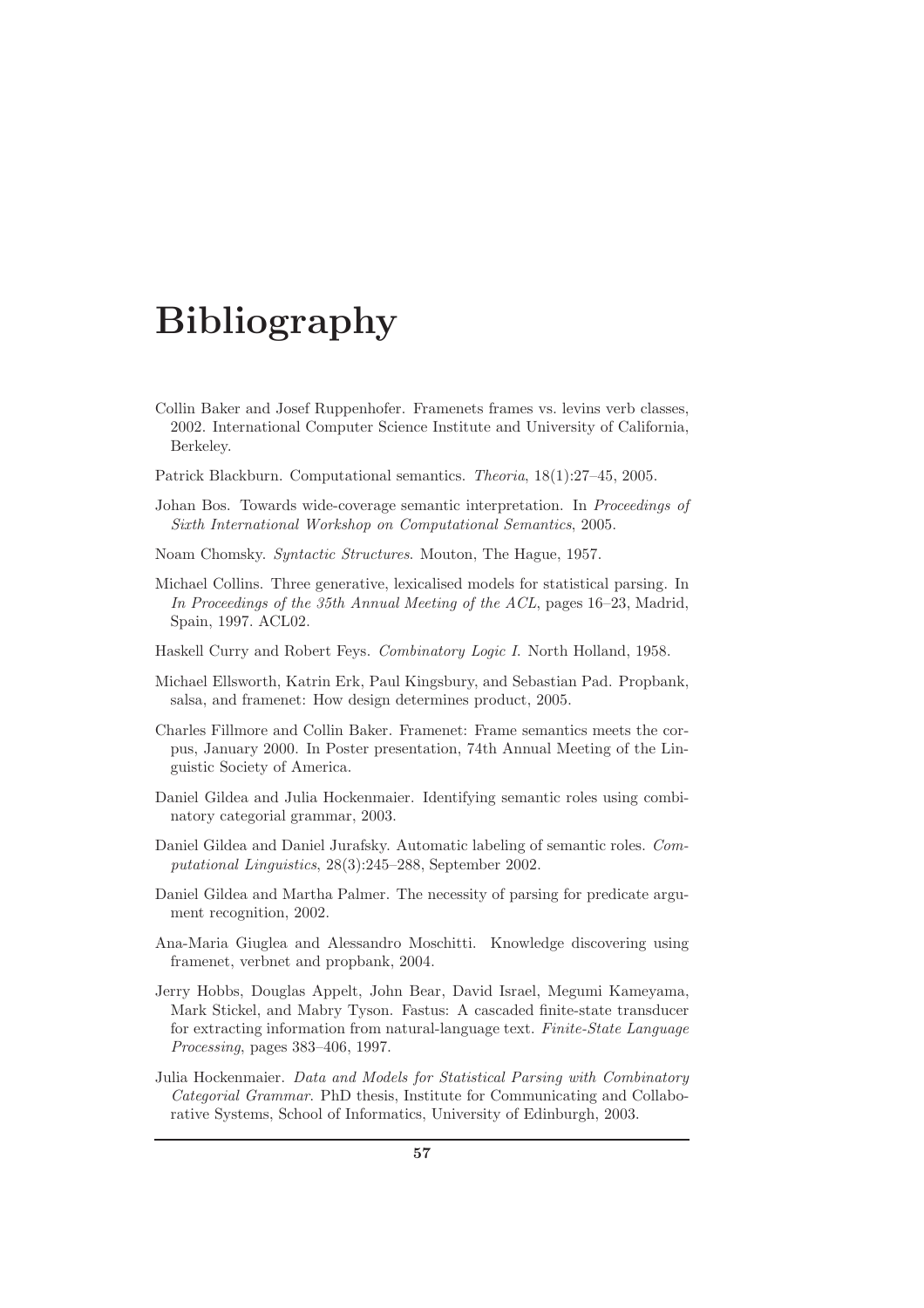## Bibliography

- Collin Baker and Josef Ruppenhofer. Framenets frames vs. levins verb classes, 2002. International Computer Science Institute and University of California, Berkeley.
- Patrick Blackburn. Computational semantics. Theoria, 18(1):27–45, 2005.
- Johan Bos. Towards wide-coverage semantic interpretation. In Proceedings of Sixth International Workshop on Computational Semantics, 2005.
- Noam Chomsky. Syntactic Structures. Mouton, The Hague, 1957.
- Michael Collins. Three generative, lexicalised models for statistical parsing. In In Proceedings of the 35th Annual Meeting of the ACL, pages 16–23, Madrid, Spain, 1997. ACL02.
- Haskell Curry and Robert Feys. Combinatory Logic I. North Holland, 1958.
- Michael Ellsworth, Katrin Erk, Paul Kingsbury, and Sebastian Pad. Propbank, salsa, and framenet: How design determines product, 2005.
- Charles Fillmore and Collin Baker. Framenet: Frame semantics meets the corpus, January 2000. In Poster presentation, 74th Annual Meeting of the Linguistic Society of America.
- Daniel Gildea and Julia Hockenmaier. Identifying semantic roles using combinatory categorial grammar, 2003.
- Daniel Gildea and Daniel Jurafsky. Automatic labeling of semantic roles. Computational Linguistics, 28(3):245–288, September 2002.
- Daniel Gildea and Martha Palmer. The necessity of parsing for predicate argument recognition, 2002.
- Ana-Maria Giuglea and Alessandro Moschitti. Knowledge discovering using framenet, verbnet and propbank, 2004.
- Jerry Hobbs, Douglas Appelt, John Bear, David Israel, Megumi Kameyama, Mark Stickel, and Mabry Tyson. Fastus: A cascaded finite-state transducer for extracting information from natural-language text. Finite-State Language Processing, pages 383–406, 1997.
- Julia Hockenmaier. Data and Models for Statistical Parsing with Combinatory Categorial Grammar. PhD thesis, Institute for Communicating and Collaborative Systems, School of Informatics, University of Edinburgh, 2003.